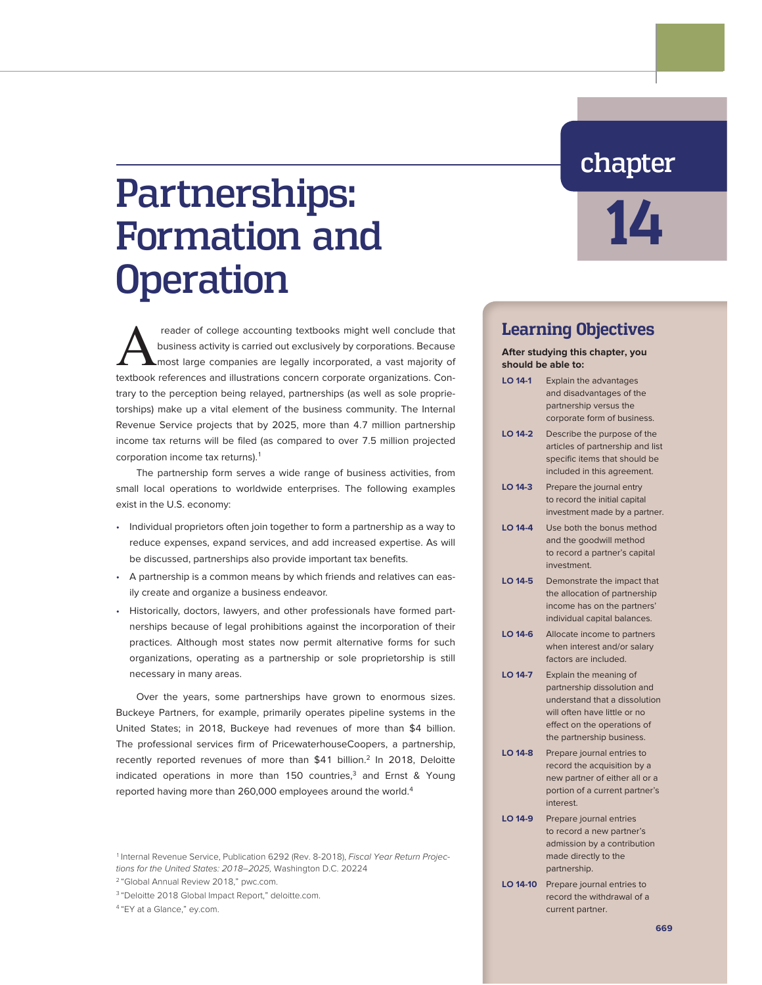# Partnerships:<br>Formation and 14 **Operation**

reader of college accounting textbooks might well conclude that business activity is carried out exclusively by corporations. Because most large companies are legally incorporated, a vast majority of textbook references an business activity is carried out exclusively by corporations. Because most large companies are legally incorporated, a vast majority of trary to the perception being relayed, partnerships (as well as sole proprietorships) make up a vital element of the business community. The Internal Revenue Service projects that by 2025, more than 4.7 million partnership income tax returns will be filed (as compared to over 7.5 million projected corporation income tax returns).1

The partnership form serves a wide range of business activities, from small local operations to worldwide enterprises. The following examples exist in the U.S. economy:

- Individual proprietors often join together to form a partnership as a way to reduce expenses, expand services, and add increased expertise. As will be discussed, partnerships also provide important tax benefits.
- A partnership is a common means by which friends and relatives can easily create and organize a business endeavor.
- Historically, doctors, lawyers, and other professionals have formed partnerships because of legal prohibitions against the incorporation of their practices. Although most states now permit alternative forms for such organizations, operating as a partnership or sole proprietorship is still necessary in many areas.

Over the years, some partnerships have grown to enormous sizes. Buckeye Partners, for example, primarily operates pipeline systems in the United States; in 2018, Buckeye had revenues of more than \$4 billion. The professional services firm of PricewaterhouseCoopers, a partnership, recently reported revenues of more than \$41 billion.<sup>2</sup> In 2018, Deloitte indicated operations in more than 150 countries, $3$  and Ernst & Young reported having more than 260,000 employees around the world.<sup>4</sup>



## **Learning Objectives**

## **After studying this chapter, you should be able to:**

| Explain the advantages<br>and disadvantages of the<br>partnership versus the<br>corporate form of business.                                                                        |
|------------------------------------------------------------------------------------------------------------------------------------------------------------------------------------|
| Describe the purpose of the<br>articles of partnership and list<br>specific items that should be<br>included in this agreement.                                                    |
| Prepare the journal entry<br>to record the initial capital<br>investment made by a partner.                                                                                        |
| Use both the bonus method<br>and the goodwill method<br>to record a partner's capital<br>investment.                                                                               |
| Demonstrate the impact that<br>the allocation of partnership<br>income has on the partners'<br>individual capital balances.                                                        |
| Allocate income to partners<br>when interest and/or salary<br>factors are included.                                                                                                |
| Explain the meaning of<br>partnership dissolution and<br>understand that a dissolution<br>will often have little or no<br>effect on the operations of<br>the partnership business. |
| Prepare journal entries to<br>record the acquisition by a<br>new partner of either all or a<br>portion of a current partner's<br>interest.                                         |
| Prepare journal entries<br>to record a new partner's<br>admission by a contribution<br>made directly to the<br>partnership.                                                        |
|                                                                                                                                                                                    |

**LO 14-10** Prepare journal entries to record the withdrawal of a current partner.

<sup>&</sup>lt;sup>1</sup> Internal Revenue Service, Publication 6292 (Rev. 8-2018), Fiscal Year Return Projections for the United States: 2018–2025, Washington D.C. 20224

<sup>2 &</sup>quot;Global Annual Review 2018," pwc.com.

<sup>3 &</sup>quot;Deloitte 2018 Global Impact Report," deloitte.com.

<sup>4 &</sup>quot;EY at a Glance," ey.com.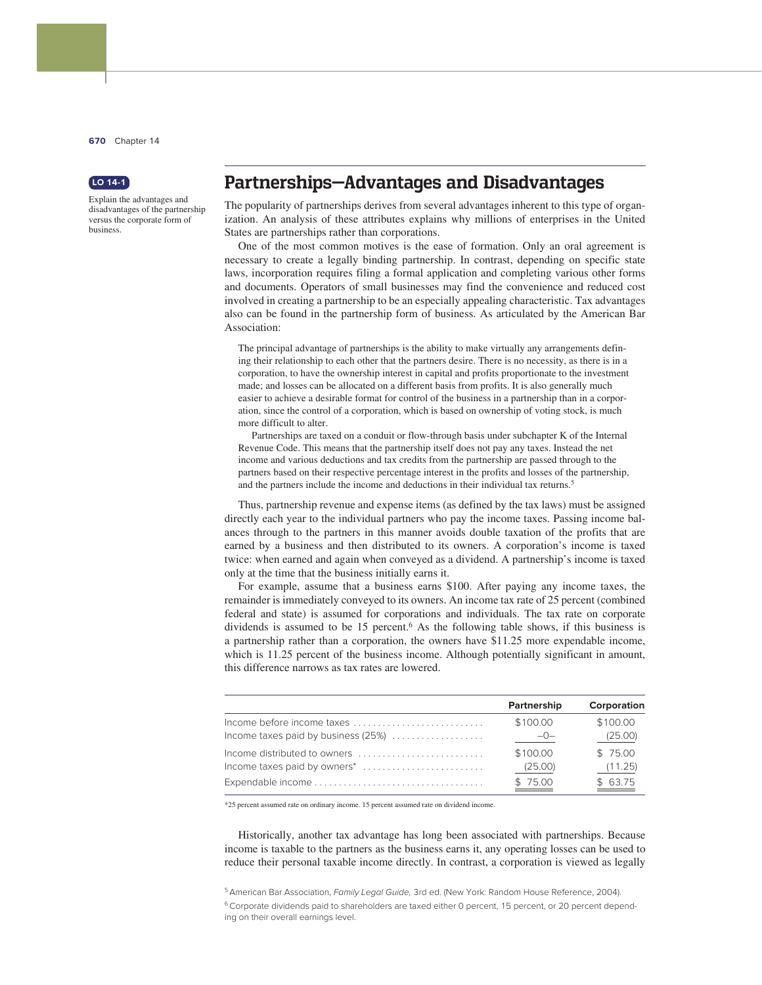## **LO 14-1**

Explain the advantages and disadvantages of the partnership versus the corporate form of business.

## **Partnerships—Advantages and Disadvantages**

The popularity of partnerships derives from several advantages inherent to this type of organization. An analysis of these attributes explains why millions of enterprises in the United States are partnerships rather than corporations.

One of the most common motives is the ease of formation. Only an oral agreement is necessary to create a legally binding partnership. In contrast, depending on specific state laws, incorporation requires filing a formal application and completing various other forms and documents. Operators of small businesses may find the convenience and reduced cost involved in creating a partnership to be an especially appealing characteristic. Tax advantages also can be found in the partnership form of business. As articulated by the American Bar Association:

The principal advantage of partnerships is the ability to make virtually any arrangements defining their relationship to each other that the partners desire. There is no necessity, as there is in a corporation, to have the ownership interest in capital and profits proportionate to the investment made; and losses can be allocated on a different basis from profits. It is also generally much easier to achieve a desirable format for control of the business in a partnership than in a corporation, since the control of a corporation, which is based on ownership of voting stock, is much more difficult to alter.

Partnerships are taxed on a conduit or flow-through basis under subchapter K of the Internal Revenue Code. This means that the partnership itself does not pay any taxes. Instead the net income and various deductions and tax credits from the partnership are passed through to the partners based on their respective percentage interest in the profits and losses of the partnership, and the partners include the income and deductions in their individual tax returns.5

Thus, partnership revenue and expense items (as defined by the tax laws) must be assigned directly each year to the individual partners who pay the income taxes. Passing income balances through to the partners in this manner avoids double taxation of the profits that are earned by a business and then distributed to its owners. A corporation's income is taxed twice: when earned and again when conveyed as a dividend. A partnership's income is taxed only at the time that the business initially earns it.

For example, assume that a business earns \$100. After paying any income taxes, the remainder is immediately conveyed to its owners. An income tax rate of 25 percent (combined federal and state) is assumed for corporations and individuals. The tax rate on corporate dividends is assumed to be  $15$  percent.<sup>6</sup> As the following table shows, if this business is a partnership rather than a corporation, the owners have \$11.25 more expendable income, which is 11.25 percent of the business income. Although potentially significant in amount, this difference narrows as tax rates are lowered.

| this difference narrows as tax rates are lowered.                   |                     |                     |
|---------------------------------------------------------------------|---------------------|---------------------|
|                                                                     | Partnership         | Corporation         |
| Income before income taxes<br>Income taxes paid by business $(25%)$ | \$100.00<br>$-0-$   | \$100.00<br>(25.00) |
| Income distributed to owners                                        | \$100.00<br>(25.00) | \$75.00<br>(11.25)  |
|                                                                     | \$75.00             | \$63.75             |

\*25 percent assumed rate on ordinary income. 15 percent assumed rate on dividend income.

Historically, another tax advantage has long been associated with partnerships. Because income is taxable to the partners as the business earns it, any operating losses can be used to reduce their personal taxable income directly. In contrast, a corporation is viewed as legally

<sup>5</sup> American Bar Association, Family Legal Guide, 3rd ed. (New York: Random House Reference, 2004).

<sup>6</sup> Corporate dividends paid to shareholders are taxed either 0 percent, 15 percent, or 20 percent depending on their overall earnings level.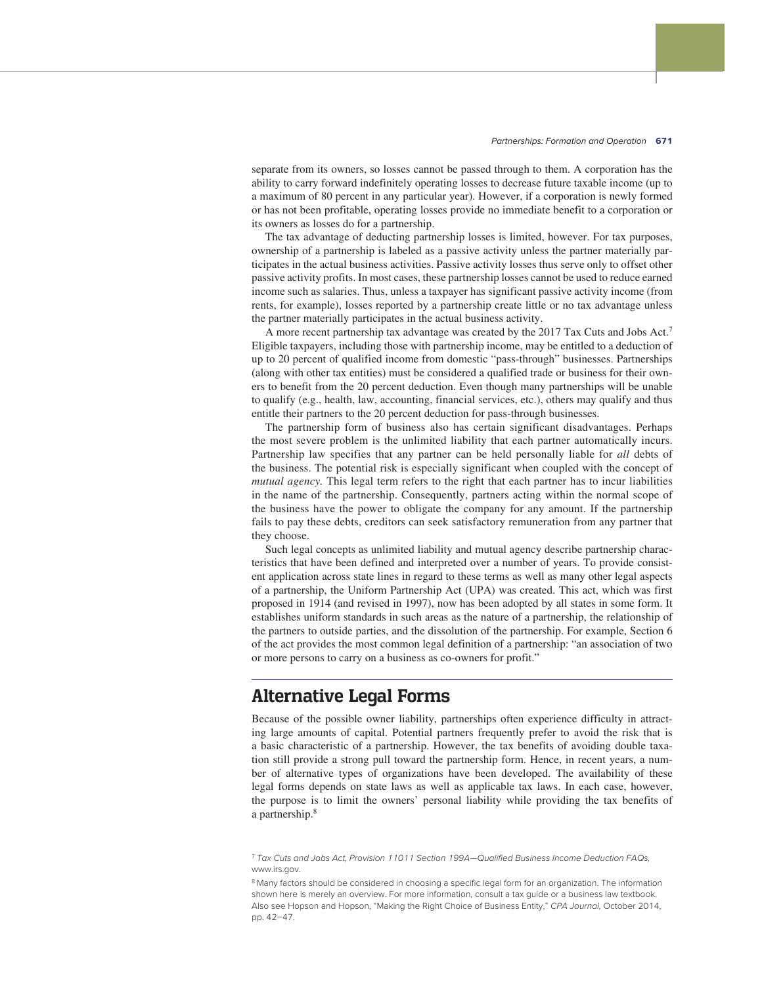separate from its owners, so losses cannot be passed through to them. A corporation has the ability to carry forward indefinitely operating losses to decrease future taxable income (up to a maximum of 80 percent in any particular year). However, if a corporation is newly formed or has not been profitable, operating losses provide no immediate benefit to a corporation or its owners as losses do for a partnership.

The tax advantage of deducting partnership losses is limited, however. For tax purposes, ownership of a partnership is labeled as a passive activity unless the partner materially participates in the actual business activities. Passive activity losses thus serve only to offset other passive activity profits. In most cases, these partnership losses cannot be used to reduce earned income such as salaries. Thus, unless a taxpayer has significant passive activity income (from rents, for example), losses reported by a partnership create little or no tax advantage unless the partner materially participates in the actual business activity.

A more recent partnership tax advantage was created by the 2017 Tax Cuts and Jobs Act.7 Eligible taxpayers, including those with partnership income, may be entitled to a deduction of up to 20 percent of qualified income from domestic "pass-through" businesses. Partnerships (along with other tax entities) must be considered a qualified trade or business for their owners to benefit from the 20 percent deduction. Even though many partnerships will be unable to qualify (e.g., health, law, accounting, financial services, etc.), others may qualify and thus entitle their partners to the 20 percent deduction for pass-through businesses.

The partnership form of business also has certain significant disadvantages. Perhaps the most severe problem is the unlimited liability that each partner automatically incurs. Partnership law specifies that any partner can be held personally liable for *all* debts of the business. The potential risk is especially significant when coupled with the concept of *mutual agency.* This legal term refers to the right that each partner has to incur liabilities in the name of the partnership. Consequently, partners acting within the normal scope of the business have the power to obligate the company for any amount. If the partnership fails to pay these debts, creditors can seek satisfactory remuneration from any partner that they choose.

Such legal concepts as unlimited liability and mutual agency describe partnership characteristics that have been defined and interpreted over a number of years. To provide consistent application across state lines in regard to these terms as well as many other legal aspects of a partnership, the Uniform Partnership Act (UPA) was created. This act, which was first proposed in 1914 (and revised in 1997), now has been adopted by all states in some form. It establishes uniform standards in such areas as the nature of a partnership, the relationship of the partners to outside parties, and the dissolution of the partnership. For example, Section 6 of the act provides the most common legal definition of a partnership: "an association of two or more persons to carry on a business as co-owners for profit."

## **Alternative Legal Forms**

Because of the possible owner liability, partnerships often experience difficulty in attracting large amounts of capital. Potential partners frequently prefer to avoid the risk that is a basic characteristic of a partnership. However, the tax benefits of avoiding double taxation still provide a strong pull toward the partnership form. Hence, in recent years, a number of alternative types of organizations have been developed. The availability of these legal forms depends on state laws as well as applicable tax laws. In each case, however, the purpose is to limit the owners' personal liability while providing the tax benefits of a partnership.<sup>8</sup>

<sup>8</sup> Many factors should be considered in choosing a specific legal form for an organization. The information shown here is merely an overview. For more information, consult a tax guide or a business law textbook. Also see Hopson and Hopson, "Making the Right Choice of Business Entity," CPA Journal, October 2014, pp. 42–47.

<sup>7</sup>Tax Cuts and Jobs Act, Provision 11011 Section 199A—Qualified Business Income Deduction FAQs, www.irs.gov.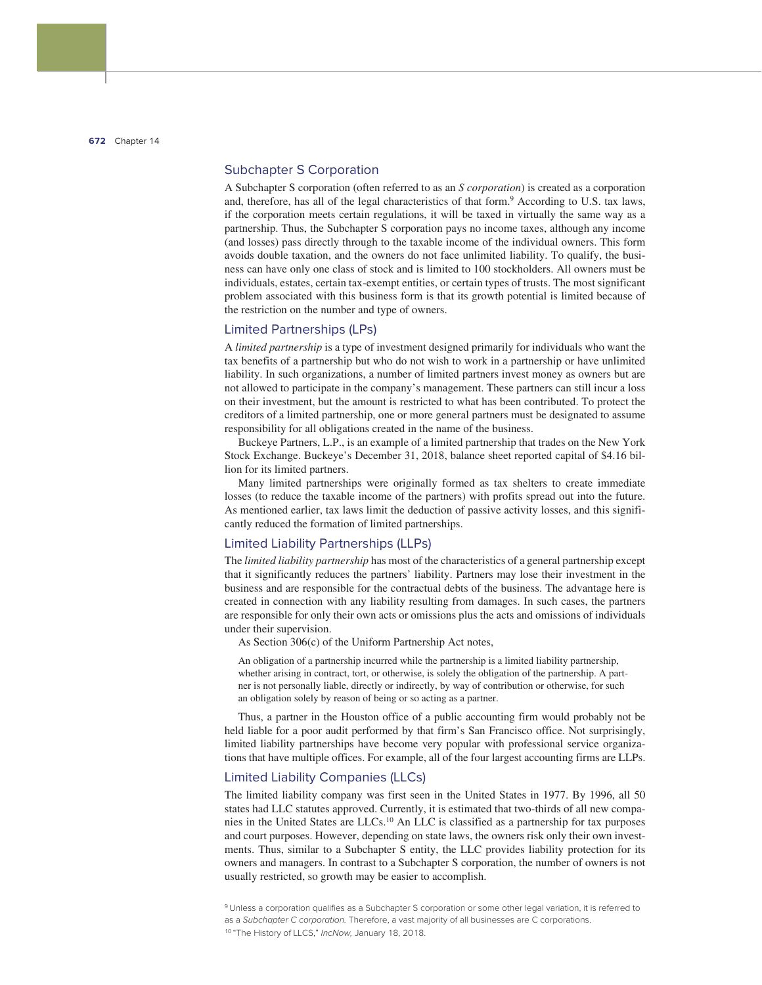## Subchapter S Corporation

A Subchapter S corporation (often referred to as an *S corporation*) is created as a corporation and, therefore, has all of the legal characteristics of that form.<sup>9</sup> According to U.S. tax laws, if the corporation meets certain regulations, it will be taxed in virtually the same way as a partnership. Thus, the Subchapter S corporation pays no income taxes, although any income (and losses) pass directly through to the taxable income of the individual owners. This form avoids double taxation, and the owners do not face unlimited liability. To qualify, the business can have only one class of stock and is limited to 100 stockholders. All owners must be individuals, estates, certain tax-exempt entities, or certain types of trusts. The most significant problem associated with this business form is that its growth potential is limited because of the restriction on the number and type of owners.

## Limited Partnerships (LPs)

A *limited partnership* is a type of investment designed primarily for individuals who want the tax benefits of a partnership but who do not wish to work in a partnership or have unlimited liability. In such organizations, a number of limited partners invest money as owners but are not allowed to participate in the company's management. These partners can still incur a loss on their investment, but the amount is restricted to what has been contributed. To protect the creditors of a limited partnership, one or more general partners must be designated to assume responsibility for all obligations created in the name of the business.

Buckeye Partners, L.P., is an example of a limited partnership that trades on the New York Stock Exchange. Buckeye's December 31, 2018, balance sheet reported capital of \$4.16 billion for its limited partners.

Many limited partnerships were originally formed as tax shelters to create immediate losses (to reduce the taxable income of the partners) with profits spread out into the future. As mentioned earlier, tax laws limit the deduction of passive activity losses, and this significantly reduced the formation of limited partnerships.

## Limited Liability Partnerships (LLPs)

The *limited liability partnership* has most of the characteristics of a general partnership except that it significantly reduces the partners' liability. Partners may lose their investment in the business and are responsible for the contractual debts of the business. The advantage here is created in connection with any liability resulting from damages. In such cases, the partners are responsible for only their own acts or omissions plus the acts and omissions of individuals under their supervision.

As Section 306(c) of the Uniform Partnership Act notes,

An obligation of a partnership incurred while the partnership is a limited liability partnership, whether arising in contract, tort, or otherwise, is solely the obligation of the partnership. A partner is not personally liable, directly or indirectly, by way of contribution or otherwise, for such an obligation solely by reason of being or so acting as a partner.

Thus, a partner in the Houston office of a public accounting firm would probably not be held liable for a poor audit performed by that firm's San Francisco office. Not surprisingly, limited liability partnerships have become very popular with professional service organizations that have multiple offices. For example, all of the four largest accounting firms are LLPs.

## Limited Liability Companies (LLCs)

The limited liability company was first seen in the United States in 1977. By 1996, all 50 states had LLC statutes approved. Currently, it is estimated that two-thirds of all new companies in the United States are LLCs.10 An LLC is classified as a partnership for tax purposes and court purposes. However, depending on state laws, the owners risk only their own investments. Thus, similar to a Subchapter S entity, the LLC provides liability protection for its owners and managers. In contrast to a Subchapter S corporation, the number of owners is not usually restricted, so growth may be easier to accomplish.

9 Unless a corporation qualifies as a Subchapter S corporation or some other legal variation, it is referred to as a Subchapter C corporation. Therefore, a vast majority of all businesses are C corporations. 10 "The History of LLCS," IncNow, January 18, 2018.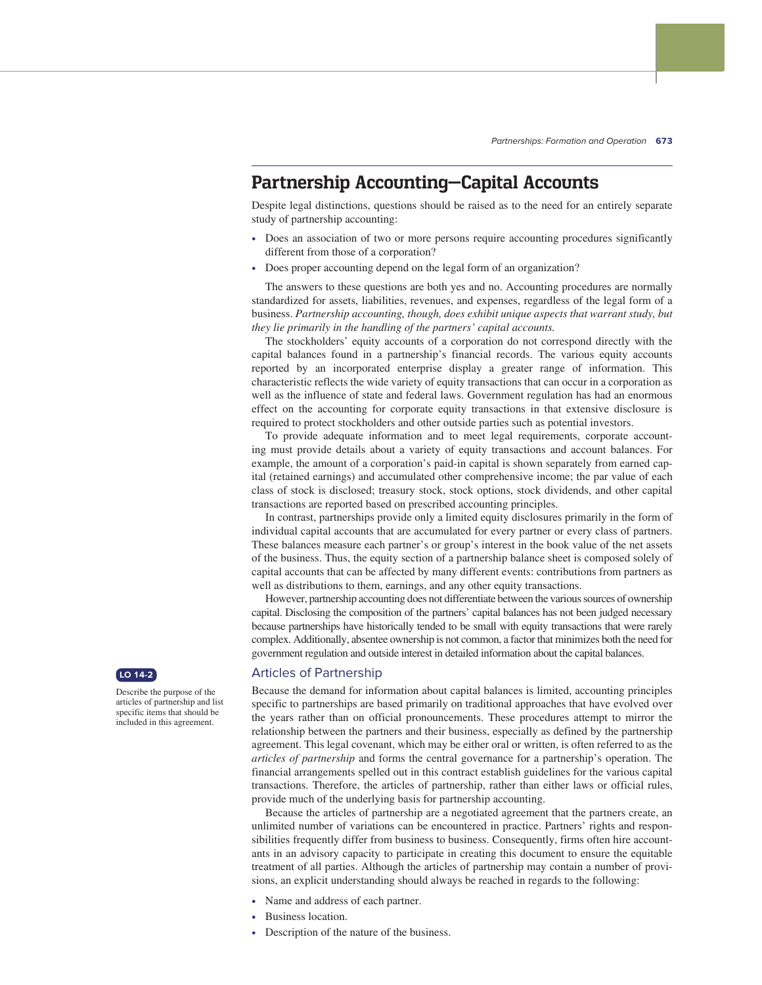## **Partnership Accounting—Capital Accounts**

Despite legal distinctions, questions should be raised as to the need for an entirely separate study of partnership accounting:

- ∙ Does an association of two or more persons require accounting procedures significantly different from those of a corporation?
- ∙ Does proper accounting depend on the legal form of an organization?

The answers to these questions are both yes and no. Accounting procedures are normally standardized for assets, liabilities, revenues, and expenses, regardless of the legal form of a business. *Partnership accounting, though, does exhibit unique aspects that warrant study, but they lie primarily in the handling of the partners' capital accounts.*

The stockholders' equity accounts of a corporation do not correspond directly with the capital balances found in a partnership's financial records. The various equity accounts reported by an incorporated enterprise display a greater range of information. This characteristic reflects the wide variety of equity transactions that can occur in a corporation as well as the influence of state and federal laws. Government regulation has had an enormous effect on the accounting for corporate equity transactions in that extensive disclosure is required to protect stockholders and other outside parties such as potential investors.

To provide adequate information and to meet legal requirements, corporate accounting must provide details about a variety of equity transactions and account balances. For example, the amount of a corporation's paid-in capital is shown separately from earned capital (retained earnings) and accumulated other comprehensive income; the par value of each class of stock is disclosed; treasury stock, stock options, stock dividends, and other capital transactions are reported based on prescribed accounting principles.

In contrast, partnerships provide only a limited equity disclosures primarily in the form of individual capital accounts that are accumulated for every partner or every class of partners. These balances measure each partner's or group's interest in the book value of the net assets of the business. Thus, the equity section of a partnership balance sheet is composed solely of capital accounts that can be affected by many different events: contributions from partners as well as distributions to them, earnings, and any other equity transactions.

However, partnership accounting does not differentiate between the various sources of ownership capital. Disclosing the composition of the partners' capital balances has not been judged necessary because partnerships have historically tended to be small with equity transactions that were rarely complex. Additionally, absentee ownership is not common, a factor that minimizes both the need for government regulation and outside interest in detailed information about the capital balances.

## Articles of Partnership

Because the demand for information about capital balances is limited, accounting principles specific to partnerships are based primarily on traditional approaches that have evolved over the years rather than on official pronouncements. These procedures attempt to mirror the relationship between the partners and their business, especially as defined by the partnership agreement. This legal covenant, which may be either oral or written, is often referred to as the *articles of partnership* and forms the central governance for a partnership's operation. The financial arrangements spelled out in this contract establish guidelines for the various capital transactions. Therefore, the articles of partnership, rather than either laws or official rules, provide much of the underlying basis for partnership accounting.

Because the articles of partnership are a negotiated agreement that the partners create, an unlimited number of variations can be encountered in practice. Partners' rights and responsibilities frequently differ from business to business. Consequently, firms often hire accountants in an advisory capacity to participate in creating this document to ensure the equitable treatment of all parties. Although the articles of partnership may contain a number of provisions, an explicit understanding should always be reached in regards to the following:

- ∙ Name and address of each partner.
- ∙ Business location.
- ∙ Description of the nature of the business.



Describe the purpose of the articles of partnership and list specific items that should be included in this agreement.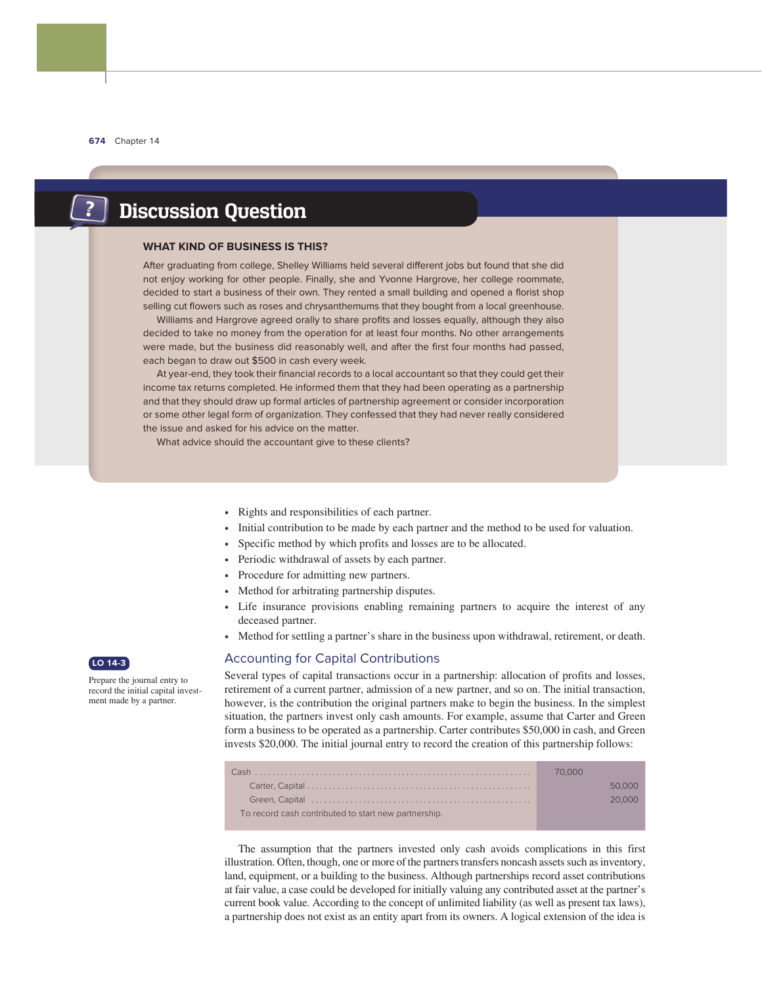# **Discussion Question**

## **WHAT KIND OF BUSINESS IS THIS?**

After graduating from college, Shelley Williams held several different jobs but found that she did not enjoy working for other people. Finally, she and Yvonne Hargrove, her college roommate, selling cut flowers such as roses and chrysanthemums that they bought from a local greenhouse.

decided to start a business of their own. They rented a small building and opened a florist shop selling cut flowers such as roses and chrysanthemums that they bought from a local greenhouse.<br>Williams and Hargrove agreed o Williams and Hargrove agreed orally to share profits and losses equally, although they also decided to take no money from the operation for at least four months. No other arrangements were made, but the business did reasonably well, and after the first four months had passed, each began to draw out \$500 in cash every week.

income tax returns completed. He informed them that they had been operating as a partnership and that they should draw up formal articles of partnership agreement or consider incorporation or some other legal form of organization. They confessed that they had never really considered the issue and asked for his advice on the matter.

What advice should the accountant give to these clients?

- ∙ Rights and responsibilities of each partner.
- ∙ Initial contribution to be made by each partner and the method to be used for valuation.
- ∙ Specific method by which profits and losses are to be allocated.
- ∙ Periodic withdrawal of assets by each partner.
- ∙ Procedure for admitting new partners.
- ∙ Method for arbitrating partnership disputes.
- ∙ Life insurance provisions enabling remaining partners to acquire the interest of any deceased partner.
- ∙ Method for settling a partner's share in the business upon withdrawal, retirement, or death.

## Accounting for Capital Contributions

Several types of capital transactions occur in a partnership: allocation of profits and losses, retirement of a current partner, admission of a new partner, and so on. The initial transaction, however, is the contribution the original partners make to begin the business. In the simplest situation, the partners invest only cash amounts. For example, assume that Carter and Green form a business to be operated as a partnership. Carter contributes \$50,000 in cash, and Green invests \$20,000. The initial journal entry to record the creation of this partnership follows: of the parameters in the cash and the cash . The champion assume that can<br>orm a business to be operated as a partnership. Carter contributes \$50,000 in ca<br>vests \$20,000. The initial journal entry to record the creation of

| ivests \$20,000. The initial journal entry to record the creation of this partnership follows: |        |
|------------------------------------------------------------------------------------------------|--------|
|                                                                                                | 70,000 |
|                                                                                                | 50,000 |
|                                                                                                | 20,000 |
| To record cash contributed to start new partnership.                                           |        |
|                                                                                                |        |

The assumption that the partners invested only cash avoids complications in this first illustration. Often, though, one or more of the partners transfers noncash assets such as inventory, land, equipment, or a building to the business. Although partnerships record asset contributions at fair value, a case could be developed for initially valuing any contributed asset at the partner's current book value. According to the concept of unlimited liability (as well as present tax laws), a partnership does not exist as an entity apart from its owners. A logical extension of the idea is



Prepare the journal entry to record the initial capital investment made by a partner.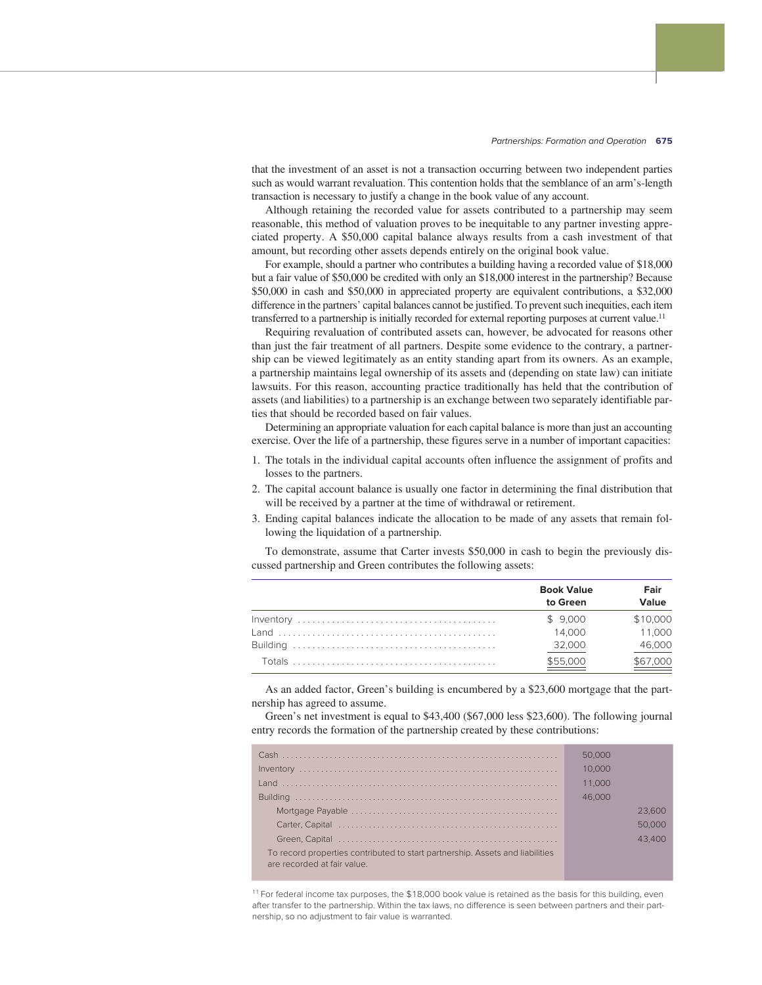that the investment of an asset is not a transaction occurring between two independent parties such as would warrant revaluation. This contention holds that the semblance of an arm's-length transaction is necessary to justify a change in the book value of any account.

Although retaining the recorded value for assets contributed to a partnership may seem reasonable, this method of valuation proves to be inequitable to any partner investing appreciated property. A \$50,000 capital balance always results from a cash investment of that amount, but recording other assets depends entirely on the original book value.

For example, should a partner who contributes a building having a recorded value of \$18,000 but a fair value of \$50,000 be credited with only an \$18,000 interest in the partnership? Because \$50,000 in cash and \$50,000 in appreciated property are equivalent contributions, a \$32,000 difference in the partners' capital balances cannot be justified. To prevent such inequities, each item transferred to a partnership is initially recorded for external reporting purposes at current value.<sup>11</sup>

Requiring revaluation of contributed assets can, however, be advocated for reasons other than just the fair treatment of all partners. Despite some evidence to the contrary, a partnership can be viewed legitimately as an entity standing apart from its owners. As an example, a partnership maintains legal ownership of its assets and (depending on state law) can initiate lawsuits. For this reason, accounting practice traditionally has held that the contribution of assets (and liabilities) to a partnership is an exchange between two separately identifiable parties that should be recorded based on fair values.

Determining an appropriate valuation for each capital balance is more than just an accounting exercise. Over the life of a partnership, these figures serve in a number of important capacities:

- 1. The totals in the individual capital accounts often influence the assignment of profits and losses to the partners.
- 2. The capital account balance is usually one factor in determining the final distribution that will be received by a partner at the time of withdrawal or retirement.
- 3. Ending capital balances indicate the allocation to be made of any assets that remain following the liquidation of a partnership.

To demonstrate, assume that Carter invests \$50,000 in cash to begin the previously discussed partnership and Green contributes the following assets:

| TO demonstrate, assume that Carter invests \$50,000 in easil to begin the previously dis-<br>cussed partnership and Green contributes the following assets: |                               |                      |
|-------------------------------------------------------------------------------------------------------------------------------------------------------------|-------------------------------|----------------------|
|                                                                                                                                                             | <b>Book Value</b><br>to Green | Fair<br><b>Value</b> |
|                                                                                                                                                             | \$9,000                       | \$10,000             |
|                                                                                                                                                             | 14,000                        | 11,000               |
|                                                                                                                                                             | 32,000                        | 46,000               |
|                                                                                                                                                             | \$55,000                      | \$67,000             |

As an added factor, Green's building is encumbered by a \$23,600 mortgage that the partnership has agreed to assume.

Green's net investment is equal to \$43,400 (\$67,000 less \$23,600). The following journal ership has agreed to assume.<br>
Green's net investment is equal to \$43,400 (\$67,000 less \$23,600). The follow<br>
Intry records the formation of the partnership created by these contributions:<br>
Cash ............................

| Origin s not investment is equal to $943,400$ ( $907,000$ ress $923,000$ ). The following journal<br>entry records the formation of the partnership created by these contributions: |        |
|-------------------------------------------------------------------------------------------------------------------------------------------------------------------------------------|--------|
|                                                                                                                                                                                     | 50,000 |
|                                                                                                                                                                                     | 10,000 |
|                                                                                                                                                                                     | 11,000 |
|                                                                                                                                                                                     | 46,000 |
|                                                                                                                                                                                     | 23,600 |
|                                                                                                                                                                                     | 50,000 |
|                                                                                                                                                                                     | 43,400 |
| To record properties contributed to start partnership. Assets and liabilities<br>are recorded at fair value.                                                                        |        |

11 For federal income tax purposes, the \$18,000 book value is retained as the basis for this building, even after transfer to the partnership. Within the tax laws, no difference is seen between partners and their partnership, so no adjustment to fair value is warranted.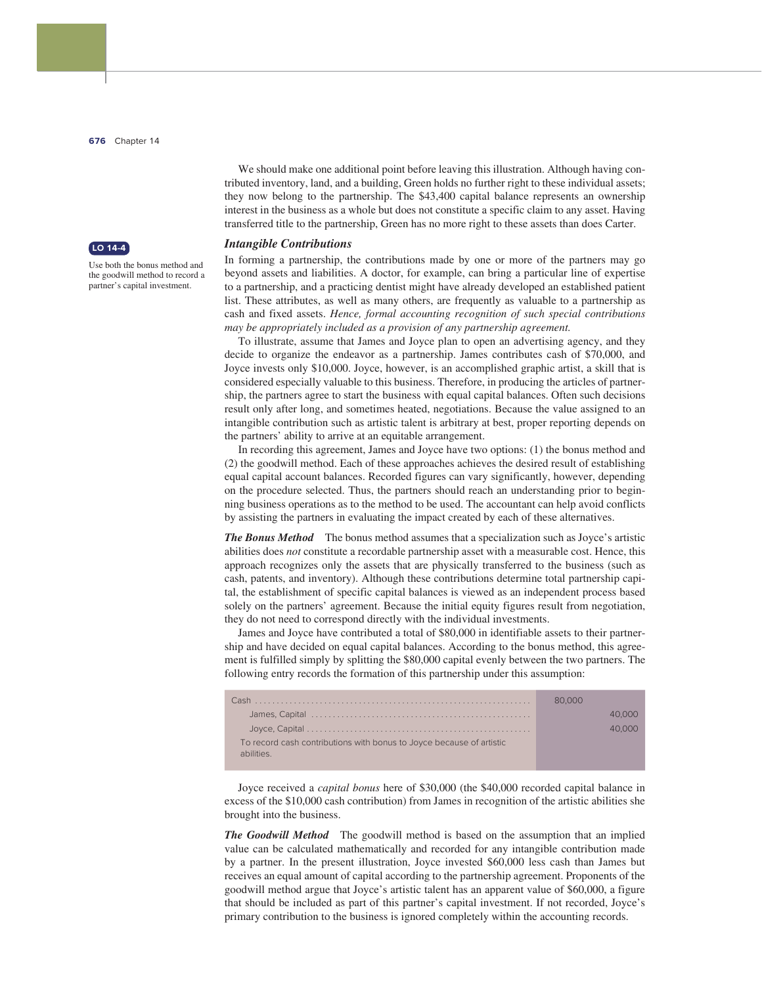

Use both the bonus method and the goodwill method to record a partner's capital investment.

We should make one additional point before leaving this illustration. Although having contributed inventory, land, and a building, Green holds no further right to these individual assets; they now belong to the partnership. The \$43,400 capital balance represents an ownership interest in the business as a whole but does not constitute a specific claim to any asset. Having transferred title to the partnership, Green has no more right to these assets than does Carter.

## *Intangible Contributions*

In forming a partnership, the contributions made by one or more of the partners may go beyond assets and liabilities. A doctor, for example, can bring a particular line of expertise to a partnership, and a practicing dentist might have already developed an established patient list. These attributes, as well as many others, are frequently as valuable to a partnership as cash and fixed assets. *Hence, formal accounting recognition of such special contributions may be appropriately included as a provision of any partnership agreement.*

To illustrate, assume that James and Joyce plan to open an advertising agency, and they decide to organize the endeavor as a partnership. James contributes cash of \$70,000, and Joyce invests only \$10,000. Joyce, however, is an accomplished graphic artist, a skill that is considered especially valuable to this business. Therefore, in producing the articles of partnership, the partners agree to start the business with equal capital balances. Often such decisions result only after long, and sometimes heated, negotiations. Because the value assigned to an intangible contribution such as artistic talent is arbitrary at best, proper reporting depends on the partners' ability to arrive at an equitable arrangement.

In recording this agreement, James and Joyce have two options: (1) the bonus method and (2) the goodwill method. Each of these approaches achieves the desired result of establishing equal capital account balances. Recorded figures can vary significantly, however, depending on the procedure selected. Thus, the partners should reach an understanding prior to beginning business operations as to the method to be used. The accountant can help avoid conflicts by assisting the partners in evaluating the impact created by each of these alternatives.

*The Bonus Method* The bonus method assumes that a specialization such as Joyce's artistic abilities does *not* constitute a recordable partnership asset with a measurable cost. Hence, this approach recognizes only the assets that are physically transferred to the business (such as cash, patents, and inventory). Although these contributions determine total partnership capital, the establishment of specific capital balances is viewed as an independent process based solely on the partners' agreement. Because the initial equity figures result from negotiation, they do not need to correspond directly with the individual investments.

James and Joyce have contributed a total of \$80,000 in identifiable assets to their partnership and have decided on equal capital balances. According to the bonus method, this agreement is fulfilled simply by splitting the \$80,000 capital evenly between the two partners. The following entry records the formation of this partnership under this assumption: hip and have decided on equal capital balances. According to the bonus meth-<br>hent is fulfilled simply by splitting the \$80,000 capital evenly between the two-<br>pllowing entry records the formation of this partnership under

| nent is fulfilled simply by splitting the \$80,000 capital evenly between the two partners. The<br>ollowing entry records the formation of this partnership under this assumption: |                            |
|------------------------------------------------------------------------------------------------------------------------------------------------------------------------------------|----------------------------|
| To record cash contributions with bonus to Joyce because of artistic<br>abilities.                                                                                                 | 80,000<br>40,000<br>40,000 |

Joyce received a *capital bonus* here of \$30,000 (the \$40,000 recorded capital balance in excess of the \$10,000 cash contribution) from James in recognition of the artistic abilities she brought into the business.

*The Goodwill Method* The goodwill method is based on the assumption that an implied value can be calculated mathematically and recorded for any intangible contribution made by a partner. In the present illustration, Joyce invested \$60,000 less cash than James but receives an equal amount of capital according to the partnership agreement. Proponents of the goodwill method argue that Joyce's artistic talent has an apparent value of \$60,000, a figure that should be included as part of this partner's capital investment. If not recorded, Joyce's primary contribution to the business is ignored completely within the accounting records.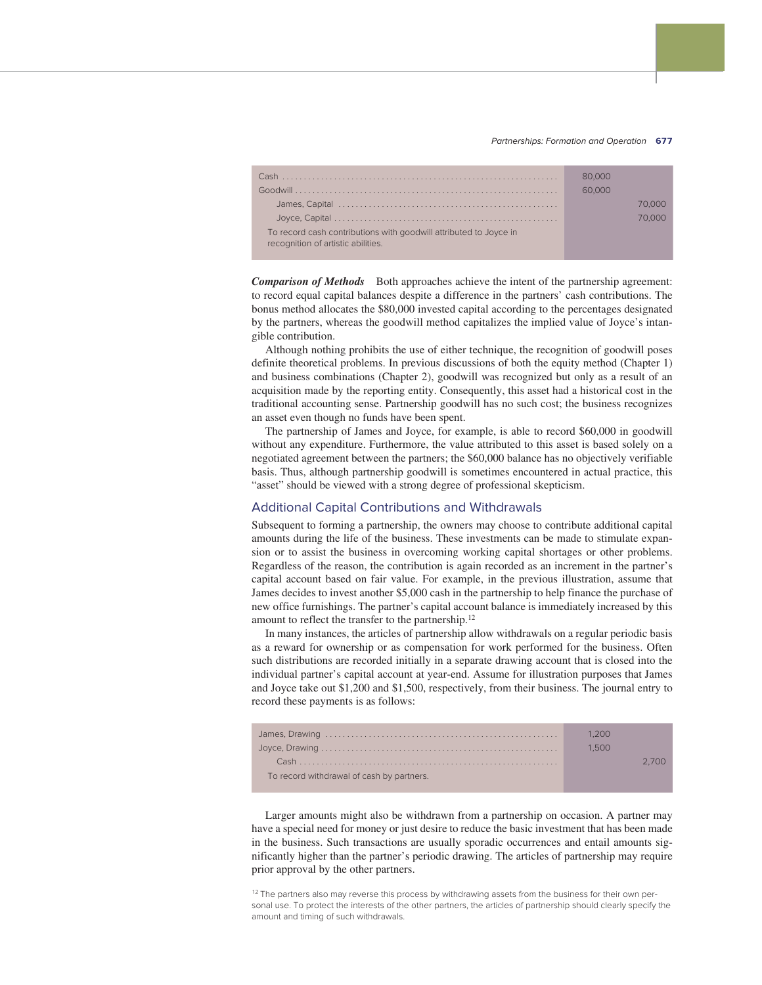|                                                                   | 677<br>Partnerships: Formation and Operation |
|-------------------------------------------------------------------|----------------------------------------------|
|                                                                   | 80,000                                       |
|                                                                   | 60,000                                       |
|                                                                   | 70,000                                       |
|                                                                   | 70,000                                       |
| To record cash contributions with goodwill attributed to Joyce in |                                              |

*Comparison of Methods* Both approaches achieve the intent of the partnership agreement: to record equal capital balances despite a difference in the partners' cash contributions. The bonus method allocates the \$80,000 invested capital according to the percentages designated by the partners, whereas the goodwill method capitalizes the implied value of Joyce's intangible contribution.

Although nothing prohibits the use of either technique, the recognition of goodwill poses definite theoretical problems. In previous discussions of both the equity method (Chapter 1) and business combinations (Chapter 2), goodwill was recognized but only as a result of an acquisition made by the reporting entity. Consequently, this asset had a historical cost in the traditional accounting sense. Partnership goodwill has no such cost; the business recognizes an asset even though no funds have been spent.

The partnership of James and Joyce, for example, is able to record \$60,000 in goodwill without any expenditure. Furthermore, the value attributed to this asset is based solely on a negotiated agreement between the partners; the \$60,000 balance has no objectively verifiable basis. Thus, although partnership goodwill is sometimes encountered in actual practice, this "asset" should be viewed with a strong degree of professional skepticism.

## Additional Capital Contributions and Withdrawals

Subsequent to forming a partnership, the owners may choose to contribute additional capital amounts during the life of the business. These investments can be made to stimulate expansion or to assist the business in overcoming working capital shortages or other problems. Regardless of the reason, the contribution is again recorded as an increment in the partner's capital account based on fair value. For example, in the previous illustration, assume that James decides to invest another \$5,000 cash in the partnership to help finance the purchase of new office furnishings. The partner's capital account balance is immediately increased by this amount to reflect the transfer to the partnership.12

In many instances, the articles of partnership allow withdrawals on a regular periodic basis as a reward for ownership or as compensation for work performed for the business. Often such distributions are recorded initially in a separate drawing account that is closed into the individual partner's capital account at year-end. Assume for illustration purposes that James and Joyce take out \$1,200 and \$1,500, respectively, from their business. The journal entry to record these payments is as follows:<br>The second these payments is as follows:<br>James, Drawing ................................... record these payments is as follows:

| ecord these payments is as follows:       |                |       |
|-------------------------------------------|----------------|-------|
| To record withdrawal of cash by partners. | 1.200<br>1.500 | 2 700 |

Larger amounts might also be withdrawn from a partnership on occasion. A partner may have a special need for money or just desire to reduce the basic investment that has been made in the business. Such transactions are usually sporadic occurrences and entail amounts significantly higher than the partner's periodic drawing. The articles of partnership may require prior approval by the other partners.

<sup>12</sup> The partners also may reverse this process by withdrawing assets from the business for their own personal use. To protect the interests of the other partners, the articles of partnership should clearly specify the amount and timing of such withdrawals.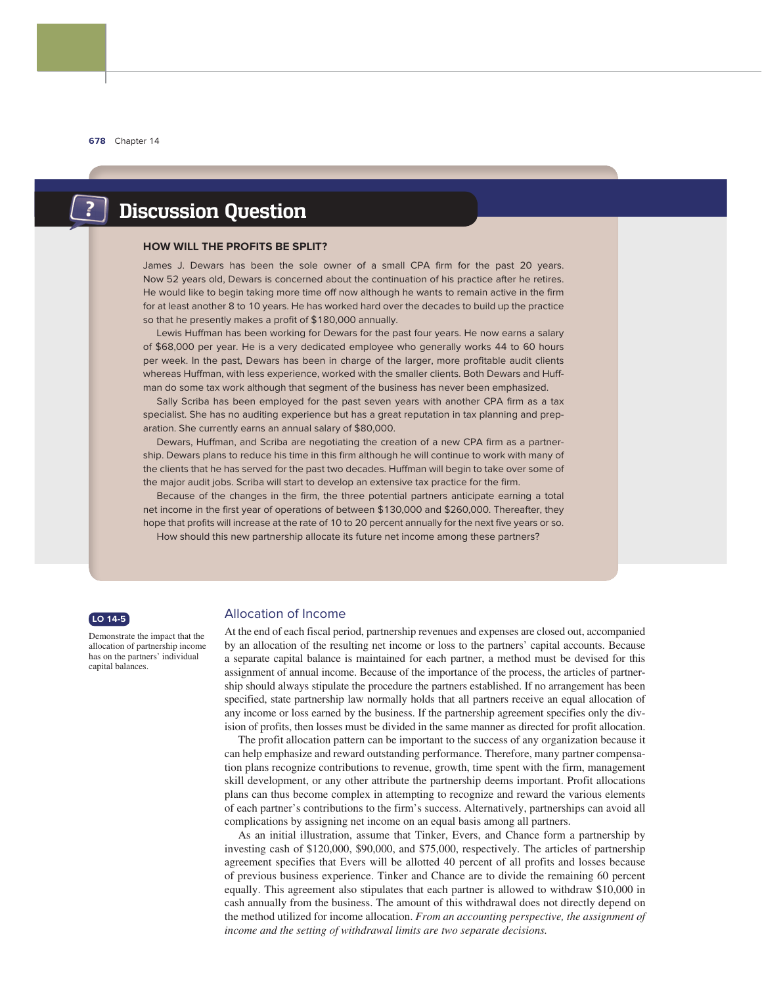# **Discussion Question**

## **HOW WILL THE PROFITS BE SPLIT?**

James J. Dewars has been the sole owner of a small CPA firm for the past 20 years. Now 52 years old, Dewars is concerned about the continuation of his practice after he retires. He would like to begin taking more time off now although he wants to remain active in the firm for at least another 8 to 10 years. He has worked hard over the decades to build up the practice so that he presently makes a profit of \$180,000 annually.

Lewis Huffman has been working for Dewars for the past four years. He now earns a salary of \$68,000 per year. He is a very dedicated employee who generally works 44 to 60 hours per week. In the past, Dewars has been in charge of the larger, more profitable audit clients whereas Huffman, with less experience, worked with the smaller clients. Both Dewars and Huffman do some tax work although that segment of the business has never been emphasized.

Sally Scriba has been employed for the past seven years with another CPA firm as a tax specialist. She has no auditing experience but has a great reputation in tax planning and preparation. She currently earns an annual salary of \$80,000.

Dewars, Huffman, and Scriba are negotiating the creation of a new CPA firm as a partnership. Dewars plans to reduce his time in this firm although he will continue to work with many of the clients that he has served for the past two decades. Huffman will begin to take over some of the major audit jobs. Scriba will start to develop an extensive tax practice for the firm.

Because of the changes in the firm, the three potential partners anticipate earning a total net income in the first year of operations of between \$130,000 and \$260,000. Thereafter, they hope that profits will increase at the rate of 10 to 20 percent annually for the next five years or so. How should this new partnership allocate its future net income among these partners?



Demonstrate the impact that the allocation of partnership income has on the partners' individual capital balances.

## Allocation of Income

At the end of each fiscal period, partnership revenues and expenses are closed out, accompanied by an allocation of the resulting net income or loss to the partners' capital accounts. Because a separate capital balance is maintained for each partner, a method must be devised for this assignment of annual income. Because of the importance of the process, the articles of partnership should always stipulate the procedure the partners established. If no arrangement has been specified, state partnership law normally holds that all partners receive an equal allocation of any income or loss earned by the business. If the partnership agreement specifies only the division of profits, then losses must be divided in the same manner as directed for profit allocation.

The profit allocation pattern can be important to the success of any organization because it can help emphasize and reward outstanding performance. Therefore, many partner compensation plans recognize contributions to revenue, growth, time spent with the firm, management skill development, or any other attribute the partnership deems important. Profit allocations plans can thus become complex in attempting to recognize and reward the various elements of each partner's contributions to the firm's success. Alternatively, partnerships can avoid all complications by assigning net income on an equal basis among all partners.

As an initial illustration, assume that Tinker, Evers, and Chance form a partnership by investing cash of \$120,000, \$90,000, and \$75,000, respectively. The articles of partnership agreement specifies that Evers will be allotted 40 percent of all profits and losses because of previous business experience. Tinker and Chance are to divide the remaining 60 percent equally. This agreement also stipulates that each partner is allowed to withdraw \$10,000 in cash annually from the business. The amount of this withdrawal does not directly depend on the method utilized for income allocation. *From an accounting perspective, the assignment of income and the setting of withdrawal limits are two separate decisions.*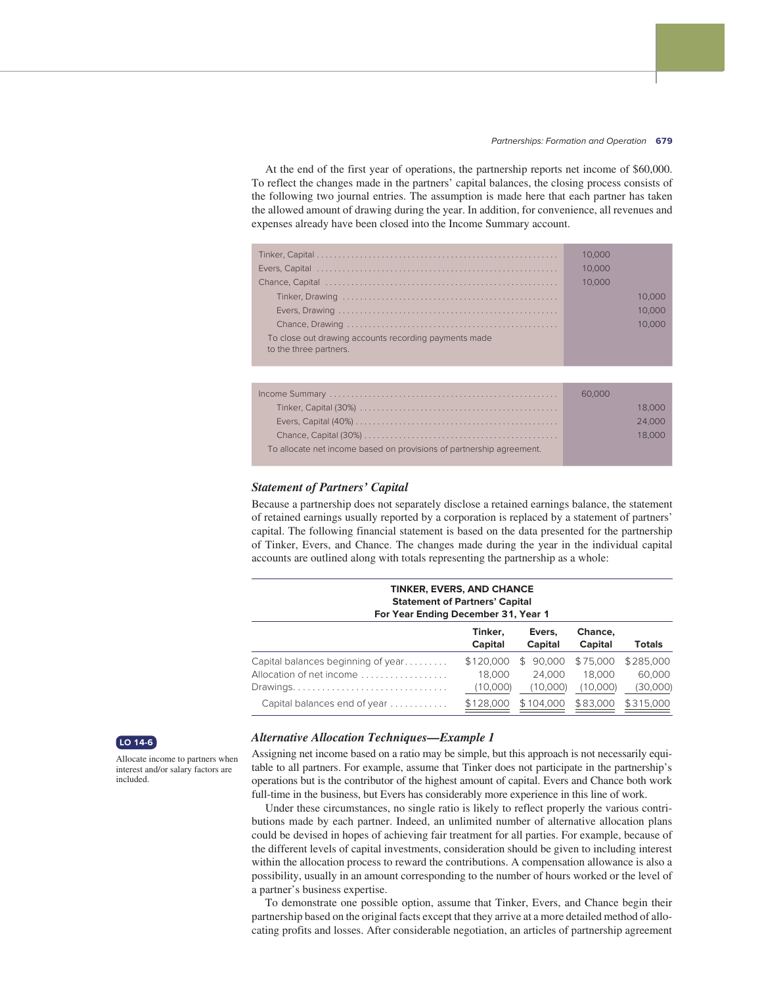At the end of the first year of operations, the partnership reports net income of \$60,000. To reflect the changes made in the partners' capital balances, the closing process consists of the following two journal entries. The assumption is made here that each partner has taken the allowed amount of drawing during the year. In addition, for convenience, all revenues and expenses already have been closed into the Income Summary account. At the end of the first year of operations, the partnership reports net incom<br>
o reflect the changes made in the partners' capital balances, the closing proce<br>
ne following two journal entries. The assumption is made here At the end of the first year of operations, the partnership reports net incom<br>
o reflect the changes made in the partners' capital balances, the closing proce<br>
ne following two journal entries. The assumption is made here o reflect the changes made in the partners' capital balances, the closing proce<br>
e following two journal entries. The assumption is made here that each partie<br>
ine allowed amount of drawing during the year. In addition, fo

| ne following two fournal entries. The assumption is made nere that each partner has taken<br>he allowed amount of drawing during the year. In addition, for convenience, all revenues and<br>xpenses already have been closed into the Income Summary account. |                            |                            |
|----------------------------------------------------------------------------------------------------------------------------------------------------------------------------------------------------------------------------------------------------------------|----------------------------|----------------------------|
| To close out drawing accounts recording payments made<br>to the three partners.                                                                                                                                                                                | 10,000<br>10,000<br>10,000 | 10,000<br>10,000<br>10,000 |
|                                                                                                                                                                                                                                                                |                            |                            |
|                                                                                                                                                                                                                                                                | 60,000                     | 18,000                     |

| To close out drawing accounts recording payments made<br>to the three partners. |        |
|---------------------------------------------------------------------------------|--------|
|                                                                                 |        |
|                                                                                 | 60,000 |
|                                                                                 | 18,000 |
|                                                                                 | 24,000 |
|                                                                                 | 18,000 |
| To allocate net income based on provisions of partnership agreement.            |        |
|                                                                                 |        |

## *Statement of Partners' Capital*

Because a partnership does not separately disclose a retained earnings balance, the statement of retained earnings usually reported by a corporation is replaced by a statement of partners' capital. The following financial statement is based on the data presented for the partnership of Tinker, Evers, and Chance. The changes made during the year in the individual capital accounts are outlined along with totals representing the partnership as a whole:

| <b>TINKER, EVERS, AND CHANCE</b><br><b>Statement of Partners' Capital</b><br>For Year Ending December 31, Year 1 |                                 |                                |                                |                                 |
|------------------------------------------------------------------------------------------------------------------|---------------------------------|--------------------------------|--------------------------------|---------------------------------|
|                                                                                                                  | Tinker,<br>Capital              | Evers.<br>Capital              | Chance.<br>Capital             | Totals                          |
| Capital balances beginning of year<br>Allocation of net income<br>Drawings                                       | \$120,000<br>18,000<br>(10,000) | \$90.000<br>24,000<br>(10,000) | \$75,000<br>18,000<br>(10,000) | \$285,000<br>60,000<br>(30,000) |
| Capital balances end of year                                                                                     | \$128,000                       | \$104,000                      | \$83,000                       | \$315,000                       |



Allocate income to partners when interest and/or salary factors are included.

## *Alternative Allocation Techniques—Example 1*

Assigning net income based on a ratio may be simple, but this approach is not necessarily equitable to all partners. For example, assume that Tinker does not participate in the partnership's operations but is the contributor of the highest amount of capital. Evers and Chance both work full-time in the business, but Evers has considerably more experience in this line of work.

Under these circumstances, no single ratio is likely to reflect properly the various contributions made by each partner. Indeed, an unlimited number of alternative allocation plans could be devised in hopes of achieving fair treatment for all parties. For example, because of the different levels of capital investments, consideration should be given to including interest within the allocation process to reward the contributions. A compensation allowance is also a possibility, usually in an amount corresponding to the number of hours worked or the level of a partner's business expertise.

To demonstrate one possible option, assume that Tinker, Evers, and Chance begin their partnership based on the original facts except that they arrive at a more detailed method of allocating profits and losses. After considerable negotiation, an articles of partnership agreement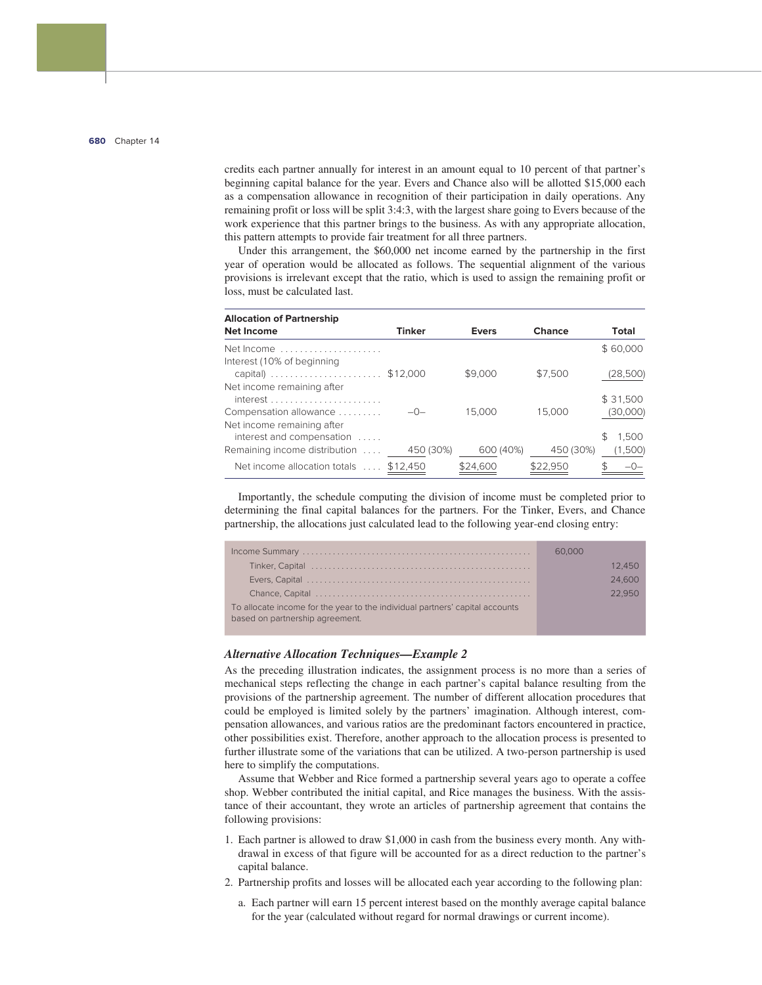credits each partner annually for interest in an amount equal to 10 percent of that partner's beginning capital balance for the year. Evers and Chance also will be allotted \$15,000 each as a compensation allowance in recognition of their participation in daily operations. Any remaining profit or loss will be split 3:4:3, with the largest share going to Evers because of the work experience that this partner brings to the business. As with any appropriate allocation, this pattern attempts to provide fair treatment for all three partners.

Under this arrangement, the \$60,000 net income earned by the partnership in the first year of operation would be allocated as follows. The sequential alignment of the various provisions is irrelevant except that the ratio, which is used to assign the remaining profit or loss, must be calculated last.

| year of operation would be allocated as follows. The sequential alignment of the various<br>provisions is irrelevant except that the ratio, which is used to assign the remaining profit or<br>loss, must be calculated last. |               |              |               |                         |
|-------------------------------------------------------------------------------------------------------------------------------------------------------------------------------------------------------------------------------|---------------|--------------|---------------|-------------------------|
| <b>Allocation of Partnership</b><br><b>Net Income</b>                                                                                                                                                                         | <b>Tinker</b> | <b>Evers</b> | <b>Chance</b> | Total                   |
| Net Income $\ldots \ldots \ldots \ldots \ldots$<br>Interest (10% of beginning                                                                                                                                                 |               | \$9,000      |               | \$60,000                |
| capital) \$12,000<br>Net income remaining after                                                                                                                                                                               |               |              | \$7,500       | (28,500)<br>\$31.500    |
| Compensation allowance<br>Net income remaining after<br>interest and compensation                                                                                                                                             | $ \cap$       | 15,000       | 15,000        | (30,000)<br>1,500<br>\$ |
| Remaining income distribution                                                                                                                                                                                                 | 450 (30%)     | 600 (40%)    | 450 (30%)     | (1,500)                 |
| Net income allocation totals  \$12,450                                                                                                                                                                                        |               | \$24,600     | \$22,950      | $-0-$                   |

Importantly, the schedule computing the division of income must be competermining the final capital balances for the partners. For the Tinker, Evers artnership, the allocations just calculated lead to the following year-en Importantly, the schedule computing the division of income must be completed prior the extermining the final capital balances for the partners. For the Tinker, Evers, and Chance artnership, the allocations just calculated Importantly, the schedule computing the division of income must be completed prior to determining the final capital balances for the partners. For the Tinker, Evers, and Chance partnership, the allocations just calculated lead to the following year-end closing entry:

| determining the final capital balances for the partners. For the Tinker, Evers, and Chance<br>partnership, the allocations just calculated lead to the following year-end closing entry: |        |
|------------------------------------------------------------------------------------------------------------------------------------------------------------------------------------------|--------|
|                                                                                                                                                                                          | 60,000 |
|                                                                                                                                                                                          | 12.450 |
|                                                                                                                                                                                          | 24,600 |
|                                                                                                                                                                                          | 22.950 |
| To allocate income for the year to the individual partners' capital accounts<br>based on partnership agreement.                                                                          |        |

## *Alternative Allocation Techniques—Example 2*

As the preceding illustration indicates, the assignment process is no more than a series of mechanical steps reflecting the change in each partner's capital balance resulting from the provisions of the partnership agreement. The number of different allocation procedures that could be employed is limited solely by the partners' imagination. Although interest, compensation allowances, and various ratios are the predominant factors encountered in practice, other possibilities exist. Therefore, another approach to the allocation process is presented to further illustrate some of the variations that can be utilized. A two-person partnership is used here to simplify the computations.

Assume that Webber and Rice formed a partnership several years ago to operate a coffee shop. Webber contributed the initial capital, and Rice manages the business. With the assistance of their accountant, they wrote an articles of partnership agreement that contains the following provisions:

- 1. Each partner is allowed to draw \$1,000 in cash from the business every month. Any withdrawal in excess of that figure will be accounted for as a direct reduction to the partner's capital balance.
- 2. Partnership profits and losses will be allocated each year according to the following plan:
	- a. Each partner will earn 15 percent interest based on the monthly average capital balance for the year (calculated without regard for normal drawings or current income).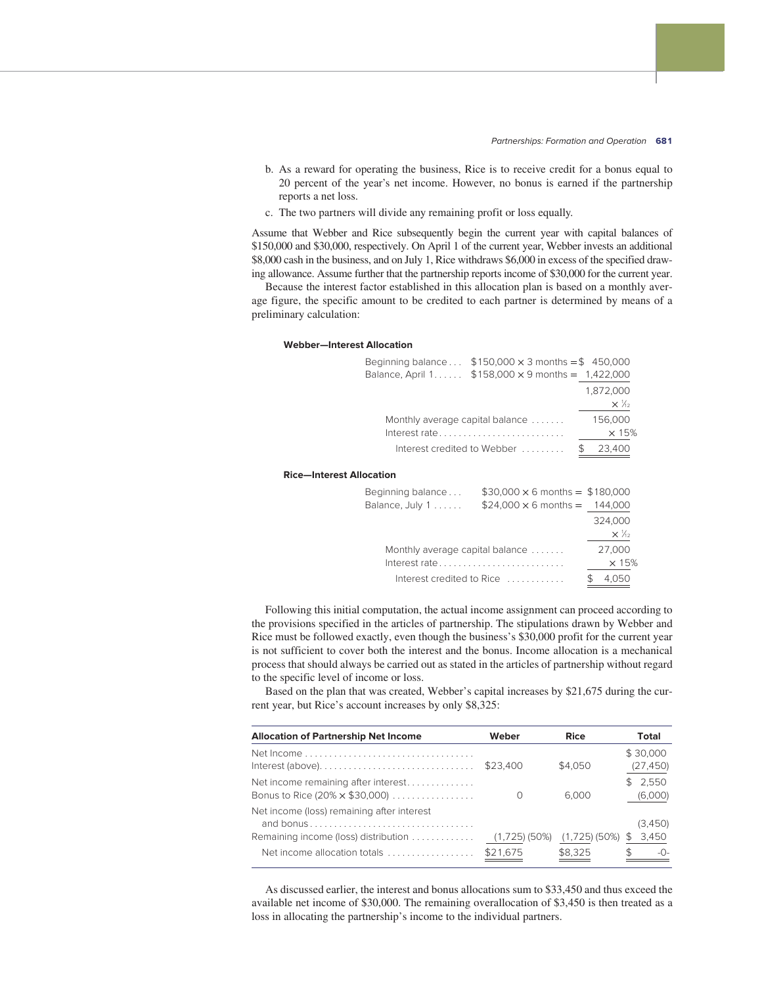- b. As a reward for operating the business, Rice is to receive credit for a bonus equal to 20 percent of the year's net income. However, no bonus is earned if the partnership reports a net loss.
- c. The two partners will divide any remaining profit or loss equally.

Assume that Webber and Rice subsequently begin the current year with capital balances of \$150,000 and \$30,000, respectively. On April 1 of the current year, Webber invests an additional \$8,000 cash in the business, and on July 1, Rice withdraws \$6,000 in excess of the specified drawing allowance. Assume further that the partnership reports income of \$30,000 for the current year.

Because the interest factor established in this allocation plan is based on a monthly average figure, the specific amount to be credited to each partner is determined by means of a preliminary calculation: wance. Assume further that the partnership reports income of \$30,000 for the cuase the interest factor established in this allocation plan is based on a monture, the specific amount to be credited to each partner is deter ause the interest factor established in this allocation plan is based on a moniture, the specific amount to be credited to each partner is determined by m<br>nary calculation:<br>**Webber—Interest Allocation**<br>Beginning balance .

## **Webber—Interest Allocation**

| <b>Webber-Interest Allocation</b> |                                      |                                                                                                              |                                     |
|-----------------------------------|--------------------------------------|--------------------------------------------------------------------------------------------------------------|-------------------------------------|
|                                   | Beginning balance                    | $$150,000 \times 3$ months = \$450,000<br>Balance, April $1 \dots 1$ \$158,000 $\times$ 9 months = 1,422,000 |                                     |
|                                   |                                      |                                                                                                              | 1.872.000<br>$\times$ $\frac{1}{2}$ |
|                                   |                                      | Monthly average capital balance<br>Interest rate                                                             | 156,000<br>$\times$ 15%             |
|                                   |                                      | Interest credited to Webber                                                                                  | 23,400                              |
| <b>Rice-Interest Allocation</b>   |                                      |                                                                                                              |                                     |
|                                   | Beginning balance<br>Balance, July 1 | $$30,000 \times 6$ months = \$180,000<br>$$24,000 \times 6$ months = 144,000                                 |                                     |

| <u>RICE—IIIIEIESI AIIUCAUVII</u> |                                 |                                       |                        |
|----------------------------------|---------------------------------|---------------------------------------|------------------------|
|                                  | Beginning balance               | $$30,000 \times 6$ months = \$180,000 |                        |
|                                  | Balance, July 1                 | $$24,000 \times 6$ months = 144,000   |                        |
|                                  |                                 |                                       | 324,000                |
|                                  |                                 |                                       | $\times$ $\frac{1}{2}$ |
|                                  | Monthly average capital balance |                                       | 27,000                 |
|                                  | Interest rate                   |                                       | $\times$ 15%           |
|                                  |                                 | Interest credited to Rice             | 4.050                  |
|                                  |                                 |                                       |                        |

Following this initial computation, the actual income assignment can proceed according to the provisions specified in the articles of partnership. The stipulations drawn by Webber and Rice must be followed exactly, even though the business's \$30,000 profit for the current year is not sufficient to cover both the interest and the bonus. Income allocation is a mechanical process that should always be carried out as stated in the articles of partnership without regard to the specific level of income or loss.

Based on the plan that was created, Webber's capital increases by \$21,675 during the cur-

| rent year, but Rice's account increases by only \$8,325:                                  |                  |                                 |                       |
|-------------------------------------------------------------------------------------------|------------------|---------------------------------|-----------------------|
| <b>Allocation of Partnership Net Income</b>                                               | Weber            | <b>Rice</b>                     | <b>Total</b>          |
| Interest (above). $\ldots \ldots \ldots \ldots \ldots \ldots \ldots \ldots \ldots \ldots$ | \$23,400         | \$4.050                         | \$30,000<br>(27, 450) |
| Net income remaining after interest<br>Bonus to Rice (20% x \$30,000)                     | $\left( \right)$ | 6.000                           | \$2.550<br>(6,000)    |
| Net income (loss) remaining after interest<br>Remaining income (loss) distribution        |                  | $(1,725)$ (50%) $(1,725)$ (50%) | (3,450)<br>3,450<br>S |
| Net income allocation totals                                                              | \$21,675         | \$8,325                         |                       |

As discussed earlier, the interest and bonus allocations sum to \$33,450 and thus exceed the available net income of \$30,000. The remaining overallocation of \$3,450 is then treated as a loss in allocating the partnership's income to the individual partners.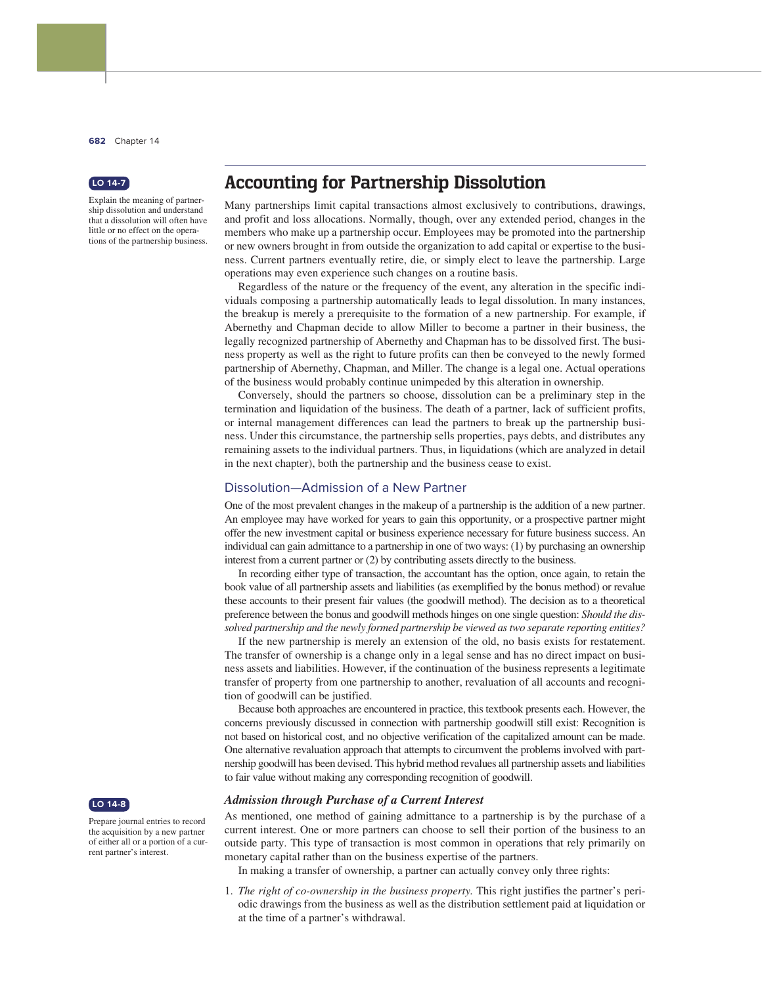

Explain the meaning of partnership dissolution and understand that a dissolution will often have little or no effect on the operations of the partnership business.

## **Accounting for Partnership Dissolution**

Many partnerships limit capital transactions almost exclusively to contributions, drawings, and profit and loss allocations. Normally, though, over any extended period, changes in the members who make up a partnership occur. Employees may be promoted into the partnership or new owners brought in from outside the organization to add capital or expertise to the business. Current partners eventually retire, die, or simply elect to leave the partnership. Large operations may even experience such changes on a routine basis.

Regardless of the nature or the frequency of the event, any alteration in the specific individuals composing a partnership automatically leads to legal dissolution. In many instances, the breakup is merely a prerequisite to the formation of a new partnership. For example, if Abernethy and Chapman decide to allow Miller to become a partner in their business, the legally recognized partnership of Abernethy and Chapman has to be dissolved first. The business property as well as the right to future profits can then be conveyed to the newly formed partnership of Abernethy, Chapman, and Miller. The change is a legal one. Actual operations of the business would probably continue unimpeded by this alteration in ownership.

Conversely, should the partners so choose, dissolution can be a preliminary step in the termination and liquidation of the business. The death of a partner, lack of sufficient profits, or internal management differences can lead the partners to break up the partnership business. Under this circumstance, the partnership sells properties, pays debts, and distributes any remaining assets to the individual partners. Thus, in liquidations (which are analyzed in detail in the next chapter), both the partnership and the business cease to exist.

## Dissolution—Admission of a New Partner

One of the most prevalent changes in the makeup of a partnership is the addition of a new partner. An employee may have worked for years to gain this opportunity, or a prospective partner might offer the new investment capital or business experience necessary for future business success. An individual can gain admittance to a partnership in one of two ways: (1) by purchasing an ownership interest from a current partner or (2) by contributing assets directly to the business.

In recording either type of transaction, the accountant has the option, once again, to retain the book value of all partnership assets and liabilities (as exemplified by the bonus method) or revalue these accounts to their present fair values (the goodwill method). The decision as to a theoretical preference between the bonus and goodwill methods hinges on one single question: *Should the dissolved partnership and the newly formed partnership be viewed as two separate reporting entities?*

If the new partnership is merely an extension of the old, no basis exists for restatement. The transfer of ownership is a change only in a legal sense and has no direct impact on business assets and liabilities. However, if the continuation of the business represents a legitimate transfer of property from one partnership to another, revaluation of all accounts and recognition of goodwill can be justified.

Because both approaches are encountered in practice, this textbook presents each. However, the concerns previously discussed in connection with partnership goodwill still exist: Recognition is not based on historical cost, and no objective verification of the capitalized amount can be made. One alternative revaluation approach that attempts to circumvent the problems involved with partnership goodwill has been devised. This hybrid method revalues all partnership assets and liabilities to fair value without making any corresponding recognition of goodwill.

## *Admission through Purchase of a Current Interest*

As mentioned, one method of gaining admittance to a partnership is by the purchase of a current interest. One or more partners can choose to sell their portion of the business to an outside party. This type of transaction is most common in operations that rely primarily on monetary capital rather than on the business expertise of the partners.

In making a transfer of ownership, a partner can actually convey only three rights:

1. *The right of co-ownership in the business property.* This right justifies the partner's periodic drawings from the business as well as the distribution settlement paid at liquidation or at the time of a partner's withdrawal.



Prepare journal entries to record the acquisition by a new partner of either all or a portion of a current partner's interest.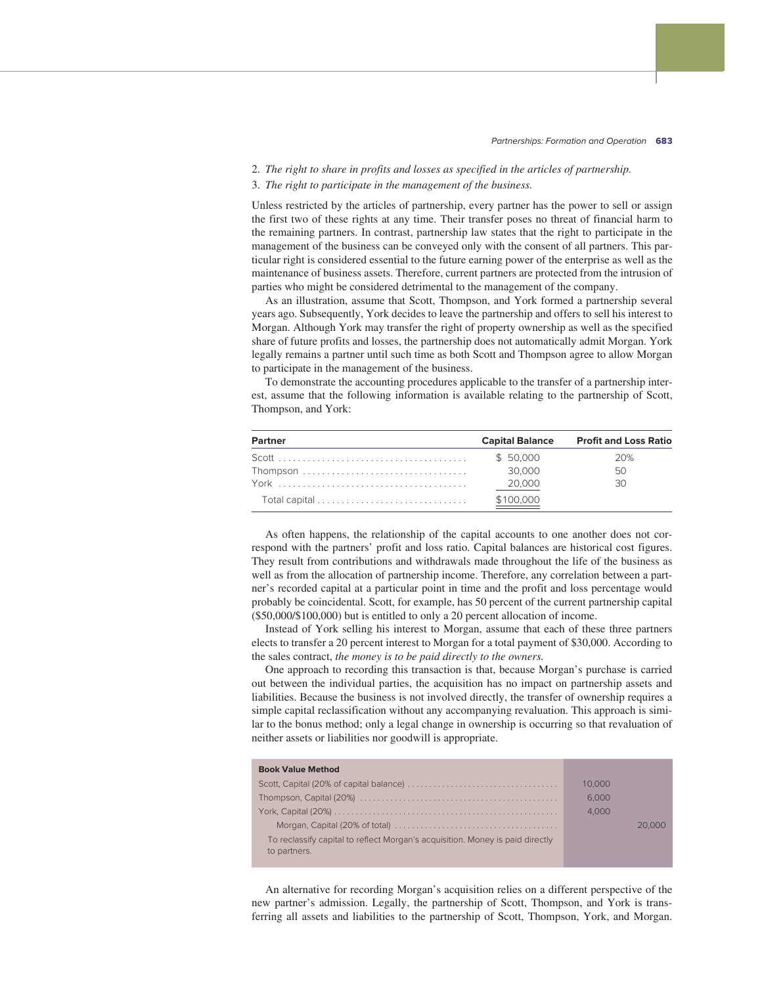2. *The right to share in profits and losses as specified in the articles of partnership.*

## 3. *The right to participate in the management of the business.*

Unless restricted by the articles of partnership, every partner has the power to sell or assign the first two of these rights at any time. Their transfer poses no threat of financial harm to the remaining partners. In contrast, partnership law states that the right to participate in the management of the business can be conveyed only with the consent of all partners. This particular right is considered essential to the future earning power of the enterprise as well as the maintenance of business assets. Therefore, current partners are protected from the intrusion of parties who might be considered detrimental to the management of the company.

As an illustration, assume that Scott, Thompson, and York formed a partnership several years ago. Subsequently, York decides to leave the partnership and offers to sell his interest to Morgan. Although York may transfer the right of property ownership as well as the specified share of future profits and losses, the partnership does not automatically admit Morgan. York legally remains a partner until such time as both Scott and Thompson agree to allow Morgan to participate in the management of the business.

To demonstrate the accounting procedures applicable to the transfer of a partnership inter-<br>
est, assume that the following information is available relating to the partnership of Scott,<br>
Thompson, and York:<br> **Partner**<br> **C** Thompson, and York:

| est, assume that the following information is available relating to the partnership of Scott,<br>Thompson, and York: |                        |                              |
|----------------------------------------------------------------------------------------------------------------------|------------------------|------------------------------|
| Partner                                                                                                              | <b>Capital Balance</b> | <b>Profit and Loss Ratio</b> |
|                                                                                                                      | \$50.000               | 20%                          |
|                                                                                                                      | 30,000                 | 50                           |
|                                                                                                                      | 20,000                 | 30                           |
|                                                                                                                      | \$100,000              |                              |

As often happens, the relationship of the capital accounts to one another does not correspond with the partners' profit and loss ratio. Capital balances are historical cost figures. They result from contributions and withdrawals made throughout the life of the business as well as from the allocation of partnership income. Therefore, any correlation between a partner's recorded capital at a particular point in time and the profit and loss percentage would probably be coincidental. Scott, for example, has 50 percent of the current partnership capital (\$50,000/\$100,000) but is entitled to only a 20 percent allocation of income.

Instead of York selling his interest to Morgan, assume that each of these three partners elects to transfer a 20 percent interest to Morgan for a total payment of \$30,000. According to the sales contract, *the money is to be paid directly to the owners.*

One approach to recording this transaction is that, because Morgan's purchase is carried out between the individual parties, the acquisition has no impact on partnership assets and liabilities. Because the business is not involved directly, the transfer of ownership requires a simple capital reclassification without any accompanying revaluation. This approach is similar to the bonus method; only a legal change in ownership is occurring so that revaluation of

| neither assets or liabilities nor goodwill is appropriate.                    |        |        |
|-------------------------------------------------------------------------------|--------|--------|
| <b>Book Value Method</b>                                                      |        |        |
|                                                                               | 10,000 |        |
|                                                                               | 6.000  |        |
|                                                                               | 4.000  |        |
|                                                                               |        | 20.000 |
| To reclassify capital to reflect Morgan's acquisition. Money is paid directly |        |        |
| to partners.                                                                  |        |        |

An alternative for recording Morgan's acquisition relies on a different perspective of the new partner's admission. Legally, the partnership of Scott, Thompson, and York is transferring all assets and liabilities to the partnership of Scott, Thompson, York, and Morgan.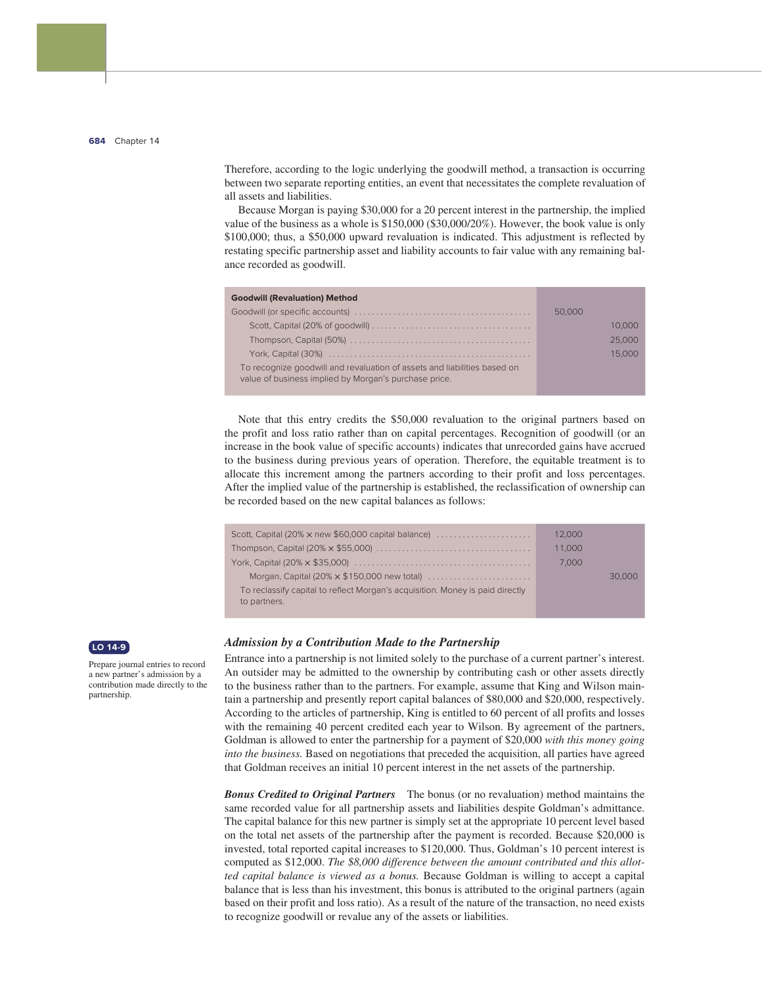Therefore, according to the logic underlying the goodwill method, a transaction is occurring between two separate reporting entities, an event that necessitates the complete revaluation of all assets and liabilities.

Because Morgan is paying \$30,000 for a 20 percent interest in the partnership, the implied value of the business as a whole is \$150,000 (\$30,000/20%). However, the book value is only \$100,000; thus, a \$50,000 upward revaluation is indicated. This adjustment is reflected by restating specific partnership asset an \$100,000; thus, a \$50,000 upward revaluation is indicated. This adjustment is reflected by restating specific partnership asset and liability accounts to fair value with any remaining balance recorded as goodwill.

| 100,000; thus, a \$50,000 upward revaluation is indicated. This adjustment is reflected by<br>estating specific partnership asset and liability accounts to fair value with any remaining bal-<br>nce recorded as goodwill. |        |
|-----------------------------------------------------------------------------------------------------------------------------------------------------------------------------------------------------------------------------|--------|
| <b>Goodwill (Revaluation) Method</b>                                                                                                                                                                                        |        |
|                                                                                                                                                                                                                             | 50,000 |
|                                                                                                                                                                                                                             | 10,000 |
|                                                                                                                                                                                                                             | 25,000 |
|                                                                                                                                                                                                                             | 15,000 |
| To recognize goodwill and revaluation of assets and liabilities based on<br>value of business implied by Morgan's purchase price.                                                                                           |        |

Scott, Capital (20% × new \$60,000 capital balance) . 12,000 After the implied value of the partnership is established, the reclassification of ownership can<br>be recorded based on the new capital balances as follows:<br>Scott, Capital (20% × new \$60,000 capital balance)<br>Thompson, Capita Note that this entry credits the \$50,000 revaluation to the original partners based on the profit and loss ratio rather than on capital percentages. Recognition of goodwill (or an increase in the book value of specific accounts) indicates that unrecorded gains have accrued to the business during previous years of operation. Therefore, the equitable treatment is to allocate this increment among the partners according to their profit and loss percentages. be recorded based on the new capital balances as follows:

| $\frac{1}{100}$ and $\frac{1}{100}$ and $\frac{1}{100}$ and $\frac{1}{100}$ and $\frac{1}{100}$ and $\frac{1}{100}$ and $\frac{1}{100}$ and $\frac{1}{100}$ and $\frac{1}{100}$ and $\frac{1}{100}$ and $\frac{1}{100}$ and $\frac{1}{100}$ and $\frac{1}{100}$ and $\frac{1}{100}$ a<br>be recorded based on the new capital balances as follows: |        |        |
|----------------------------------------------------------------------------------------------------------------------------------------------------------------------------------------------------------------------------------------------------------------------------------------------------------------------------------------------------|--------|--------|
| Scott, Capital (20% x new \$60,000 capital balance)                                                                                                                                                                                                                                                                                                | 12,000 |        |
|                                                                                                                                                                                                                                                                                                                                                    | 11,000 |        |
|                                                                                                                                                                                                                                                                                                                                                    | 7.000  |        |
|                                                                                                                                                                                                                                                                                                                                                    |        | 30,000 |
| To reclassify capital to reflect Morgan's acquisition. Money is paid directly<br>to partners.                                                                                                                                                                                                                                                      |        |        |
|                                                                                                                                                                                                                                                                                                                                                    |        |        |

## *Admission by a Contribution Made to the Partnership*

Entrance into a partnership is not limited solely to the purchase of a current partner's interest. An outsider may be admitted to the ownership by contributing cash or other assets directly to the business rather than to the partners. For example, assume that King and Wilson maintain a partnership and presently report capital balances of \$80,000 and \$20,000, respectively. According to the articles of partnership, King is entitled to 60 percent of all profits and losses with the remaining 40 percent credited each year to Wilson. By agreement of the partners, Goldman is allowed to enter the partnership for a payment of \$20,000 *with this money going into the business.* Based on negotiations that preceded the acquisition, all parties have agreed that Goldman receives an initial 10 percent interest in the net assets of the partnership.

*Bonus Credited to Original Partners* The bonus (or no revaluation) method maintains the same recorded value for all partnership assets and liabilities despite Goldman's admittance. The capital balance for this new partner is simply set at the appropriate 10 percent level based on the total net assets of the partnership after the payment is recorded. Because \$20,000 is invested, total reported capital increases to \$120,000. Thus, Goldman's 10 percent interest is computed as \$12,000. *The \$8,000 difference between the amount contributed and this allotted capital balance is viewed as a bonus.* Because Goldman is willing to accept a capital balance that is less than his investment, this bonus is attributed to the original partners (again based on their profit and loss ratio). As a result of the nature of the transaction, no need exists to recognize goodwill or revalue any of the assets or liabilities.



Prepare journal entries to record a new partner's admission by a contribution made directly to the partnership.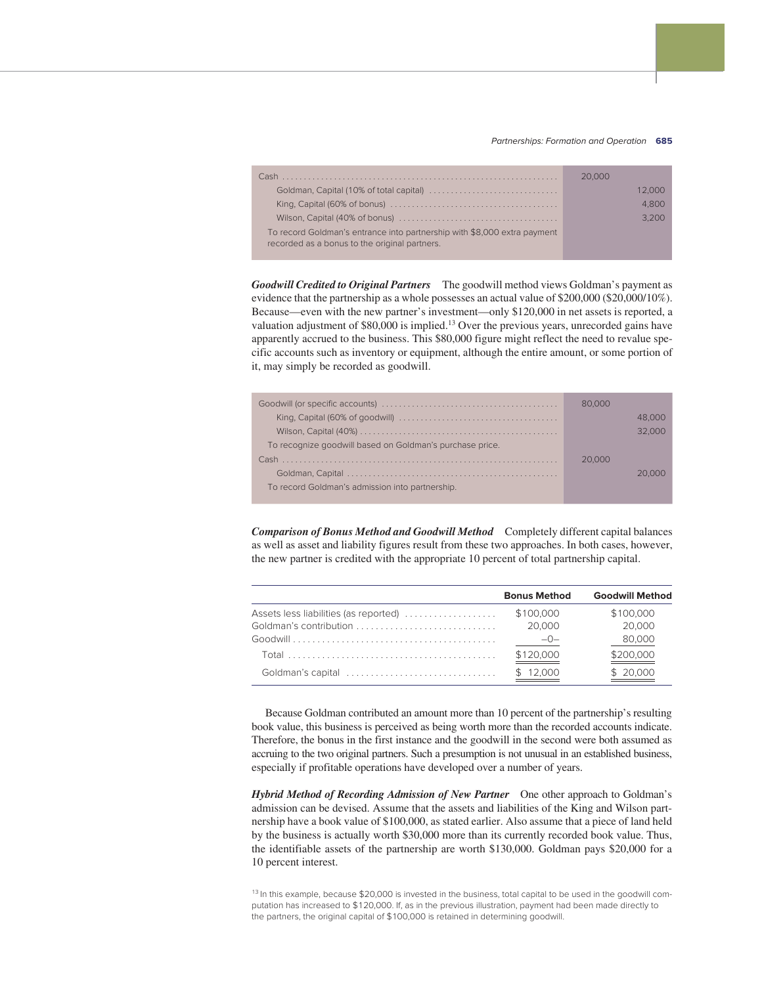|                                                                                                                                                                                                                                                         | <b>685</b><br><b>Partnerships: Formation and Operation</b> |
|---------------------------------------------------------------------------------------------------------------------------------------------------------------------------------------------------------------------------------------------------------|------------------------------------------------------------|
| Cash<br>King, Capital (60% of bonus) $\ldots \ldots \ldots \ldots \ldots \ldots \ldots \ldots \ldots \ldots \ldots \ldots$<br>To record Goldman's entrance into partnership with \$8,000 extra payment<br>recorded as a bonus to the original partners. | 20,000<br>12,000<br>4.800<br>3.200                         |

*Goodwill Credited to Original Partners* The goodwill method views Goldman's payment as evidence that the partnership as a whole possesses an actual value of \$200,000 (\$20,000/10%). Because—even with the new partner's investment—only \$120,000 in net assets is reported, a valuation adjustment of \$80,000 is implied.<sup>13</sup> Over the previous years, unrecorded gains have apparently accrued to the business. This \$80,000 figure might reflect the need to revalue specific accounts such as inventory o apparently accrued to the business. This \$80,000 figure might reflect the need to revalue specific accounts such as inventory or equipment, although the entire amount, or some portion of it, may simply be recorded as goodwill. the paymently accrued to the business. This \$80,000 figure might reflect the need to revalue specific accounts such as inventory or equipment, although the entire amount, or some portion of the payment, although the entire

| cific accounts such as inventory or equipment, although the entire amount, or some portion of<br>it, may simply be recorded as goodwill. |        |
|------------------------------------------------------------------------------------------------------------------------------------------|--------|
|                                                                                                                                          | 80,000 |
|                                                                                                                                          | 48,000 |
|                                                                                                                                          | 32,000 |
| To recognize goodwill based on Goldman's purchase price.                                                                                 |        |
|                                                                                                                                          | 20,000 |
|                                                                                                                                          | 20.000 |
| To record Goldman's admission into partnership.                                                                                          |        |
|                                                                                                                                          |        |

*Comparison of Bonus Method and Goodwill Method* Completely different capital balances as well as asset and liability figures result from these two approaches. In both cases, however, the new partner is credited with the appropriate 10 percent of total partnership capital.

| as well as asset and hability rigures result from these two approaches. In both cases, nowever,<br>the new partner is credited with the appropriate 10 percent of total partnership capital. |                     |                        |
|----------------------------------------------------------------------------------------------------------------------------------------------------------------------------------------------|---------------------|------------------------|
|                                                                                                                                                                                              | <b>Bonus Method</b> | <b>Goodwill Method</b> |
| Assets less liabilities (as reported)                                                                                                                                                        | \$100,000           | \$100,000              |
| Goldman's contribution                                                                                                                                                                       | 20,000              | 20,000                 |
|                                                                                                                                                                                              | $-0-$               | 80,000                 |
|                                                                                                                                                                                              | \$120,000           | \$200,000              |
|                                                                                                                                                                                              | \$12,000            | \$20,000               |

Because Goldman contributed an amount more than 10 percent of the partnership's resulting book value, this business is perceived as being worth more than the recorded accounts indicate. Therefore, the bonus in the first instance and the goodwill in the second were both assumed as accruing to the two original partners. Such a presumption is not unusual in an established business, especially if profitable operations have developed over a number of years.

*Hybrid Method of Recording Admission of New Partner* One other approach to Goldman's admission can be devised. Assume that the assets and liabilities of the King and Wilson partnership have a book value of \$100,000, as stated earlier. Also assume that a piece of land held by the business is actually worth \$30,000 more than its currently recorded book value. Thus, the identifiable assets of the partnership are worth \$130,000. Goldman pays \$20,000 for a 10 percent interest.

13 In this example, because \$20,000 is invested in the business, total capital to be used in the goodwill computation has increased to \$120,000. If, as in the previous illustration, payment had been made directly to the partners, the original capital of \$100,000 is retained in determining goodwill.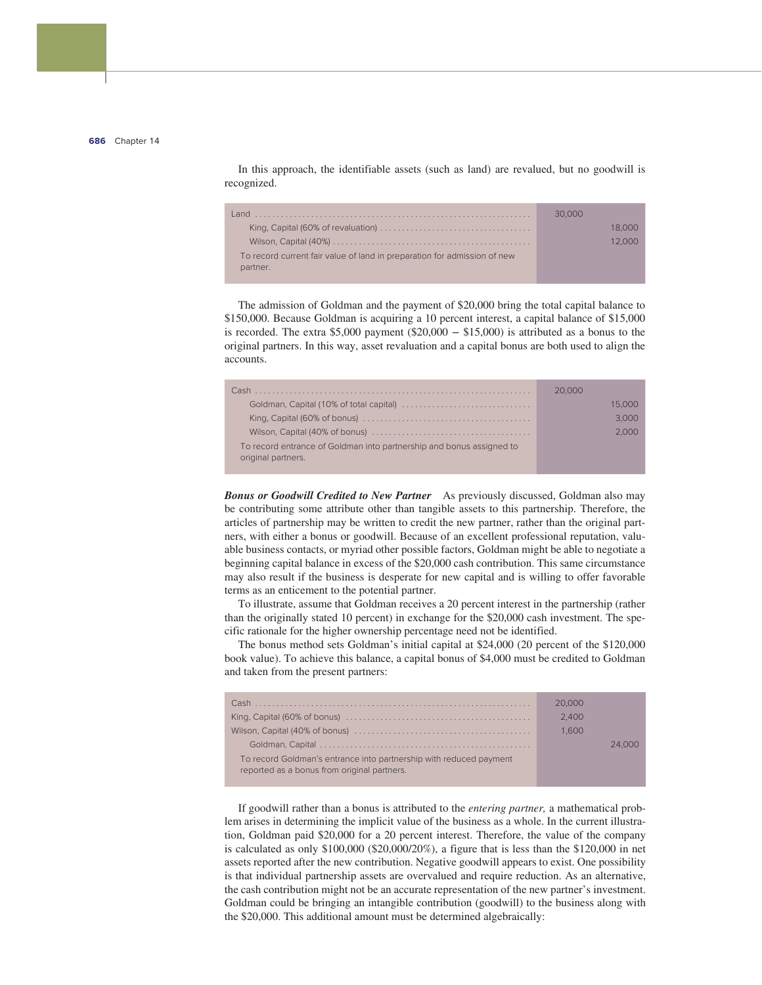In this approach, the identifiable assets (such as land) are revalued, but no goodwill is recognized. Land . 30,000

| In this approach, the identifiable assets (such as land) are revalued, but no goodwill is<br>recognized. |                            |
|----------------------------------------------------------------------------------------------------------|----------------------------|
| To record current fair value of land in preparation for admission of new<br>partner.                     | 30,000<br>18,000<br>12.000 |

The admission of Goldman and the payment of \$20,000 bring the total capi<br>150,000. Because Goldman is acquiring a 10 percent interest, a capital balan<br>1 recorded. The extra \$5,000 payment (\$20,000 – \$15,000) is attributed a 150,000. Because Goldman is acquiring a 10 percent interest, a capital balance of \$15,00<br>recorded. The extra \$5,000 payment (\$20,000 - \$15,000) is attributed as a bonus to the<br>riginal partners. In this way, asset revaluat The admission of Goldman and the payment of \$20,000 bring the total capital balance to \$150,000. Because Goldman is acquiring a 10 percent interest, a capital balance of \$15,000 is recorded. The extra \$5,000 payment (\$20,000 − \$15,000) is attributed as a bonus to the original partners. In this way, asset revaluation and a capital bonus are both used to align the accounts.

| is recorded. The extra $\mathfrak{D},000$ payment ( $\mathfrak{D}20,000 = \mathfrak{D}10,000$ ) is attributed as a bonus to the<br>portiginal partners. In this way, asset revaluation and a capital bonus are both used to align the<br>accounts. |        |
|----------------------------------------------------------------------------------------------------------------------------------------------------------------------------------------------------------------------------------------------------|--------|
|                                                                                                                                                                                                                                                    | 20,000 |
|                                                                                                                                                                                                                                                    | 15,000 |
|                                                                                                                                                                                                                                                    | 3,000  |
|                                                                                                                                                                                                                                                    | 2.000  |
| To record entrance of Goldman into partnership and bonus assigned to<br>original partners.                                                                                                                                                         |        |

*Bonus or Goodwill Credited to New Partner* As previously discussed, Goldman also may be contributing some attribute other than tangible assets to this partnership. Therefore, the articles of partnership may be written to credit the new partner, rather than the original partners, with either a bonus or goodwill. Because of an excellent professional reputation, valuable business contacts, or myriad other possible factors, Goldman might be able to negotiate a beginning capital balance in excess of the \$20,000 cash contribution. This same circumstance may also result if the business is desperate for new capital and is willing to offer favorable terms as an enticement to the potential partner.

To illustrate, assume that Goldman receives a 20 percent interest in the partnership (rather than the originally stated 10 percent) in exchange for the \$20,000 cash investment. The specific rationale for the higher ownership percentage need not be identified.

The bonus method sets Goldman s initial capital at  $\frac{324,000}{20}$  (20 percent of ook value). To achieve this balance, a capital bonus of \$4,000 must be credite and taken from the present partners:<br>Cash ................. The bonus method sets Goldman's initial capital at \$24,000 (20 percent of the \$120,000 book value). To achieve this balance, a capital bonus of \$4,000 must be credited to Goldman and taken from the present partners:

| $\sim$ raid of the active this balance, a capital boths of $\phi$ +,000 must be cleaned to Columnal<br>and taken from the present partners: |  |  |
|---------------------------------------------------------------------------------------------------------------------------------------------|--|--|
|                                                                                                                                             |  |  |
|                                                                                                                                             |  |  |
|                                                                                                                                             |  |  |
| 24,000                                                                                                                                      |  |  |
|                                                                                                                                             |  |  |
|                                                                                                                                             |  |  |

If goodwill rather than a bonus is attributed to the *entering partner,* a mathematical problem arises in determining the implicit value of the business as a whole. In the current illustration, Goldman paid \$20,000 for a 20 percent interest. Therefore, the value of the company is calculated as only \$100,000 (\$20,000/20%), a figure that is less than the \$120,000 in net assets reported after the new contribution. Negative goodwill appears to exist. One possibility is that individual partnership assets are overvalued and require reduction. As an alternative, the cash contribution might not be an accurate representation of the new partner's investment. Goldman could be bringing an intangible contribution (goodwill) to the business along with the \$20,000. This additional amount must be determined algebraically: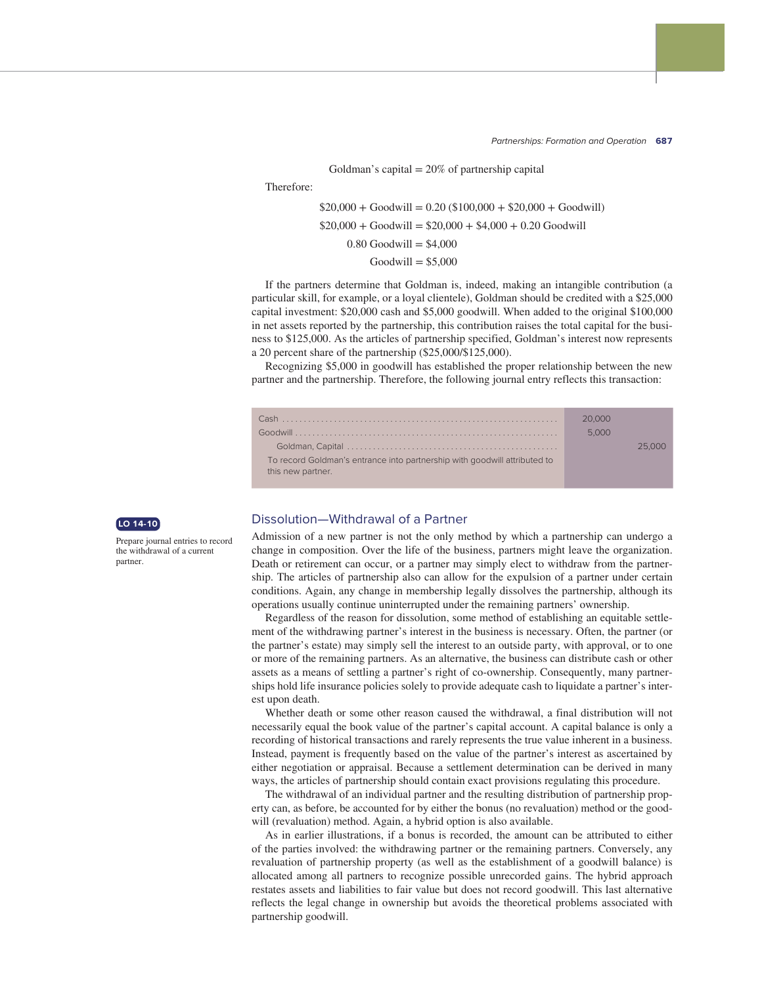Goldman's capital  $= 20\%$  of partnership capital

Therefore:

 $$20,000 + Goodwill = 0.20 ($100,000 + $20,000 + Goodwill)$  $$20,000 + Goodwill = $20,000 + $4,000 + 0.20$  Goodwill  $0.80$  Goodwill  $= $4,000$  $Goodwill = $5,000$ 

If the partners determine that Goldman is, indeed, making an intangible contribution (a particular skill, for example, or a loyal clientele), Goldman should be credited with a \$25,000 capital investment: \$20,000 cash and \$5,000 goodwill. When added to the original \$100,000 in net assets reported by the partnership, this contribution raises the total capital for the business to \$125,000. As the articles of partnership specified, Goldman's interest now represents a 20 percent share of the partnership (\$25,000/\$125,000). ess to \$125,000. As the articles of partnership specified, Goldman's interest n<br>20 percent share of the partnership (\$25,000/\$125,000).<br>Recognizing \$5,000 in goodwill has established the proper relationship bet<br>artner and

| 20 percent share of the partnership $(\$25,000/\$125,000)$ .<br>Recognizing \$5,000 in goodwill has established the proper relationship between the new<br>artner and the partnership. Therefore, the following journal entry reflects this transaction: |        |
|----------------------------------------------------------------------------------------------------------------------------------------------------------------------------------------------------------------------------------------------------------|--------|
|                                                                                                                                                                                                                                                          | 20,000 |
|                                                                                                                                                                                                                                                          | 5.000  |
|                                                                                                                                                                                                                                                          | 25.000 |
| To record Goldman's entrance into partnership with goodwill attributed to                                                                                                                                                                                |        |
| this new partner.                                                                                                                                                                                                                                        |        |
|                                                                                                                                                                                                                                                          |        |



Prepare journal entries to record the withdrawal of a current partner.

## Dissolution—Withdrawal of a Partner

Admission of a new partner is not the only method by which a partnership can undergo a change in composition. Over the life of the business, partners might leave the organization. Death or retirement can occur, or a partner may simply elect to withdraw from the partnership. The articles of partnership also can allow for the expulsion of a partner under certain conditions. Again, any change in membership legally dissolves the partnership, although its operations usually continue uninterrupted under the remaining partners' ownership.

Regardless of the reason for dissolution, some method of establishing an equitable settlement of the withdrawing partner's interest in the business is necessary. Often, the partner (or the partner's estate) may simply sell the interest to an outside party, with approval, or to one or more of the remaining partners. As an alternative, the business can distribute cash or other assets as a means of settling a partner's right of co-ownership. Consequently, many partnerships hold life insurance policies solely to provide adequate cash to liquidate a partner's interest upon death.

Whether death or some other reason caused the withdrawal, a final distribution will not necessarily equal the book value of the partner's capital account. A capital balance is only a recording of historical transactions and rarely represents the true value inherent in a business. Instead, payment is frequently based on the value of the partner's interest as ascertained by either negotiation or appraisal. Because a settlement determination can be derived in many ways, the articles of partnership should contain exact provisions regulating this procedure.

The withdrawal of an individual partner and the resulting distribution of partnership property can, as before, be accounted for by either the bonus (no revaluation) method or the goodwill (revaluation) method. Again, a hybrid option is also available.

As in earlier illustrations, if a bonus is recorded, the amount can be attributed to either of the parties involved: the withdrawing partner or the remaining partners. Conversely, any revaluation of partnership property (as well as the establishment of a goodwill balance) is allocated among all partners to recognize possible unrecorded gains. The hybrid approach restates assets and liabilities to fair value but does not record goodwill. This last alternative reflects the legal change in ownership but avoids the theoretical problems associated with partnership goodwill.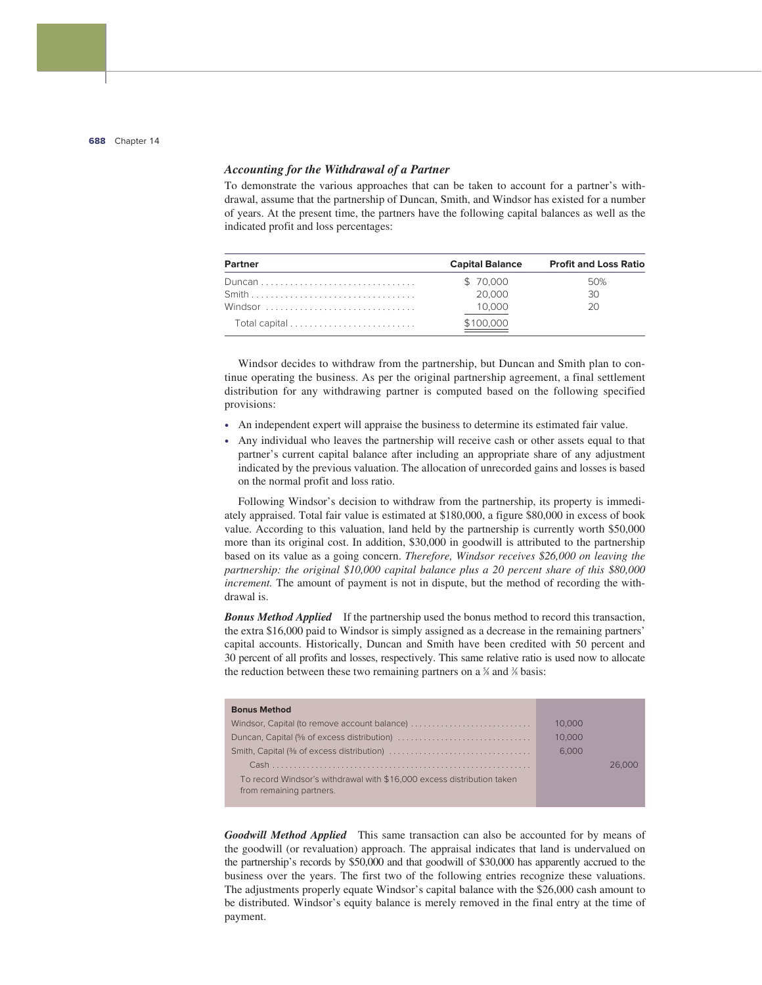## *Accounting for the Withdrawal of a Partner*

To demonstrate the various approaches that can be taken to account for a partner's withdrawal, assume that the partnership of Duncan, Smith, and Windsor has existed for a number of years. At the present time, the partners have the following capital balances as well as the indicated profit and loss percentages: To demonstrate the various approaches that can be taken to account for a partne-<br>drawal, assume that the partnership of Duncan, Smith, and Windsor has existed for a<br>of years. At the present time, the partners have the foll

| drawal, assume that the partnership of Duncan, Smith, and Windsor has existed for a number<br>of years. At the present time, the partners have the following capital balances as well as the<br>indicated profit and loss percentages: |                        |                              |
|----------------------------------------------------------------------------------------------------------------------------------------------------------------------------------------------------------------------------------------|------------------------|------------------------------|
| <b>Partner</b>                                                                                                                                                                                                                         | <b>Capital Balance</b> | <b>Profit and Loss Ratio</b> |
|                                                                                                                                                                                                                                        | \$70,000               | 50%                          |
|                                                                                                                                                                                                                                        | 20,000                 | 30                           |
| Windsor                                                                                                                                                                                                                                | 10,000                 | 20                           |
|                                                                                                                                                                                                                                        | \$100,000              |                              |

Windsor decides to withdraw from the partnership, but Duncan and Smith plan to continue operating the business. As per the original partnership agreement, a final settlement distribution for any withdrawing partner is computed based on the following specified provisions:

- ∙ An independent expert will appraise the business to determine its estimated fair value.
- ∙ Any individual who leaves the partnership will receive cash or other assets equal to that partner's current capital balance after including an appropriate share of any adjustment indicated by the previous valuation. The allocation of unrecorded gains and losses is based on the normal profit and loss ratio.

Following Windsor's decision to withdraw from the partnership, its property is immediately appraised. Total fair value is estimated at \$180,000, a figure \$80,000 in excess of book value. According to this valuation, land held by the partnership is currently worth \$50,000 more than its original cost. In addition, \$30,000 in goodwill is attributed to the partnership based on its value as a going concern. *Therefore, Windsor receives \$26,000 on leaving the partnership: the original \$10,000 capital balance plus a 20 percent share of this \$80,000 increment*. The amount of payment is not in dispute, but the method of recording the withdrawal is.

*Bonus Method Applied* If the partnership used the bonus method to record this transaction, the extra \$16,000 paid to Windsor is simply assigned as a decrease in the remaining partners' capital accounts. Historically, Duncan and Smith have been credited with 50 percent and 30 percent of all profits and losses, respectively. This same relative ratio is used now to allocate

| the reduction between these two remaining partners on a $\frac{5}{4}$ and $\frac{3}{4}$ basis:     |        |        |
|----------------------------------------------------------------------------------------------------|--------|--------|
| <b>Bonus Method</b>                                                                                |        |        |
| Windsor, Capital (to remove account balance)                                                       | 10,000 |        |
|                                                                                                    | 10,000 |        |
|                                                                                                    | 6.000  |        |
|                                                                                                    |        | 26,000 |
| To record Windsor's withdrawal with \$16,000 excess distribution taken<br>from remaining partners. |        |        |

*Goodwill Method Applied* This same transaction can also be accounted for by means of the goodwill (or revaluation) approach. The appraisal indicates that land is undervalued on the partnership's records by \$50,000 and that goodwill of \$30,000 has apparently accrued to the business over the years. The first two of the following entries recognize these valuations. The adjustments properly equate Windsor's capital balance with the \$26,000 cash amount to be distributed. Windsor's equity balance is merely removed in the final entry at the time of payment.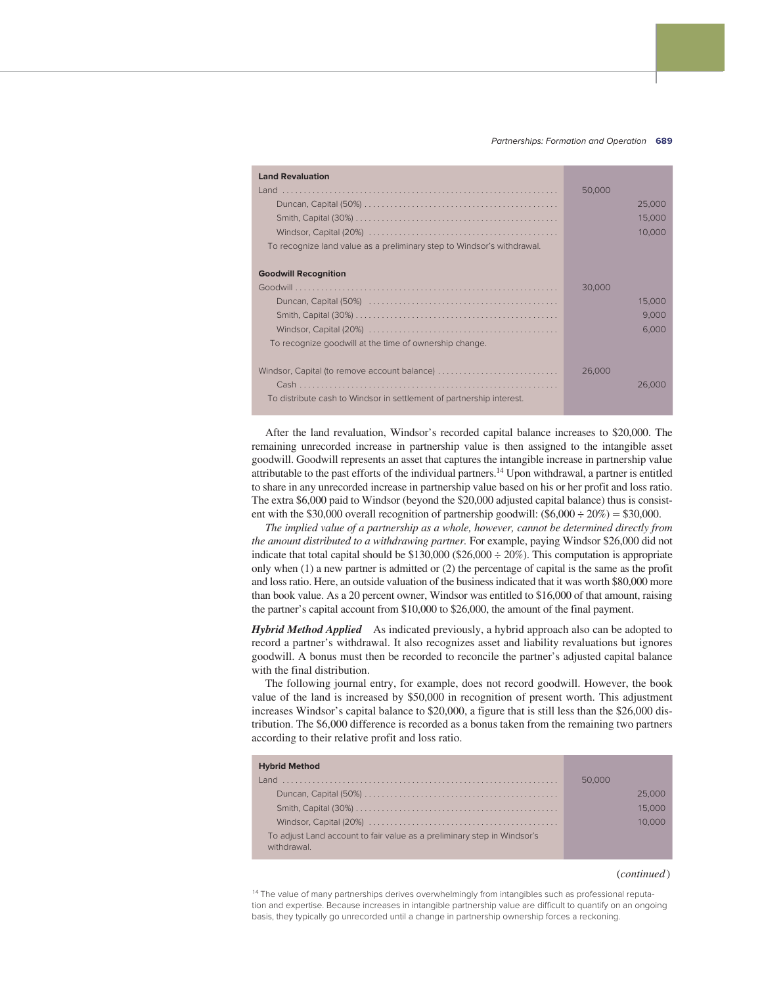|                                                                                                                                                                                | <b>Partnerships: Formation and Operation</b><br>689 |
|--------------------------------------------------------------------------------------------------------------------------------------------------------------------------------|-----------------------------------------------------|
| <b>Land Revaluation</b><br>To recognize land value as a preliminary step to Windsor's withdrawal.                                                                              | 50,000<br>25,000<br>15,000<br>10,000                |
| <b>Goodwill Recognition</b>                                                                                                                                                    | 30,000<br>15,000<br>9,000<br>6,000                  |
| To recognize goodwill at the time of ownership change.<br>Windsor, Capital (to remove account balance)<br>To distribute cash to Windsor in settlement of partnership interest. | 26,000<br>26,000                                    |

After the land revaluation, Windsor's recorded capital balance increases to \$20,000. The remaining unrecorded increase in partnership value is then assigned to the intangible asset goodwill. Goodwill represents an asset that captures the intangible increase in partnership value attributable to the past efforts of the individual partners.14 Upon withdrawal, a partner is entitled to share in any unrecorded increase in partnership value based on his or her profit and loss ratio. The extra \$6,000 paid to Windsor (beyond the \$20,000 adjusted capital balance) thus is consistent with the \$30,000 overall recognition of partnership goodwill:  $(\$6,000 \div 20\%) = \$30,000$ .

*The implied value of a partnership as a whole, however, cannot be determined directly from the amount distributed to a withdrawing partner.* For example, paying Windsor \$26,000 did not indicate that total capital should be \$130,000 (\$26,000  $\div$  20%). This computation is appropriate only when (1) a new partner is admitted or (2) the percentage of capital is the same as the profit and loss ratio. Here, an outside valuation of the business indicated that it was worth \$80,000 more than book value. As a 20 percent owner, Windsor was entitled to \$16,000 of that amount, raising the partner's capital account from \$10,000 to \$26,000, the amount of the final payment.

*Hybrid Method Applied* As indicated previously, a hybrid approach also can be adopted to record a partner's withdrawal. It also recognizes asset and liability revaluations but ignores goodwill. A bonus must then be recorded to reconcile the partner's adjusted capital balance with the final distribution.

The following journal entry, for example, does not record goodwill. However, the book value of the land is increased by \$50,000 in recognition of present worth. This adjustment increases Windsor's capital balance to \$20,000, a figure that is still less than the \$26,000 distribution. The \$6,000 difference is recorded as a bonus taken from the remaining two partners according to their relative profit and loss ratio.

| according to their relative profit and loss ratio.                                     |        |        |
|----------------------------------------------------------------------------------------|--------|--------|
| <b>Hybrid Method</b>                                                                   |        |        |
|                                                                                        | 50,000 |        |
|                                                                                        |        | 25,000 |
|                                                                                        |        | 15,000 |
|                                                                                        |        | 10,000 |
| To adjust Land account to fair value as a preliminary step in Windsor's<br>withdrawal. |        |        |

#### (*continued*)

<sup>14</sup> The value of many partnerships derives overwhelmingly from intangibles such as professional reputation and expertise. Because increases in intangible partnership value are difficult to quantify on an ongoing basis, they typically go unrecorded until a change in partnership ownership forces a reckoning.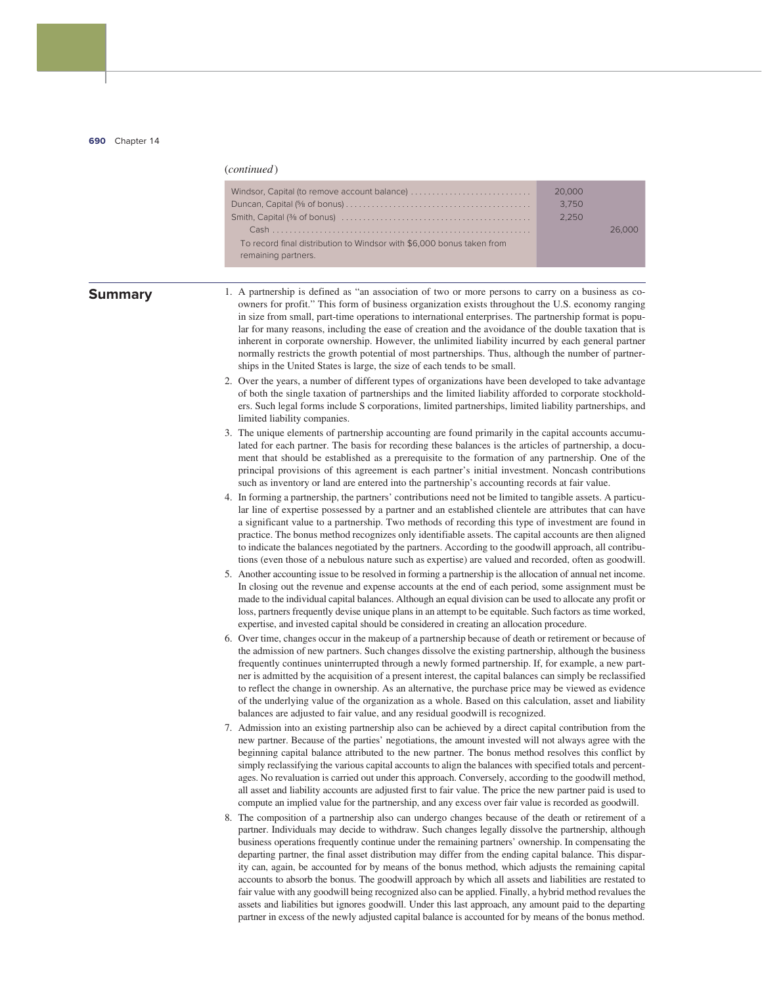#### (*continued* )

| continued)                                                                                                                                   |                          |        |
|----------------------------------------------------------------------------------------------------------------------------------------------|--------------------------|--------|
| Windsor, Capital (to remove account balance)<br>To record final distribution to Windsor with \$6,000 bonus taken from<br>remaining partners. | 20,000<br>3.750<br>2.250 | 26,000 |

## **Summary**

- 1. A partnership is defined as "an association of two or more persons to carry on a business as coowners for profit." This form of business organization exists throughout the U.S. economy ranging in size from small, part-time operations to international enterprises. The partnership format is popular for many reasons, including the ease of creation and the avoidance of the double taxation that is inherent in corporate ownership. However, the unlimited liability incurred by each general partner normally restricts the growth potential of most partnerships. Thus, although the number of partnerships in the United States is large, the size of each tends to be small.
- 2. Over the years, a number of different types of organizations have been developed to take advantage of both the single taxation of partnerships and the limited liability afforded to corporate stockholders. Such legal forms include S corporations, limited partnerships, limited liability partnerships, and limited liability companies.
- 3. The unique elements of partnership accounting are found primarily in the capital accounts accumulated for each partner. The basis for recording these balances is the articles of partnership, a document that should be established as a prerequisite to the formation of any partnership. One of the principal provisions of this agreement is each partner's initial investment. Noncash contributions such as inventory or land are entered into the partnership's accounting records at fair value.
- 4. In forming a partnership, the partners' contributions need not be limited to tangible assets. A particular line of expertise possessed by a partner and an established clientele are attributes that can have a significant value to a partnership. Two methods of recording this type of investment are found in practice. The bonus method recognizes only identifiable assets. The capital accounts are then aligned to indicate the balances negotiated by the partners. According to the goodwill approach, all contributions (even those of a nebulous nature such as expertise) are valued and recorded, often as goodwill.
- 5. Another accounting issue to be resolved in forming a partnership is the allocation of annual net income. In closing out the revenue and expense accounts at the end of each period, some assignment must be made to the individual capital balances. Although an equal division can be used to allocate any profit or loss, partners frequently devise unique plans in an attempt to be equitable. Such factors as time worked, expertise, and invested capital should be considered in creating an allocation procedure.
- 6. Over time, changes occur in the makeup of a partnership because of death or retirement or because of the admission of new partners. Such changes dissolve the existing partnership, although the business frequently continues uninterrupted through a newly formed partnership. If, for example, a new partner is admitted by the acquisition of a present interest, the capital balances can simply be reclassified to reflect the change in ownership. As an alternative, the purchase price may be viewed as evidence of the underlying value of the organization as a whole. Based on this calculation, asset and liability balances are adjusted to fair value, and any residual goodwill is recognized.
- 7. Admission into an existing partnership also can be achieved by a direct capital contribution from the new partner. Because of the parties' negotiations, the amount invested will not always agree with the beginning capital balance attributed to the new partner. The bonus method resolves this conflict by simply reclassifying the various capital accounts to align the balances with specified totals and percentages. No revaluation is carried out under this approach. Conversely, according to the goodwill method, all asset and liability accounts are adjusted first to fair value. The price the new partner paid is used to compute an implied value for the partnership, and any excess over fair value is recorded as goodwill.
- 8. The composition of a partnership also can undergo changes because of the death or retirement of a partner. Individuals may decide to withdraw. Such changes legally dissolve the partnership, although business operations frequently continue under the remaining partners' ownership. In compensating the departing partner, the final asset distribution may differ from the ending capital balance. This disparity can, again, be accounted for by means of the bonus method, which adjusts the remaining capital accounts to absorb the bonus. The goodwill approach by which all assets and liabilities are restated to fair value with any goodwill being recognized also can be applied. Finally, a hybrid method revalues the assets and liabilities but ignores goodwill. Under this last approach, any amount paid to the departing partner in excess of the newly adjusted capital balance is accounted for by means of the bonus method.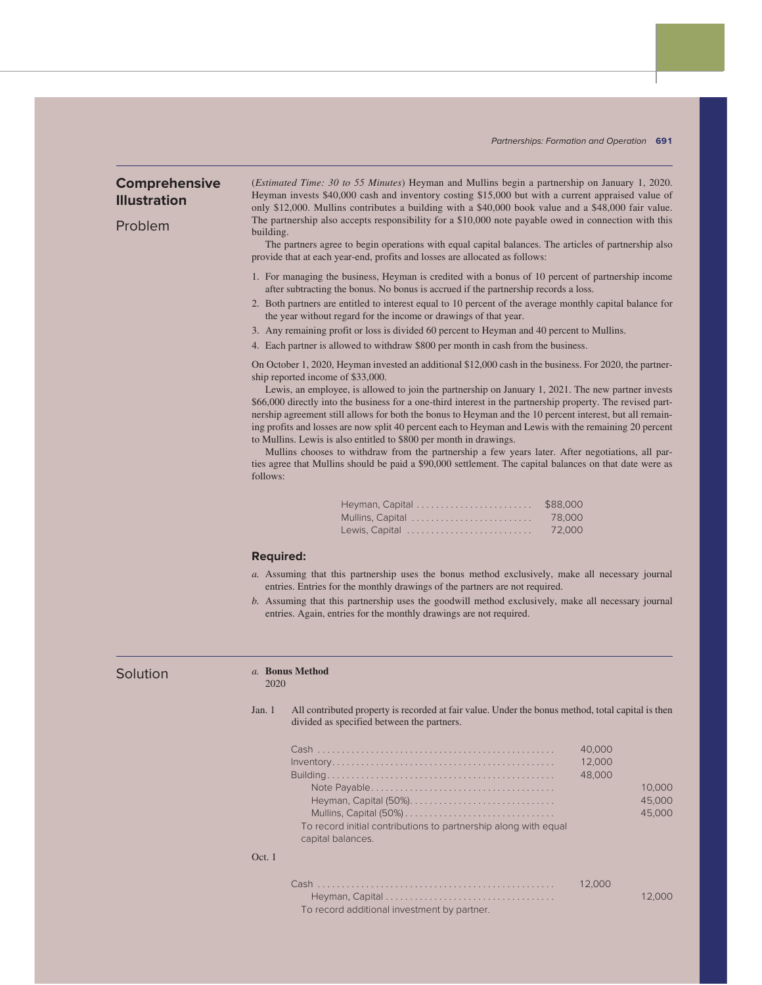## **Comprehensive Illustration**

## Problem

(*Estimated Time: 30 to 55 Minutes*) Heyman and Mullins begin a partnership on January 1, 2020. Heyman invests \$40,000 cash and inventory costing \$15,000 but with a current appraised value of only \$12,000. Mullins contributes a building with a \$40,000 book value and a \$48,000 fair value. The partnership also accepts responsibility for a \$10,000 note payable owed in connection with this building.

The partners agree to begin operations with equal capital balances. The articles of partnership also provide that at each year-end, profits and losses are allocated as follows:

- 1. For managing the business, Heyman is credited with a bonus of 10 percent of partnership income after subtracting the bonus. No bonus is accrued if the partnership records a loss.
- 2. Both partners are entitled to interest equal to 10 percent of the average monthly capital balance for the year without regard for the income or drawings of that year.
- 3. Any remaining profit or loss is divided 60 percent to Heyman and 40 percent to Mullins.
- 4. Each partner is allowed to withdraw \$800 per month in cash from the business.

On October 1, 2020, Heyman invested an additional \$12,000 cash in the business. For 2020, the partnership reported income of \$33,000.

Lewis, an employee, is allowed to join the partnership on January 1, 2021. The new partner invests \$66,000 directly into the business for a one-third interest in the partnership property. The revised partnership agreement still allows for both the bonus to Heyman and the 10 percent interest, but all remaining profits and losses are now split 40 percent each to Heyman and Lewis with the remaining 20 percent to Mullins. Lewis is also entitled to \$800 per month in drawings.

Mullins chooses to withdraw from the partnership a few years later. After negotiations, all parties agree that Mullins should be paid a \$90,000 settlement. The capital balances on that date were as follows:<br>
Heyman, Capital . 78,000<br>
Mullins, Capital . 78,000<br>
Lewis, Capital . 72,000<br>
T2,000 follows: are now spirt 40 percent each to Heyman and Lewis with the<br>Iso entitled to \$800 per month in drawings.<br>The partnership a few years later. After<br>s should be paid a \$90,000 settlement. The capital balance<br>Heyman, Capital ... Mullins, Capital . 78,000

|                  | \$88,000 |
|------------------|----------|
| Mullins, Capital | 78,000   |
| Lewis, Capital   | 72,000   |

## **Required:**

- *a.* Assuming that this partnership uses the bonus method exclusively, make all necessary journal entries. Entries for the monthly drawings of the partners are not required.
- *b.* Assuming that this partnership uses the goodwill method exclusively, make all necessary journal entries. Again, entries for the monthly drawings are not required.

## Solution *a.* **Bonus Method**

2020

Jan. 1 All contributed property is recorded at fair value. Under the bonus method, total capital is then divided as specified between the partners. Cash . 40,000

|                                                                                      | 40,000 |        |
|--------------------------------------------------------------------------------------|--------|--------|
|                                                                                      | 12,000 |        |
|                                                                                      | 48,000 |        |
|                                                                                      |        | 10,000 |
| Heyman, Capital (50%)                                                                |        | 45,000 |
| Mullins, Capital (50%)                                                               |        | 45,000 |
| To record initial contributions to partnership along with equal<br>capital balances. |        |        |

## Oct. 1

|                                             | 12.000 |        |
|---------------------------------------------|--------|--------|
|                                             |        | 12.000 |
| To record additional investment by partner. |        |        |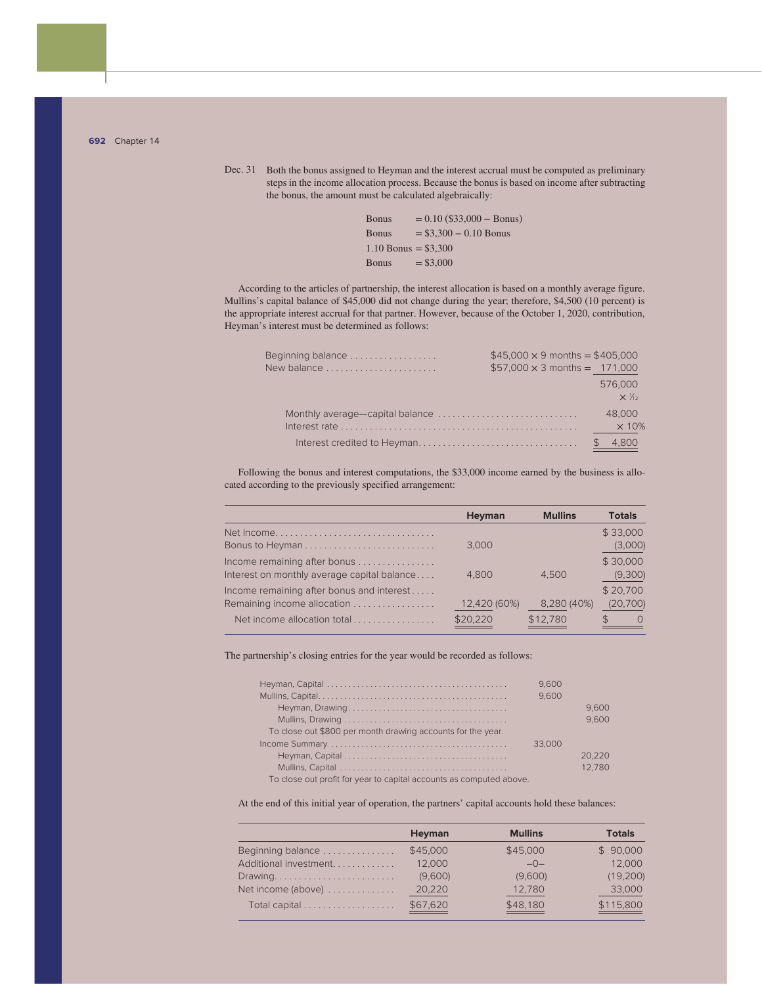Dec. 31 Both the bonus assigned to Heyman and the interest accrual must be computed as preliminary steps in the income allocation process. Because the bonus is based on income after subtracting the bonus, the amount must be calculated algebraically:

|                       | nast be calculated algebraically. |
|-----------------------|-----------------------------------|
| <b>Bonus</b>          | $= 0.10$ (\$33,000 – Bonus)       |
| <b>Bonus</b>          | $= $3,300 - 0.10$ Bonus           |
| 1.10 Bonus = $$3,300$ |                                   |
| <b>Bonus</b>          | $= $3,000$                        |

Bonus =  $$3,000$ <br>
ding to the articles of partnership, the interest allocation is based on a monthly average figur<br>
capital balance of \$45,000 did not change during the year; therefore, \$4,500 (10 percent)<br>
oriate interes ding to the articles of partnership, the interest allocation is based on a monthly average figure capital balance of \$45,000 did not change during the year; therefore, \$4,500 (10 percent) oriate interest accrual for that According to the articles of partnership, the interest allocation is based on a monthly average figure. Mullins's capital balance of \$45,000 did not change during the year; therefore, \$4,500 (10 percent) is the appropriate interest accrual for that partner. However, because of the October 1, 2020, contribution, Heyman's interest must be determined as follows:

| $\frac{1}{100}$ interest must be determined as follows. |                                                                                                                   |
|---------------------------------------------------------|-------------------------------------------------------------------------------------------------------------------|
| Beginning balance<br>New balance                        | $$45.000 \times 9$ months = \$405.000<br>$$57,000 \times 3$ months = 171,000<br>576,000<br>$\times$ $\frac{1}{2}$ |
|                                                         | 48,000<br>$\times$ 10%<br>4.800                                                                                   |

| Following the bonus and interest computations, the \$33,000 income earned by the business is allo-<br>cated according to the previously specified arrangement: |              |                |                       |
|----------------------------------------------------------------------------------------------------------------------------------------------------------------|--------------|----------------|-----------------------|
|                                                                                                                                                                | Heyman       | <b>Mullins</b> | <b>Totals</b>         |
| Bonus to Heyman                                                                                                                                                | 3.000        |                | \$33,000<br>(3,000)   |
| Income remaining after bonus<br>Interest on monthly average capital balance                                                                                    | 4.800        | 4.500          | \$30,000<br>(9,300)   |
| Income remaining after bonus and interest<br>Remaining income allocation                                                                                       | 12,420 (60%) | 8,280 (40%)    | \$20.700<br>(20, 700) |
| Net income allocation total                                                                                                                                    | \$20,220     | \$12,780       | \$                    |

The partnership's closing entries for the year would be recorded as follows:

| thership's closing entries for the year would be recorded as follows: |        |        |
|-----------------------------------------------------------------------|--------|--------|
|                                                                       | 9.600  |        |
|                                                                       | 9.600  |        |
|                                                                       |        | 9.600  |
|                                                                       |        | 9.600  |
| To close out \$800 per month drawing accounts for the year.           |        |        |
|                                                                       | 33,000 |        |
|                                                                       |        | 20.220 |
|                                                                       |        | 12.780 |
| To close out profit for year to capital accounts as computed above.   |        |        |

At the end of this initial year of operation, the partners' capital accounts hold these balances:

|                        | Heyman   | <b>Mullins</b> | <b>Totals</b> |
|------------------------|----------|----------------|---------------|
| Beginning balance      | \$45,000 | \$45,000       | \$90,000      |
| Additional investment. | 12,000   | $-0-$          | 12,000        |
| Drawing                | (9,600)  | (9,600)        | (19,200)      |
| Net income (above)     | 20,220   | 12,780         | 33,000        |
|                        | \$67,620 | \$48,180       | \$115,800     |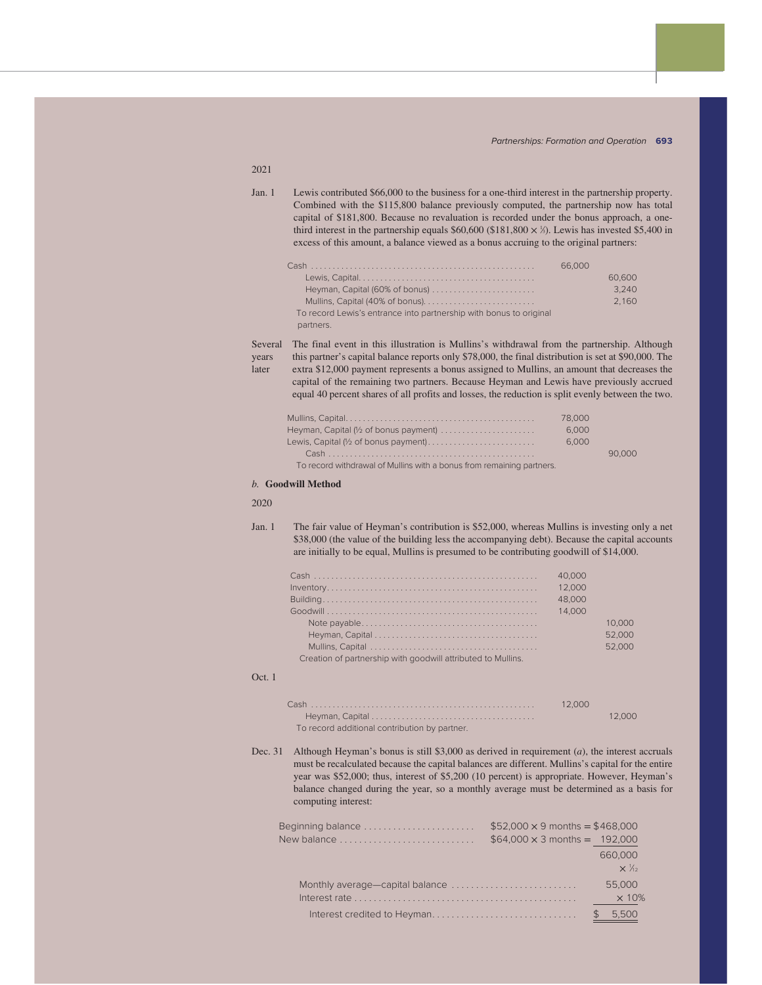#### 2021

Jan. 1 Lewis contributed \$66,000 to the business for a one-third interest in the partnership property. Combined with the \$115,800 balance previously computed, the partnership now has total capital of \$181,800. Because no revaluation is recorded under the bonus approach, a onethird interest in the partnership equals  $$60,600$  ( $$181,800 \times \frac{\cancel{1}}{\cancel{5}}$ ). Lewis has invested \$5,400 in excess of this amount, a balance viewed as a bonus accruing to the original partners: Lewis contributed \$66,000 to the business for a one-third interest in the Combined with the \$115,800 balance previously computed, the partne capital of \$181,800. Because no revaluation is recorded under the bon third inte Lewis contributed \$66,000 to the business for a one-third interest in the partnership p<br>Combined with the \$115,800 balance previously computed, the partnership now<br>capital of \$181,800. Because no revaluation is recorded u Lewis contributed \$66,000 to the business for a one-third interest in the partnership p<br>Combined with the \$115,800 balance previously computed, the partnership now<br>capital of \$181,800. Because no revaluation is recorded u

| Combined with the \$115,800 balance previously computed, the partnership now<br>capital of \$181,800. Because no revaluation is recorded under the bonus approace<br>third interest in the partnership equals \$60,600 (\$181,800 $\times$ %). Lewis has invested ?<br>excess of this amount, a balance viewed as a bonus accruing to the original partners. |        |
|--------------------------------------------------------------------------------------------------------------------------------------------------------------------------------------------------------------------------------------------------------------------------------------------------------------------------------------------------------------|--------|
|                                                                                                                                                                                                                                                                                                                                                              | 66,000 |
|                                                                                                                                                                                                                                                                                                                                                              | 60,600 |
| Heyman, Capital (60% of bonus)                                                                                                                                                                                                                                                                                                                               | 3,240  |
|                                                                                                                                                                                                                                                                                                                                                              | 2.160  |
| To record Lewis's entrance into partnership with bonus to original                                                                                                                                                                                                                                                                                           |        |
| partners.                                                                                                                                                                                                                                                                                                                                                    |        |

Several The final event in this illustration is Mullins's withdrawal from the partnership. Although years later this partner's capital balance reports only \$78,000, the final distribution is set at \$90,000. The extra \$12,000 payment represents a bonus assigned to Mullins, an amount that decreases the capital of the remaining two partners. Because Heyman and Lewis have previously accrued equal 40 percent shares of all profits and losses, the reduction is split evenly between the two. The final event in this illustration is Mullins's withdrawal from the pathis partner's capital balance reports only \$78,000, the final distribution i extra \$12,000 payment represents a bonus assigned to Mullins, an amou ca The final event in this illustration is Mullins s withdrawal from the partition is bonus payment represents a bonus assigned to Mullins, an amou capital of the remaining two partners. Because Heyman and Lewis have equal 40 Lewis, Capital (½ of bonus payment) . . 6,000

| "CAU a \$12,000 payment represents a bonus assigned to ividiniis, an amount that decit<br>capital of the remaining two partners. Because Heyman and Lewis have previously<br>equal 40 percent shares of all profits and losses, the reduction is split evenly between |        |        |
|-----------------------------------------------------------------------------------------------------------------------------------------------------------------------------------------------------------------------------------------------------------------------|--------|--------|
|                                                                                                                                                                                                                                                                       | 78,000 |        |
| Heyman, Capital (1/2 of bonus payment)                                                                                                                                                                                                                                | 6.000  |        |
|                                                                                                                                                                                                                                                                       | 6.000  |        |
|                                                                                                                                                                                                                                                                       |        | 90.000 |
| To record withdrawal of Mullins with a bonus from remaining partners.                                                                                                                                                                                                 |        |        |

## *b.* **Goodwill Method**

#### 2020

Jan. 1 The fair value of Heyman's contribution is \$52,000, whereas Mullins is investing only a net The fair value of Heyman's contribution is \$52,000, whereas Mullins is \$38,000 (the value of the building less the accompanying debt). Because are initially to be equal, Mullins is presumed to be contributing goodwil Cash The fair value of Heyman's contribution is \$52,000, whereas Mullins is \$38,000 (the value of the building less the accompanying debt). Becaus are initially to be equal, Mullins is presumed to be contributing goodwil<br>Cash .

| \$38,000 (the value of the building less the accompanying debt). Because the capital accounts<br>are initially to be equal, Mullins is presumed to be contributing goodwill of \$14,000. |        |        |
|------------------------------------------------------------------------------------------------------------------------------------------------------------------------------------------|--------|--------|
|                                                                                                                                                                                          | 40,000 |        |
|                                                                                                                                                                                          | 12,000 |        |
|                                                                                                                                                                                          | 48,000 |        |
|                                                                                                                                                                                          | 14,000 |        |
|                                                                                                                                                                                          |        | 10,000 |
|                                                                                                                                                                                          |        | 52,000 |
|                                                                                                                                                                                          |        | 52,000 |
| Creation of partnership with goodwill attributed to Mullins.                                                                                                                             |        |        |
|                                                                                                                                                                                          | 12.000 |        |

#### Oct. 1

| Creation of partnership with goodwill attributed to Mullins. |        |        |
|--------------------------------------------------------------|--------|--------|
|                                                              |        |        |
| Cash                                                         | 12,000 |        |
|                                                              |        | 12.000 |
| To record additional contribution by partner.                |        |        |

Dec. 31 Although Heyman's bonus is still \$3,000 as derived in requirement (*a*), the interest accruals must be recalculated because the capital balances are different. Mullins's capital for the entire year was \$52,000; thus, interest of \$5,200 (10 percent) is appropriate. However, Heyman's balance changed during the year, so a monthly average must be determined as a basis for Beginning balance . \$52,000 × 9 months <sup>=</sup> \$468,000 computing interest:

| computing interest: |                                                                              |
|---------------------|------------------------------------------------------------------------------|
| Beginning balance   | $$52,000 \times 9$ months = \$468,000<br>$$64,000 \times 3$ months = 192,000 |
|                     | 660,000<br>$\times\frac{1}{12}$                                              |
|                     | 55,000<br>$\times$ 10%                                                       |
|                     | 5.500                                                                        |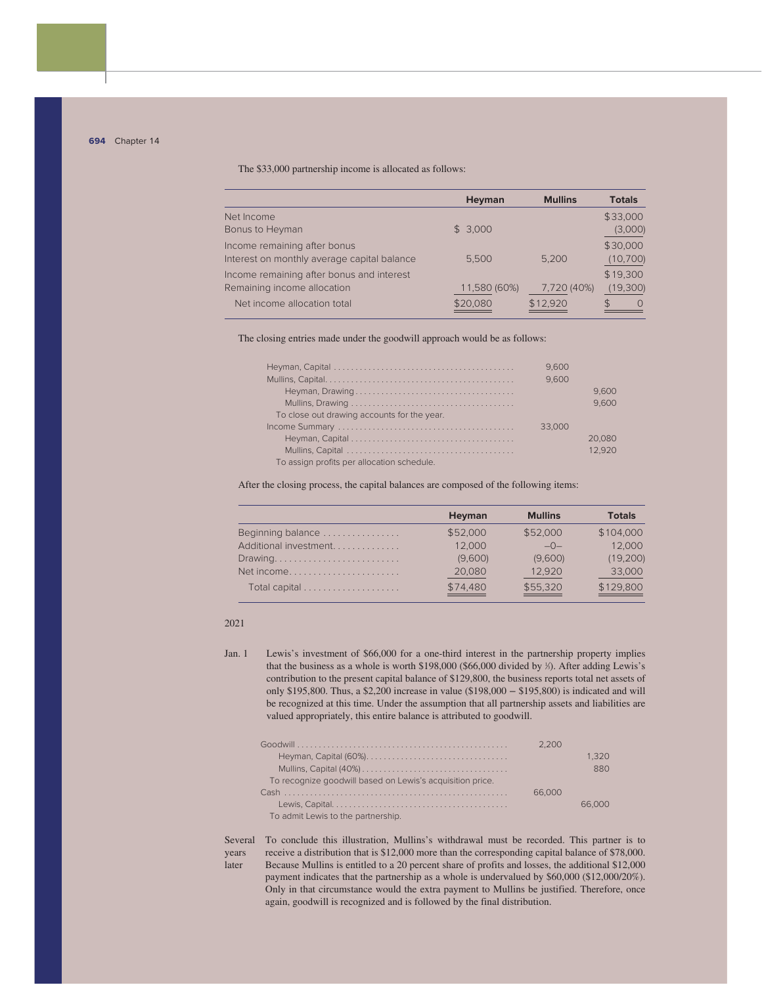#### The \$33,000 partnership income is allocated as follows:

|                                                                           | <b>Heyman</b> | <b>Mullins</b> | <b>Totals</b> |
|---------------------------------------------------------------------------|---------------|----------------|---------------|
| Net Income                                                                |               |                | \$33,000      |
| Bonus to Heyman                                                           | \$3,000       |                | (3,000)       |
| Income remaining after bonus                                              |               |                | \$30,000      |
| Interest on monthly average capital balance                               | 5,500         | 5,200          | (10,700)      |
| Income remaining after bonus and interest                                 |               |                | \$19,300      |
| Remaining income allocation                                               | 11,580 (60%)  | 7,720 (40%)    | (19,300)      |
| Net income allocation total                                               | \$20,080      | \$12,920       |               |
| The closing entries made under the goodwill approach would be as follows: |               |                |               |
|                                                                           |               | 9,600          |               |
|                                                                           |               | 9.600          |               |

| come allocation total                                               | \$20.080 | \$12920        |        |
|---------------------------------------------------------------------|----------|----------------|--------|
| osing entries made under the goodwill approach would be as follows: |          |                |        |
|                                                                     |          | 9.600<br>9.600 |        |
|                                                                     |          |                | 9.600  |
| To close out drawing accounts for the year.                         |          |                | 9.600  |
|                                                                     |          | 33,000         |        |
|                                                                     |          |                | 20,080 |
|                                                                     |          |                | 12.920 |
| To assign profits per allocation schedule.                          |          |                |        |

| To assign profits per allocation schedule.                                           |               |                |               |
|--------------------------------------------------------------------------------------|---------------|----------------|---------------|
| After the closing process, the capital balances are composed of the following items: |               |                |               |
|                                                                                      | <b>Heyman</b> | <b>Mullins</b> | <b>Totals</b> |
| Beginning balance                                                                    | \$52,000      | \$52,000       | \$104,000     |
| Additional investment.                                                               | 12,000        | $-0-$          | 12,000        |
| Drawing                                                                              | (9,600)       | (9,600)        | (19,200)      |
| Net income                                                                           | 20,080        | 12,920         | 33,000        |
|                                                                                      | \$74,480      | \$55,320       | \$129,800     |

## 2021

Jan. 1 Lewis's investment of \$66,000 for a one-third interest in the partnership property implies that the business as a whole is worth \$198,000 (\$66,000 divided by  $\frac{1}{2}$ ). After adding Lewis's contribution to the present capital balance of \$129,800, the business reports total net assets of only \$195,800. Thus, a \$2,200 increase in value (\$198,000 − \$195,800) is indicated and will be recognized at this time. Under the assumption that all partnership assets and liabilities are only \$195,800. Thus, a \$2,200 increase in value (\$198,000 – \$195,800)<br>be recognized at this time. Under the assumption that all partnership ass<br>valued appropriately, this entire balance is attributed to goodwill.<br>Goodwill

| be recognized at this time. Onder the assumption that all partnership assets and habili<br>valued appropriately, this entire balance is attributed to goodwill. |        |        |
|-----------------------------------------------------------------------------------------------------------------------------------------------------------------|--------|--------|
|                                                                                                                                                                 | 2.200  |        |
|                                                                                                                                                                 |        | 1.320  |
|                                                                                                                                                                 |        | 880    |
| To recognize goodwill based on Lewis's acquisition price.                                                                                                       |        |        |
|                                                                                                                                                                 | 66,000 |        |
|                                                                                                                                                                 |        | 66.000 |
| To admit Lewis to the partnership.                                                                                                                              |        |        |

Several To conclude this illustration, Mullins's withdrawal must be recorded. This partner is to years later receive a distribution that is \$12,000 more than the corresponding capital balance of \$78,000. Because Mullins is entitled to a 20 percent share of profits and losses, the additional \$12,000 payment indicates that the partnership as a whole is undervalued by \$60,000 (\$12,000/20%). Only in that circumstance would the extra payment to Mullins be justified. Therefore, once again, goodwill is recognized and is followed by the final distribution.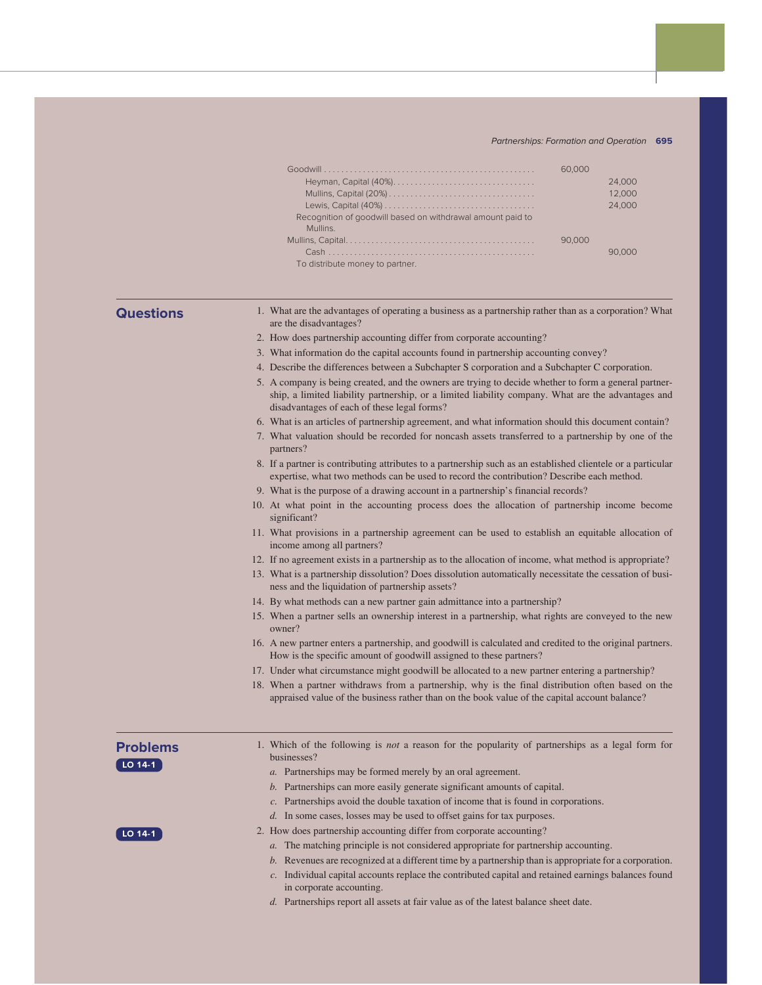| <b>Partnerships: Formation and Operatic</b>                            |        |        |
|------------------------------------------------------------------------|--------|--------|
|                                                                        |        |        |
|                                                                        | 60,000 |        |
|                                                                        |        | 24,000 |
|                                                                        |        | 12,000 |
|                                                                        |        | 24,000 |
| Recognition of goodwill based on withdrawal amount paid to<br>Mullins. |        |        |
|                                                                        | 90,000 |        |
|                                                                        |        | 90,000 |
| To distribute money to partner.                                        |        |        |

- **Questions** 1. What are the advantages of operating a business as a partnership rather than as a corporation? What are the disadvantages?
	- 2. How does partnership accounting differ from corporate accounting?
	- 3. What information do the capital accounts found in partnership accounting convey?
	- 4. Describe the differences between a Subchapter S corporation and a Subchapter C corporation.
	- 5. A company is being created, and the owners are trying to decide whether to form a general partnership, a limited liability partnership, or a limited liability company. What are the advantages and disadvantages of each of these legal forms?
	- 6. What is an articles of partnership agreement, and what information should this document contain?
	- 7. What valuation should be recorded for noncash assets transferred to a partnership by one of the partners?
	- 8. If a partner is contributing attributes to a partnership such as an established clientele or a particular expertise, what two methods can be used to record the contribution? Describe each method.
	- 9. What is the purpose of a drawing account in a partnership's financial records?
	- 10. At what point in the accounting process does the allocation of partnership income become significant?
	- 11. What provisions in a partnership agreement can be used to establish an equitable allocation of income among all partners?
	- 12. If no agreement exists in a partnership as to the allocation of income, what method is appropriate?
	- 13. What is a partnership dissolution? Does dissolution automatically necessitate the cessation of business and the liquidation of partnership assets?
	- 14. By what methods can a new partner gain admittance into a partnership?
	- 15. When a partner sells an ownership interest in a partnership, what rights are conveyed to the new owner?
	- 16. A new partner enters a partnership, and goodwill is calculated and credited to the original partners. How is the specific amount of goodwill assigned to these partners?
	- 17. Under what circumstance might goodwill be allocated to a new partner entering a partnership?
	- 18. When a partner withdraws from a partnership, why is the final distribution often based on the appraised value of the business rather than on the book value of the capital account balance?

**Problems** 1. Which of the following is *not* a reason for the popularity of partnerships as a legal form for businesses? *a.* Partnerships may be formed merely by an oral agreement. *b.* Partnerships can more easily generate significant amounts of capital. *c.* Partnerships avoid the double taxation of income that is found in corporations. *d.* In some cases, losses may be used to offset gains for tax purposes. 2. How does partnership accounting differ from corporate accounting? *a.* The matching principle is not considered appropriate for partnership accounting. *b.* Revenues are recognized at a different time by a partnership than is appropriate for a corporation. *c.* Individual capital accounts replace the contributed capital and retained earnings balances found in corporate accounting. **LO 14-1 LO 14-1**

*d.* Partnerships report all assets at fair value as of the latest balance sheet date.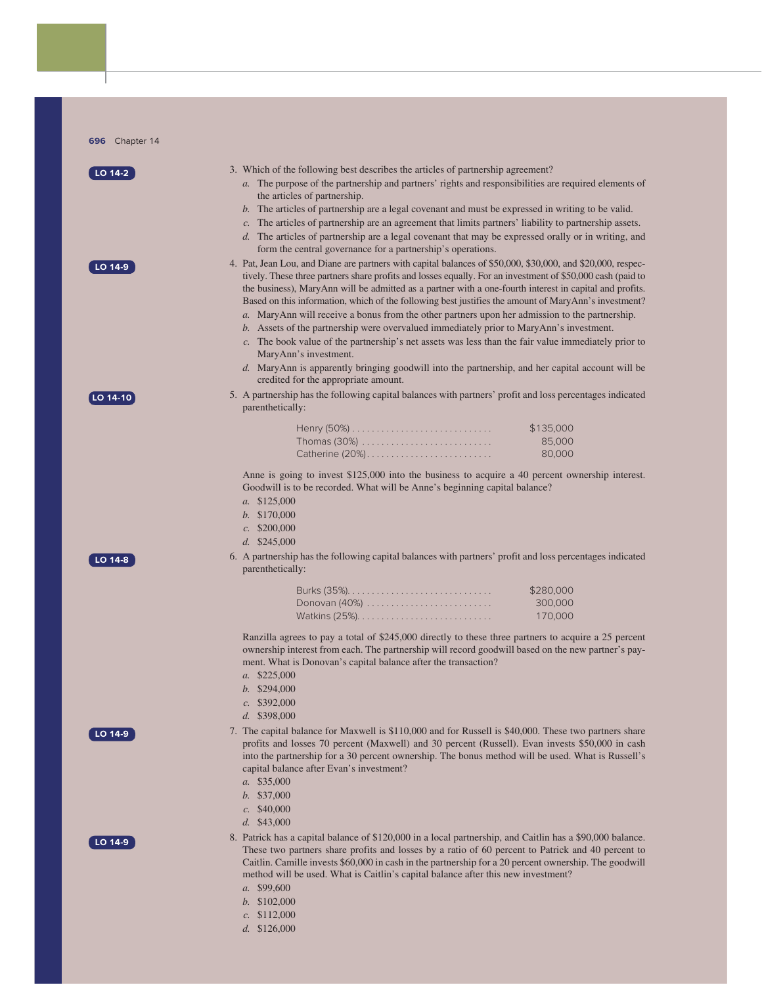## **696** Chapter 14

| LO 14-2  | 3. Which of the following best describes the articles of partnership agreement?<br>a. The purpose of the partnership and partners' rights and responsibilities are required elements of<br>the articles of partnership.<br>b. The articles of partnership are a legal covenant and must be expressed in writing to be valid.<br>c. The articles of partnership are an agreement that limits partners' liability to partnership assets.<br>d. The articles of partnership are a legal covenant that may be expressed orally or in writing, and<br>form the central governance for a partnership's operations.                                                                                                                                                                                                                                                                                                          |
|----------|-----------------------------------------------------------------------------------------------------------------------------------------------------------------------------------------------------------------------------------------------------------------------------------------------------------------------------------------------------------------------------------------------------------------------------------------------------------------------------------------------------------------------------------------------------------------------------------------------------------------------------------------------------------------------------------------------------------------------------------------------------------------------------------------------------------------------------------------------------------------------------------------------------------------------|
| LO 14-9  | 4. Pat, Jean Lou, and Diane are partners with capital balances of \$50,000, \$30,000, and \$20,000, respec-<br>tively. These three partners share profits and losses equally. For an investment of \$50,000 cash (paid to<br>the business), MaryAnn will be admitted as a partner with a one-fourth interest in capital and profits.<br>Based on this information, which of the following best justifies the amount of MaryAnn's investment?<br>a. MaryAnn will receive a bonus from the other partners upon her admission to the partnership.<br>b. Assets of the partnership were overvalued immediately prior to MaryAnn's investment.<br>c. The book value of the partnership's net assets was less than the fair value immediately prior to<br>MaryAnn's investment.<br>d. MaryAnn is apparently bringing goodwill into the partnership, and her capital account will be<br>credited for the appropriate amount. |
| LO 14-10 | 5. A partnership has the following capital balances with partners' profit and loss percentages indicated<br>parenthetically:<br>\$135,000<br>Thomas (30%)<br>85,000<br>Catherine (20%)<br>80,000                                                                                                                                                                                                                                                                                                                                                                                                                                                                                                                                                                                                                                                                                                                      |
|          | Anne is going to invest \$125,000 into the business to acquire a 40 percent ownership interest.<br>Goodwill is to be recorded. What will be Anne's beginning capital balance?<br>a. \$125,000<br>$b. \$170,000$<br>$c.$ \$200,000<br>d. $$245,000$                                                                                                                                                                                                                                                                                                                                                                                                                                                                                                                                                                                                                                                                    |
| LO 14-8  | 6. A partnership has the following capital balances with partners' profit and loss percentages indicated<br>parenthetically:<br>\$280,000<br>Donovan (40%)<br>300,000<br>170,000<br>Ranzilla agrees to pay a total of \$245,000 directly to these three partners to acquire a 25 percent<br>ownership interest from each. The partnership will record goodwill based on the new partner's pay-<br>ment. What is Donovan's capital balance after the transaction?<br>a. \$225,000<br>$b.$ \$294,000<br>$c.$ \$392,000<br>$d.$ \$398,000                                                                                                                                                                                                                                                                                                                                                                                |
| LO 14-9  | 7. The capital balance for Maxwell is \$110,000 and for Russell is \$40,000. These two partners share<br>profits and losses 70 percent (Maxwell) and 30 percent (Russell). Evan invests \$50,000 in cash<br>into the partnership for a 30 percent ownership. The bonus method will be used. What is Russell's<br>capital balance after Evan's investment?<br>a. \$35,000<br>$b.$ \$37,000<br>$c. \$40,000$<br>$d. \$43,000$                                                                                                                                                                                                                                                                                                                                                                                                                                                                                           |
| LO 14-9  | 8. Patrick has a capital balance of \$120,000 in a local partnership, and Caitlin has a \$90,000 balance.<br>These two partners share profits and losses by a ratio of 60 percent to Patrick and 40 percent to<br>Caitlin. Camille invests \$60,000 in cash in the partnership for a 20 percent ownership. The goodwill<br>method will be used. What is Caitlin's capital balance after this new investment?<br>a. \$99,600<br>$b. \$102,000$                                                                                                                                                                                                                                                                                                                                                                                                                                                                         |

- *c.* \$112,000
- *d.* \$126,000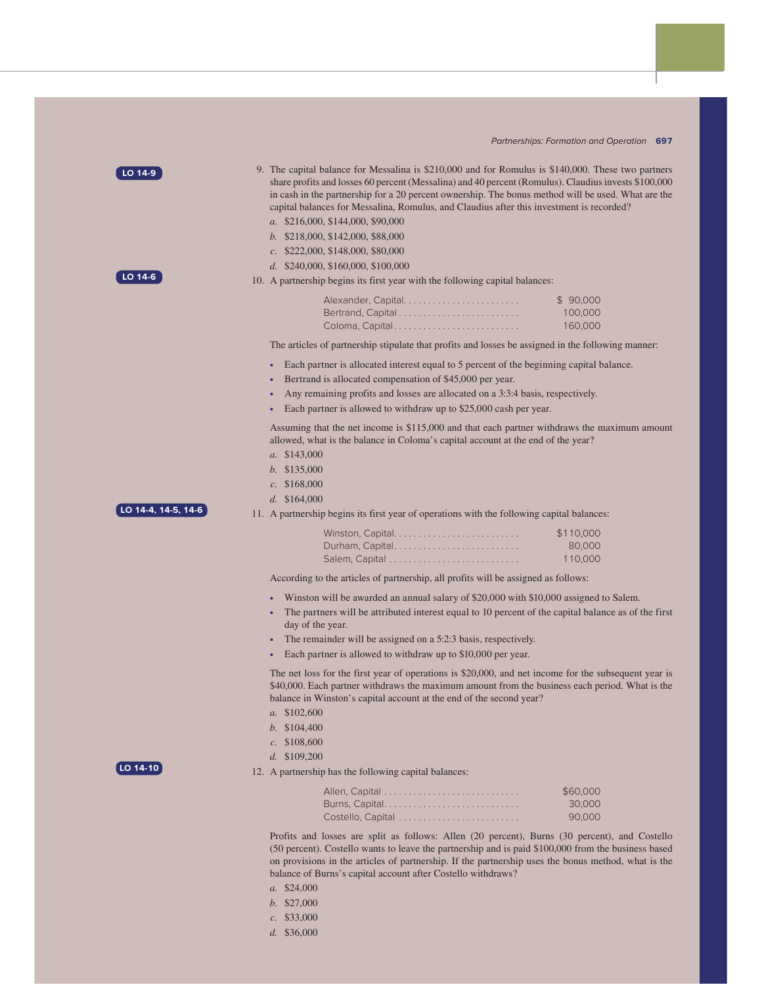| LO 14-9<br>LO 14-6  | 9. The capital balance for Messalina is \$210,000 and for Romulus is \$140,000. These two partners<br>share profits and losses 60 percent (Messalina) and 40 percent (Romulus). Claudius invests \$100,000<br>in cash in the partnership for a 20 percent ownership. The bonus method will be used. What are the<br>capital balances for Messalina, Romulus, and Claudius after this investment is recorded?<br>a. \$216,000, \$144,000, \$90,000<br>b. \$218,000, \$142,000, \$88,000<br>$c.$ \$222,000, \$148,000, \$80,000<br>d. \$240,000, \$160,000, \$100,000<br>10. A partnership begins its first year with the following capital balances: |
|---------------------|-----------------------------------------------------------------------------------------------------------------------------------------------------------------------------------------------------------------------------------------------------------------------------------------------------------------------------------------------------------------------------------------------------------------------------------------------------------------------------------------------------------------------------------------------------------------------------------------------------------------------------------------------------|
|                     | \$90,000<br>Alexander, Capital<br>100,000<br>Coloma, Capital<br>160,000                                                                                                                                                                                                                                                                                                                                                                                                                                                                                                                                                                             |
|                     | The articles of partnership stipulate that profits and losses be assigned in the following manner:                                                                                                                                                                                                                                                                                                                                                                                                                                                                                                                                                  |
|                     | Each partner is allocated interest equal to 5 percent of the beginning capital balance.<br>٠<br>Bertrand is allocated compensation of \$45,000 per year.<br>٠<br>Any remaining profits and losses are allocated on a 3:3:4 basis, respectively.<br>Each partner is allowed to withdraw up to \$25,000 cash per year.                                                                                                                                                                                                                                                                                                                                |
| LO 14-4, 14-5, 14-6 | Assuming that the net income is \$115,000 and that each partner withdraws the maximum amount<br>allowed, what is the balance in Coloma's capital account at the end of the year?<br>a. \$143,000<br>$b. \$135,000$<br>$c. \$168,000$<br>$d. \$164,000$<br>11. A partnership begins its first year of operations with the following capital balances:                                                                                                                                                                                                                                                                                                |
|                     | \$110,000<br>80,000<br>Durham, Capital<br>Salem, Capital<br>110,000                                                                                                                                                                                                                                                                                                                                                                                                                                                                                                                                                                                 |
|                     | According to the articles of partnership, all profits will be assigned as follows:                                                                                                                                                                                                                                                                                                                                                                                                                                                                                                                                                                  |
|                     | Winston will be awarded an annual salary of \$20,000 with \$10,000 assigned to Salem.<br>The partners will be attributed interest equal to 10 percent of the capital balance as of the first<br>٠<br>day of the year.<br>The remainder will be assigned on a 5:2:3 basis, respectively.<br>Each partner is allowed to withdraw up to \$10,000 per year.<br>$\bullet$                                                                                                                                                                                                                                                                                |
| LO 14-10            | The net loss for the first year of operations is \$20,000, and net income for the subsequent year is<br>\$40,000. Each partner withdraws the maximum amount from the business each period. What is the<br>balance in Winston's capital account at the end of the second year?<br>a. \$102,600<br>$b. \$104,400$<br>$c. \$108,600$<br>d. $$109,200$<br>12. A partnership has the following capital balances:                                                                                                                                                                                                                                         |
|                     | \$60,000<br>Allen, Capital<br>Burns, Capital<br>30,000<br>90,000<br>Costello, Capital                                                                                                                                                                                                                                                                                                                                                                                                                                                                                                                                                               |

Profits and losses are split as follows: Allen (20 percent), Burns (30 percent), and Costello (50 percent). Costello wants to leave the partnership and is paid \$100,000 from the business based on provisions in the articles of partnership. If the partnership uses the bonus method, what is the balance of Burns's capital account after Costello withdraws?

- *a.* \$24,000
- *b.* \$27,000
- *c.* \$33,000
- *d.* \$36,000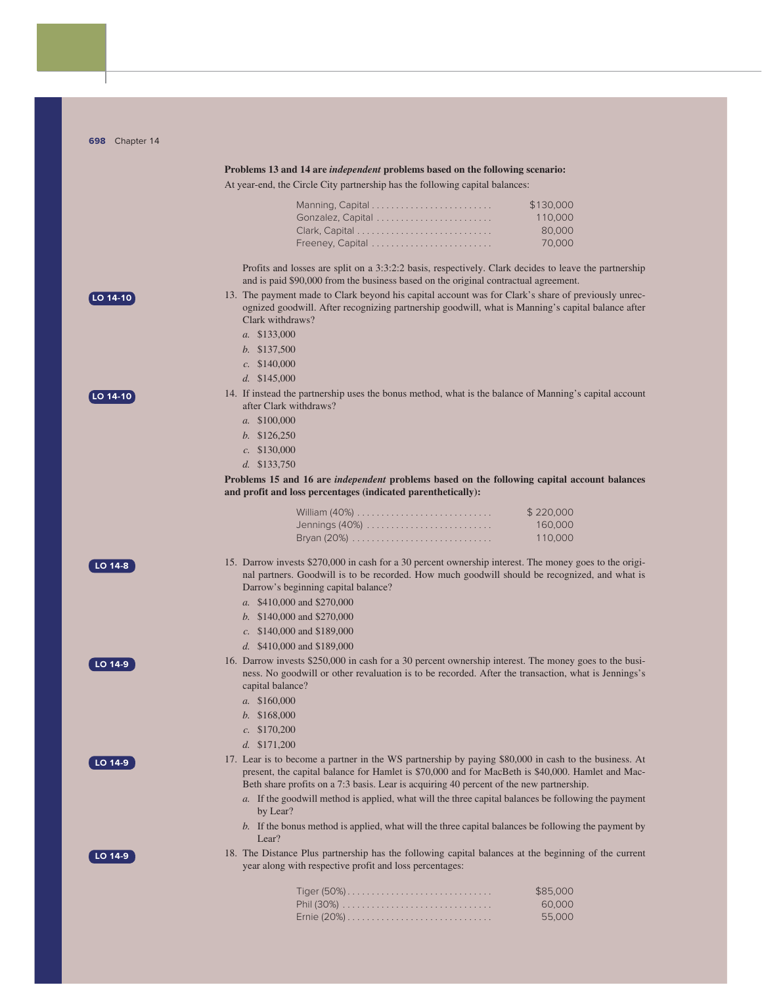| Chapter 14<br>698 |                                                                                                                                                                                                                                                                                                                                                                                                                                                                                                                               |
|-------------------|-------------------------------------------------------------------------------------------------------------------------------------------------------------------------------------------------------------------------------------------------------------------------------------------------------------------------------------------------------------------------------------------------------------------------------------------------------------------------------------------------------------------------------|
|                   | Problems 13 and 14 are <i>independent</i> problems based on the following scenario:<br>At year-end, the Circle City partnership has the following capital balances:                                                                                                                                                                                                                                                                                                                                                           |
|                   | \$130,000<br>Manning, Capital<br>110,000<br>Gonzalez, Capital<br>Clark, Capital<br>80,000<br>70,000<br>Freeney, Capital                                                                                                                                                                                                                                                                                                                                                                                                       |
|                   | Profits and losses are split on a 3:3:2:2 basis, respectively. Clark decides to leave the partnership<br>and is paid \$90,000 from the business based on the original contractual agreement.                                                                                                                                                                                                                                                                                                                                  |
| LO 14-10          | 13. The payment made to Clark beyond his capital account was for Clark's share of previously unrec-<br>ognized goodwill. After recognizing partnership goodwill, what is Manning's capital balance after<br>Clark withdraws?<br>a. \$133,000<br>$b. \$137,500$<br>$c. \$140,000$                                                                                                                                                                                                                                              |
| LO 14-10          | d. $$145,000$<br>14. If instead the partnership uses the bonus method, what is the balance of Manning's capital account<br>after Clark withdraws?<br>a. \$100,000                                                                                                                                                                                                                                                                                                                                                             |
|                   | $b. \$126,250$<br>$c. \$130,000$<br>d. $$133,750$                                                                                                                                                                                                                                                                                                                                                                                                                                                                             |
|                   | Problems 15 and 16 are <i>independent</i> problems based on the following capital account balances<br>and profit and loss percentages (indicated parenthetically):                                                                                                                                                                                                                                                                                                                                                            |
|                   | \$220,000<br>Jennings (40%)<br>160,000<br>110,000                                                                                                                                                                                                                                                                                                                                                                                                                                                                             |
| $LO$ 14-8         | 15. Darrow invests \$270,000 in cash for a 30 percent ownership interest. The money goes to the origi-<br>nal partners. Goodwill is to be recorded. How much goodwill should be recognized, and what is<br>Darrow's beginning capital balance?<br>a. $$410,000$ and \$270,000<br>b. $$140,000$ and $$270,000$<br>c. $$140,000$ and $$189,000$<br>d. $$410,000$ and \$189,000                                                                                                                                                  |
| LO 14-9           | 16. Darrow invests \$250,000 in cash for a 30 percent ownership interest. The money goes to the busi-<br>ness. No goodwill or other revaluation is to be recorded. After the transaction, what is Jennings's<br>capital balance?<br>a. \$160,000<br>$b. \$168,000$<br>c. $$170,200$<br>$d. \$171,200$                                                                                                                                                                                                                         |
| LO 14-9           | 17. Lear is to become a partner in the WS partnership by paying \$80,000 in cash to the business. At<br>present, the capital balance for Hamlet is \$70,000 and for MacBeth is \$40,000. Hamlet and Mac-<br>Beth share profits on a 7:3 basis. Lear is acquiring 40 percent of the new partnership.<br>a. If the goodwill method is applied, what will the three capital balances be following the payment<br>by Lear?<br>b. If the bonus method is applied, what will the three capital balances be following the payment by |
| LO 14-9           | Learn?<br>18. The Distance Plus partnership has the following capital balances at the beginning of the current<br>year along with respective profit and loss percentages:<br>\$85,000                                                                                                                                                                                                                                                                                                                                         |

| year along with respective profit and loss percentages: |          |
|---------------------------------------------------------|----------|
| Tiger (50%)                                             | \$85,000 |
|                                                         | 60,000   |
|                                                         | 55,000   |
|                                                         |          |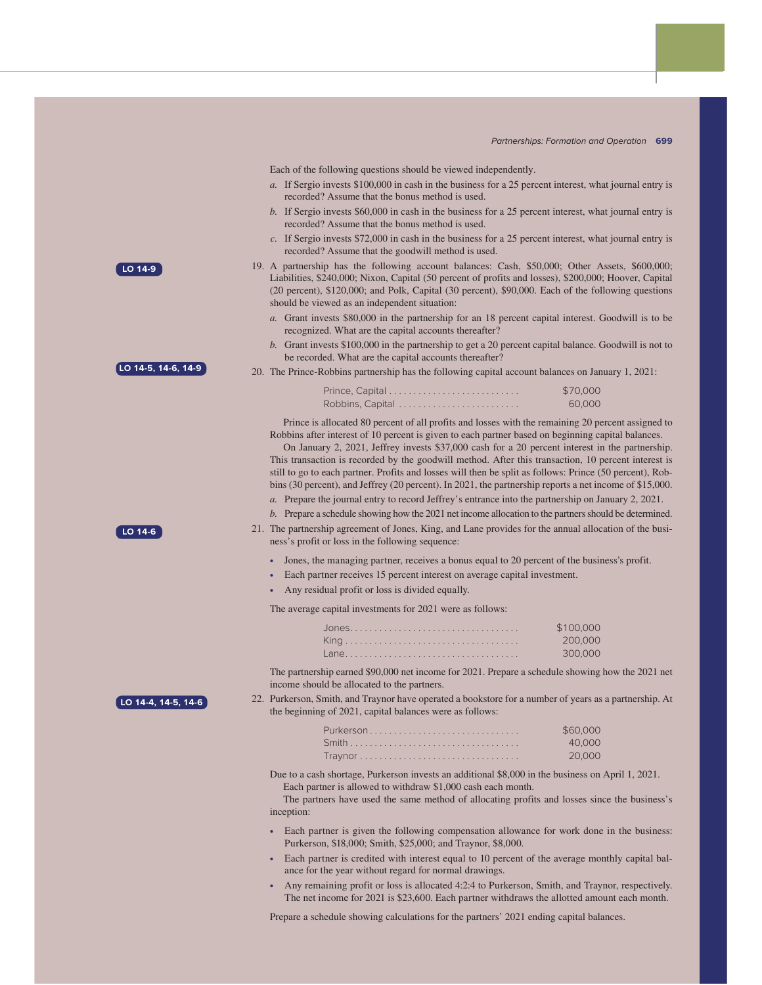Each of the following questions should be viewed independently.

- *a.* If Sergio invests \$100,000 in cash in the business for a 25 percent interest, what journal entry is recorded? Assume that the bonus method is used.
- *b.* If Sergio invests \$60,000 in cash in the business for a 25 percent interest, what journal entry is recorded? Assume that the bonus method is used.
- *c.* If Sergio invests \$72,000 in cash in the business for a 25 percent interest, what journal entry is recorded? Assume that the goodwill method is used.
- 19. A partnership has the following account balances: Cash, \$50,000; Other Assets, \$600,000; Liabilities, \$240,000; Nixon, Capital (50 percent of profits and losses), \$200,000; Hoover, Capital (20 percent), \$120,000; and Polk, Capital (30 percent), \$90,000. Each of the following questions should be viewed as an independent situation:
	- *a.* Grant invests \$80,000 in the partnership for an 18 percent capital interest. Goodwill is to be recognized. What are the capital accounts thereafter?
	- *b.* Grant invests \$100,000 in the partnership to get a 20 percent capital balance. Goodwill is not to be recorded. What are the capital accounts thereafter? wed as an independent situation:<br>
	rests \$80,000 in the partnership for an 18 percent capital interest.<br>
	d. What are the capital accounts thereafter?<br>
	ests \$100,000 in the partnership to get a 20 percent capital balance.<br>
	e
- 20. The Prince-Robbins partnership has the following capital account balances on January 1, 2021:

| ests \$80,000 in the partnership for an 18 percent capital interest.<br>ed. What are the capital accounts thereafter?    |          |
|--------------------------------------------------------------------------------------------------------------------------|----------|
| ests \$100,000 in the partnership to get a 20 percent capital balance.<br>led. What are the capital accounts thereafter? |          |
| Robbins partnership has the following capital account balances on Jar                                                    |          |
| Prince, Capital                                                                                                          | \$70,000 |
| Robbins, Capital                                                                                                         | 60,000   |

Prince is allocated 80 percent of all profits and losses with the remaining 20 percent assigned to Robbins after interest of 10 percent is given to each partner based on beginning capital balances.

On January 2, 2021, Jeffrey invests \$37,000 cash for a 20 percent interest in the partnership. This transaction is recorded by the goodwill method. After this transaction, 10 percent interest is still to go to each partner. Profits and losses will then be split as follows: Prince (50 percent), Robbins (30 percent), and Jeffrey (20 percent). In 2021, the partnership reports a net income of \$15,000.

- *a.* Prepare the journal entry to record Jeffrey's entrance into the partnership on January 2, 2021.
- *b.* Prepare a schedule showing how the 2021 net income allocation to the partners should be determined.

21. The partnership agreement of Jones, King, and Lane provides for the annual allocation of the business's profit or loss in the following sequence:

- ∙ Jones, the managing partner, receives a bonus equal to 20 percent of the business's profit.
- ∙ Each partner receives 15 percent interest on average capital investment.
- ∙ Any residual profit or loss is divided equally.

The average capital investments for 2021 were as follows:

| It inaliaging partier, receives a bonus equal to 20 percent of the busing |           |
|---------------------------------------------------------------------------|-----------|
| rtner receives 15 percent interest on average capital investment.         |           |
| idual profit or loss is divided equally.                                  |           |
| e capital investments for 2021 were as follows:                           |           |
|                                                                           | \$100,000 |
|                                                                           | 200,000   |
|                                                                           | 300,000   |

The partnership earned \$90,000 net income for 2021. Prepare a schedule showing how the 2021 net income should be allocated to the partners.

22. Purkerson, Smith, and Traynor have operated a bookstore for a number of years as a partnership. At the beginning of 2021, capital balances were as follows: mp cancel 350,000 net income for 2021. Fighted a schedule showing<br>the allocated to the partners.<br>the partners and Traynor have operated a bookstore for a number of years as<br>of 2021, capital balances were as follows:<br>Purker

| munication reception met supercesses a opomotors ror a mannost or pearl all<br>g of 2021, capital balances were as follows: |          |
|-----------------------------------------------------------------------------------------------------------------------------|----------|
| Purkerson                                                                                                                   | \$60,000 |
|                                                                                                                             | 40.000   |
|                                                                                                                             | 20,000   |

Due to a cash shortage, Purkerson invests an additional \$8,000 in the business on April 1, 2021. Each partner is allowed to withdraw \$1,000 cash each month.

The partners have used the same method of allocating profits and losses since the business's inception:

- ∙ Each partner is given the following compensation allowance for work done in the business: Purkerson, \$18,000; Smith, \$25,000; and Traynor, \$8,000.
- ∙ Each partner is credited with interest equal to 10 percent of the average monthly capital balance for the year without regard for normal drawings.
- ∙ Any remaining profit or loss is allocated 4:2:4 to Purkerson, Smith, and Traynor, respectively. The net income for 2021 is \$23,600. Each partner withdraws the allotted amount each month.

Prepare a schedule showing calculations for the partners' 2021 ending capital balances.



**LO 14-5, 14-6, 14-9**

## **LO 14-6**

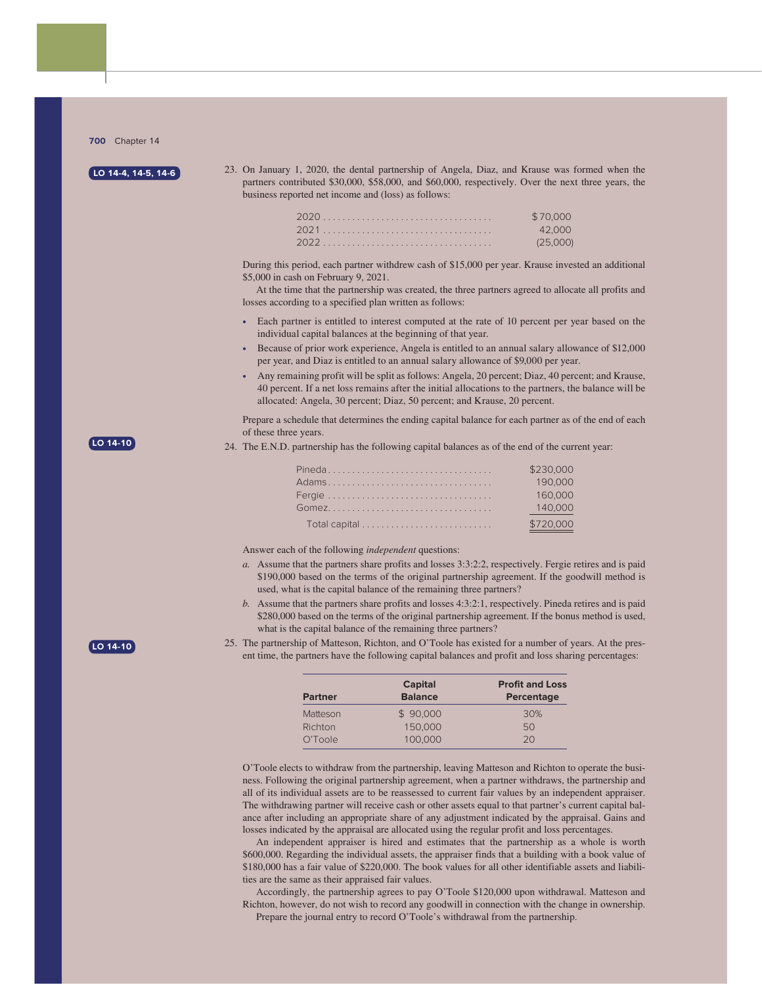## **700** Chapter 14

| <b>700</b> Chapter 14 |                       |                                                            |                                                                                                                                        |                                                                                                                                                                                                                                                                                                                                                                                                                                                                                                    |
|-----------------------|-----------------------|------------------------------------------------------------|----------------------------------------------------------------------------------------------------------------------------------------|----------------------------------------------------------------------------------------------------------------------------------------------------------------------------------------------------------------------------------------------------------------------------------------------------------------------------------------------------------------------------------------------------------------------------------------------------------------------------------------------------|
| LO 14-4, 14-5, 14-6   |                       | business reported net income and (loss) as follows:        |                                                                                                                                        | 23. On January 1, 2020, the dental partnership of Angela, Diaz, and Krause was formed when the<br>partners contributed \$30,000, \$58,000, and \$60,000, respectively. Over the next three years, the                                                                                                                                                                                                                                                                                              |
|                       |                       |                                                            |                                                                                                                                        | \$70,000<br>42,000<br>(25,000)                                                                                                                                                                                                                                                                                                                                                                                                                                                                     |
|                       |                       | \$5,000 in cash on February 9, 2021.                       | losses according to a specified plan written as follows:                                                                               | During this period, each partner withdrew cash of \$15,000 per year. Krause invested an additional<br>At the time that the partnership was created, the three partners agreed to allocate all profits and                                                                                                                                                                                                                                                                                          |
|                       |                       |                                                            | individual capital balances at the beginning of that year.<br>allocated: Angela, 30 percent; Diaz, 50 percent; and Krause, 20 percent. | • Each partner is entitled to interest computed at the rate of 10 percent per year based on the<br>Because of prior work experience, Angela is entitled to an annual salary allowance of \$12,000<br>per year, and Diaz is entitled to an annual salary allowance of \$9,000 per year.<br>Any remaining profit will be split as follows: Angela, 20 percent; Diaz, 40 percent; and Krause,<br>40 percent. If a net loss remains after the initial allocations to the partners, the balance will be |
| LO 14-10              | of these three years. |                                                            |                                                                                                                                        | Prepare a schedule that determines the ending capital balance for each partner as of the end of each<br>24. The E.N.D. partnership has the following capital balances as of the end of the current year:                                                                                                                                                                                                                                                                                           |
|                       |                       |                                                            | Pineda<br>Adams                                                                                                                        | \$230,000<br>190,000<br>160,000<br>140,000<br>\$720,000                                                                                                                                                                                                                                                                                                                                                                                                                                            |
|                       |                       | Answer each of the following <i>independent</i> questions: | used, what is the capital balance of the remaining three partners?                                                                     | a. Assume that the partners share profits and losses 3:3:2:2, respectively. Fergie retires and is paid<br>\$190,000 based on the terms of the original partnership agreement. If the goodwill method is                                                                                                                                                                                                                                                                                            |
|                       |                       |                                                            | what is the capital balance of the remaining three partners?                                                                           | b. Assume that the partners share profits and losses 4:3:2:1, respectively. Pineda retires and is paid<br>\$280,000 based on the terms of the original partnership agreement. If the bonus method is used,                                                                                                                                                                                                                                                                                         |
| I O 14-10             |                       |                                                            |                                                                                                                                        | 25. The partnership of Matteson, Richton, and O'Toole has existed for a number of years. At the pres-<br>ent time, the partners have the following capital balances and profit and loss sharing percentages:                                                                                                                                                                                                                                                                                       |
|                       |                       | <b>Partner</b>                                             | Capital<br><b>Balance</b>                                                                                                              | <b>Profit and Loss</b><br><b>Percentage</b>                                                                                                                                                                                                                                                                                                                                                                                                                                                        |
|                       |                       | Matteson<br>Richton<br>O'Toole                             | \$90,000<br>150,000<br>100,000                                                                                                         | 30%<br>50<br>20                                                                                                                                                                                                                                                                                                                                                                                                                                                                                    |
|                       |                       |                                                            |                                                                                                                                        |                                                                                                                                                                                                                                                                                                                                                                                                                                                                                                    |

O'Toole elects to withdraw from the partnership, leaving Matteson and Richton to operate the business. Following the original partnership agreement, when a partner withdraws, the partnership and all of its individual assets are to be reassessed to current fair values by an independent appraiser. The withdrawing partner will receive cash or other assets equal to that partner's current capital balance after including an appropriate share of any adjustment indicated by the appraisal. Gains and losses indicated by the appraisal are allocated using the regular profit and loss percentages.

An independent appraiser is hired and estimates that the partnership as a whole is worth \$600,000. Regarding the individual assets, the appraiser finds that a building with a book value of \$180,000 has a fair value of \$220,000. The book values for all other identifiable assets and liabilities are the same as their appraised fair values.

Accordingly, the partnership agrees to pay O'Toole \$120,000 upon withdrawal. Matteson and Richton, however, do not wish to record any goodwill in connection with the change in ownership. Prepare the journal entry to record O'Toole's withdrawal from the partnership.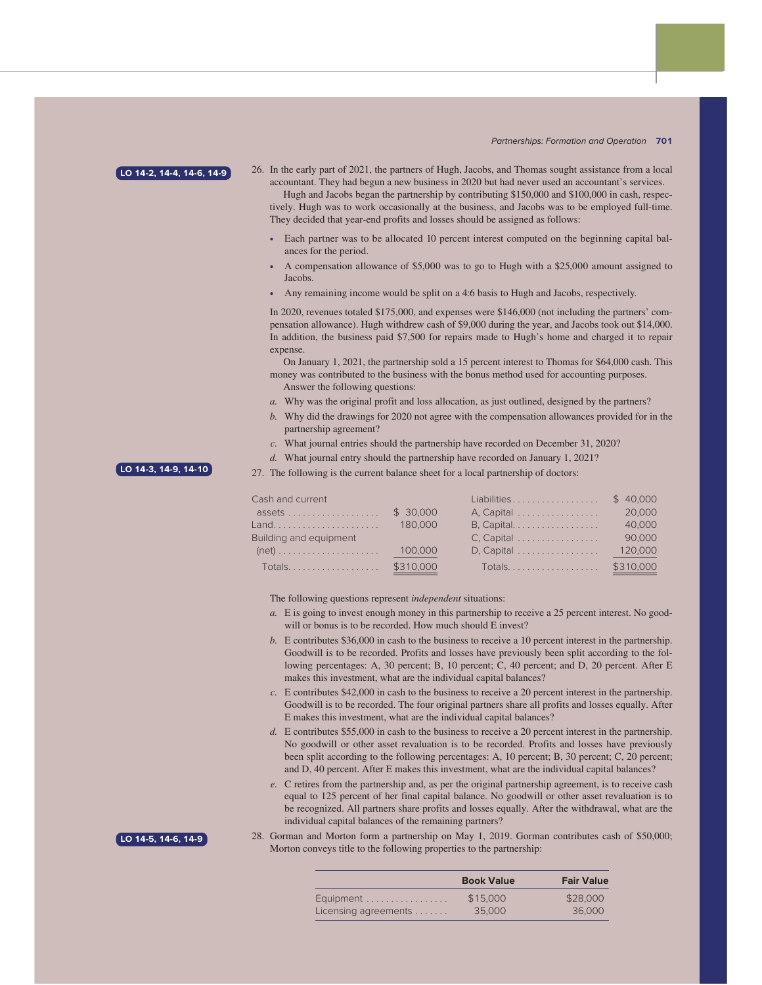## **LO 14-2, 14-4, 14-6, 14-9**

26. In the early part of 2021, the partners of Hugh, Jacobs, and Thomas sought assistance from a local accountant. They had begun a new business in 2020 but had never used an accountant's services.

Hugh and Jacobs began the partnership by contributing \$150,000 and \$100,000 in cash, respectively. Hugh was to work occasionally at the business, and Jacobs was to be employed full-time. They decided that year-end profits and losses should be assigned as follows:

- ∙ Each partner was to be allocated 10 percent interest computed on the beginning capital balances for the period.
- ∙ A compensation allowance of \$5,000 was to go to Hugh with a \$25,000 amount assigned to Jacobs.
- ∙ Any remaining income would be split on a 4:6 basis to Hugh and Jacobs, respectively.

In 2020, revenues totaled \$175,000, and expenses were \$146,000 (not including the partners' compensation allowance). Hugh withdrew cash of \$9,000 during the year, and Jacobs took out \$14,000. In addition, the business paid \$7,500 for repairs made to Hugh's home and charged it to repair expense.

On January 1, 2021, the partnership sold a 15 percent interest to Thomas for \$64,000 cash. This money was contributed to the business with the bonus method used for accounting purposes. Answer the following questions:

- *a.* Why was the original profit and loss allocation, as just outlined, designed by the partners?
- *b.* Why did the drawings for 2020 not agree with the compensation allowances provided for in the partnership agreement? partnership agreement?<br>
c. What journal entries should the partnership have recorded on December 31, 2020?<br>
d. What journal entry should the partnership have recorded on January 1, 2021?<br>
27. The following is the current b
	- *c.* What journal entries should the partnership have recorded on December 31, 2020?
- *d.* What journal entry should the partnership have recorded on January 1, 2021?
- 27. The following is the current balance sheet for a local partnership of doctors:

| c. What journal entries should the partnership have recorded on December 31, 2020?<br>d. What journal entry should the partnership have recorded on January 1, 2021?<br>27. The following is the current balance sheet for a local partnership of doctors: |           |             |               |  |
|------------------------------------------------------------------------------------------------------------------------------------------------------------------------------------------------------------------------------------------------------------|-----------|-------------|---------------|--|
| Cash and current                                                                                                                                                                                                                                           |           | Liabilities | 40,000<br>\$. |  |
| assets                                                                                                                                                                                                                                                     | \$30,000  | A, Capital  | 20,000        |  |
|                                                                                                                                                                                                                                                            | 180,000   | B. Capital  | 40,000        |  |
| Building and equipment                                                                                                                                                                                                                                     |           |             | 90,000        |  |
| $(\text{net})$                                                                                                                                                                                                                                             | 100,000   | D, Capital  | 120,000       |  |
| Totals.                                                                                                                                                                                                                                                    | \$310,000 | Totals      | \$310,000     |  |

The following questions represent *independent* situations:

- *a.* E is going to invest enough money in this partnership to receive a 25 percent interest. No goodwill or bonus is to be recorded. How much should E invest?
- *b.* E contributes \$36,000 in cash to the business to receive a 10 percent interest in the partnership. Goodwill is to be recorded. Profits and losses have previously been split according to the following percentages: A, 30 percent; B, 10 percent; C, 40 percent; and D, 20 percent. After E makes this investment, what are the individual capital balances?
- *c.* E contributes \$42,000 in cash to the business to receive a 20 percent interest in the partnership. Goodwill is to be recorded. The four original partners share all profits and losses equally. After E makes this investment, what are the individual capital balances?
- *d.* E contributes \$55,000 in cash to the business to receive a 20 percent interest in the partnership. No goodwill or other asset revaluation is to be recorded. Profits and losses have previously been split according to the following percentages: A, 10 percent; B, 30 percent; C, 20 percent; and D, 40 percent. After E makes this investment, what are the individual capital balances?
- *e.* C retires from the partnership and, as per the original partnership agreement, is to receive cash equal to 125 percent of her final capital balance. No goodwill or other asset revaluation is to be recognized. All partners share profits and losses equally. After the withdrawal, what are the individual capital balances of the remaining partners?
- 28. Gorman and Morton form a partnership on May 1, 2019. Gorman contributes cash of \$50,000; Morton conveys title to the following properties to the partnership:

|                      | <b>Book Value</b> | <b>Fair Value</b> |
|----------------------|-------------------|-------------------|
| Equipment            | \$15,000          | \$28,000          |
| Licensing agreements | 35,000            | 36,000            |

**LO 14-3, 14-9, 14-10**

## **LO 14-5, 14-6, 14-9**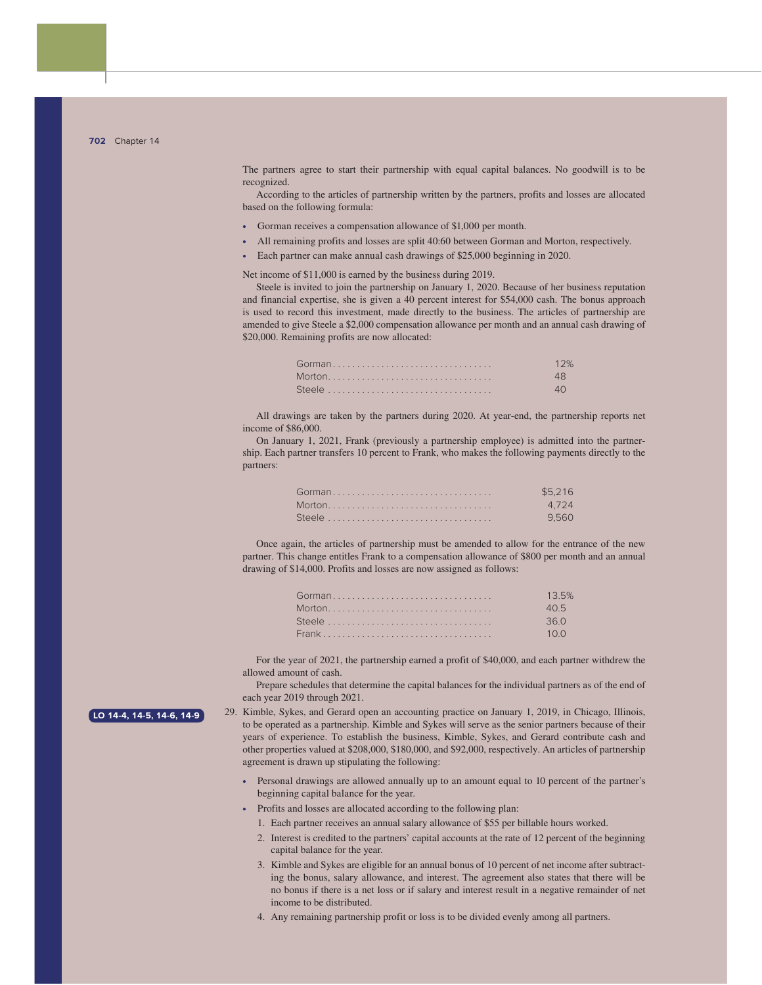The partners agree to start their partnership with equal capital balances. No goodwill is to be recognized.

According to the articles of partnership written by the partners, profits and losses are allocated based on the following formula:

- ∙ Gorman receives a compensation allowance of \$1,000 per month.
- ∙ All remaining profits and losses are split 40:60 between Gorman and Morton, respectively.
- ∙ Each partner can make annual cash drawings of \$25,000 beginning in 2020.

Net income of \$11,000 is earned by the business during 2019.

Steele is invited to join the partnership on January 1, 2020. Because of her business reputation and financial expertise, she is given a 40 percent interest for \$54,000 cash. The bonus approach is used to record this investment, made directly to the business. The articles of partnership are amended to give Steele a \$2,000 compensation allowance per month and an annual cash drawing of \$20,000. Remaining profits are now allocated: of \$11,000 is earned by the business during 2019.<br>
nvited to join the partnership on January 1, 2020. Because of her b<br>
expertise, she is given a 40 percent interest for \$54,000 cash. The<br>
cord this investment, made direct noted to join the partnership on January 1, 2020. Because of her expertise, she is given a 40 percent interest for \$54,000 cash. The articles is investment, made directly to the business. The articles is the space of this expertise, sne is given a 40 percent interest for \$54,000 cash. I<br>cord this investment, made directly to the business. The articles<br>ive Steele a \$2,000 compensation allowance per month and an ann<br>naining profits are now al

| Gorman | 129          |
|--------|--------------|
|        | 48.          |
|        | $40^{\circ}$ |

All drawings are taken by the partners during 2020. At year-end, the partnership reports net income of \$86,000.

ngs are taken by the partners during 2020. At year-end, the partne,<br>6,000.<br>Ty 1, 2021, Frank (previously a partnership employee) is admitted<br>truer transfers 10 percent to Frank, who makes the following payme<br>Gorman ....... Morton . . 4,724 On January 1, 2021, Frank (previously a partnership employee) is admitted into the partnership. Each partner transfers 10 percent to Frank, who makes the following payments directly to the partners:

| ry 1, 2021, Frank (previously a partnership employee) is admitted<br>rtner transfers 10 percent to Frank, who makes the following payme |         |
|-----------------------------------------------------------------------------------------------------------------------------------------|---------|
|                                                                                                                                         | \$5.216 |
|                                                                                                                                         | 4.724   |
|                                                                                                                                         | 9.560   |

in, the articles of partnership must be amended to allow for the en<br>change entitles Frank to a compensation allowance of \$800 per mo<br>14,000. Profits and losses are now assigned as follows:<br>Gorman........................... Once again, the articles of partnership must be amended to allow for the entrance of the new<br>ther. This change entitles Frank to a compensation allowance of \$800 per month and an annual<br>wing of \$14,000. Profits and losses partner. This change entitles Frank to a compensation allowance of \$800 per month and an annual drawing of \$14,000. Profits and losses are now assigned as follows:

| change entitles Frank to a compensation allowance of \$800 per m<br>14,000. Profits and losses are now assigned as follows: |      |
|-----------------------------------------------------------------------------------------------------------------------------|------|
| Gorman                                                                                                                      | 13.5 |
|                                                                                                                             | 40.5 |
|                                                                                                                             | 36.0 |
|                                                                                                                             | 10.0 |
|                                                                                                                             |      |

For the year of 2021, the partnership earned a profit of \$40,000, and each partner withdrew the allowed amount of cash.

Prepare schedules that determine the capital balances for the individual partners as of the end of each year 2019 through 2021.

- **LO 14-4, 14-5, 14-6, 14-9**
- 29. Kimble, Sykes, and Gerard open an accounting practice on January 1, 2019, in Chicago, Illinois, to be operated as a partnership. Kimble and Sykes will serve as the senior partners because of their years of experience. To establish the business, Kimble, Sykes, and Gerard contribute cash and other properties valued at \$208,000, \$180,000, and \$92,000, respectively. An articles of partnership agreement is drawn up stipulating the following:
	- ∙ Personal drawings are allowed annually up to an amount equal to 10 percent of the partner's beginning capital balance for the year.
	- ∙ Profits and losses are allocated according to the following plan:
		- 1. Each partner receives an annual salary allowance of \$55 per billable hours worked.
		- 2. Interest is credited to the partners' capital accounts at the rate of 12 percent of the beginning capital balance for the year.
		- 3. Kimble and Sykes are eligible for an annual bonus of 10 percent of net income after subtracting the bonus, salary allowance, and interest. The agreement also states that there will be no bonus if there is a net loss or if salary and interest result in a negative remainder of net income to be distributed.
		- 4. Any remaining partnership profit or loss is to be divided evenly among all partners.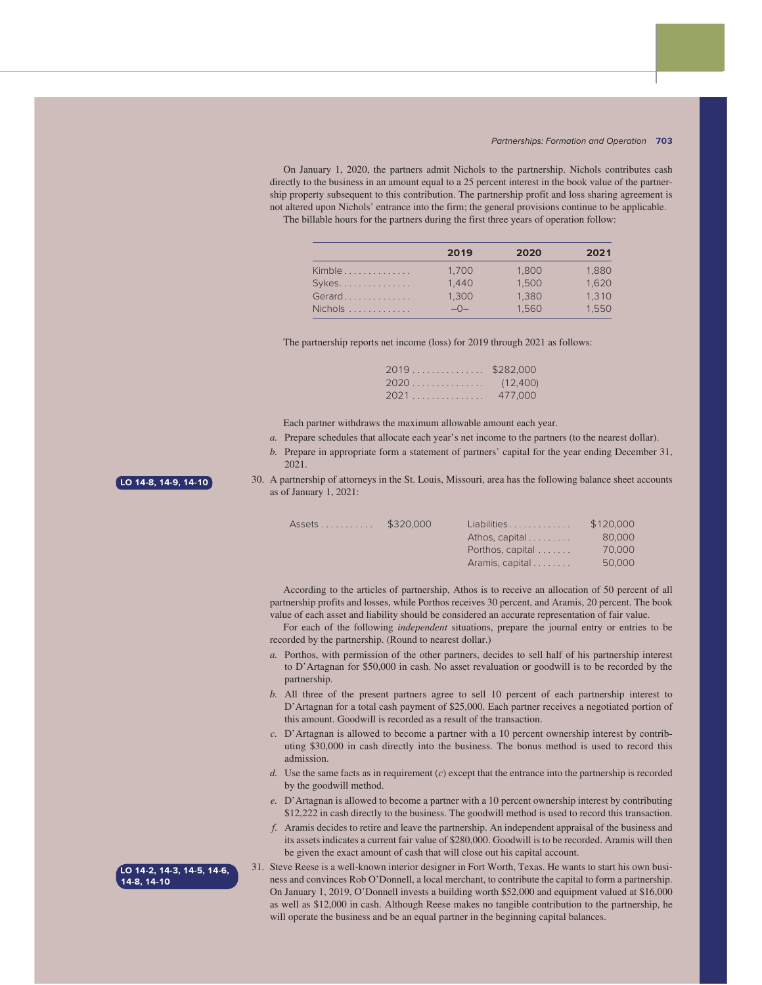On January 1, 2020, the partners admit Nichols to the partnership. Nichols contributes cash directly to the business in an amount equal to a 25 percent interest in the book value of the partnership property subsequent to this contribution. The partnership profit and loss sharing agreement is not altered upon Nichols' entrance into the firm; the general provisions continue to be applicable. uary 1, 2020, the partners admit Nichols to the partnership. Nichols compare the business in an amount equal to a 25 percent interest in the book value try subsequent to this contribution. The partnership profit and loss s

The billable hours for the partners during the first three years of operation follow:

|          | 2019  | 2020  | 2021  |
|----------|-------|-------|-------|
| Kimble   | 1,700 | 1,800 | 1.880 |
| $Sykes.$ | 1,440 | 1.500 | 1.620 |
| Gerard   | 1,300 | 1.380 | 1,310 |
| Nichols  | $-0-$ | 1,560 | 1,550 |

The partnership reports net income (loss) for 2019 through 2021 as follows:

| <b><i>Alberta Committee</i></b> | $-\Omega$                              | 1.560    |
|---------------------------------|----------------------------------------|----------|
|                                 | et income (loss) for 2019 through 2021 |          |
|                                 | $2019$ \$282,000                       |          |
|                                 | 2020                                   | (12,400) |
|                                 | 2021                                   | 477,000  |

Each partner withdraws the maximum allowable amount each year.

- *a.* Prepare schedules that allocate each year's net income to the partners (to the nearest dollar).
- *b.* Prepare in appropriate form a statement of partners' capital for the year ending December 31, 2021.<br>
A partnership of attorneys in the St. Louis, Missouri, area has the following balance sheet accounts as of January 1 2021.
- 30. A partnership of attorneys in the St. Louis, Missouri, area has the following balance sheet accounts as of January 1, 2021:

| 2021.<br>artnership of attorneys in the St. Louis, Missouri, area has the following balance sheet a<br>of January 1, 2021: |           |                                                                      |                                         |  |  |  |
|----------------------------------------------------------------------------------------------------------------------------|-----------|----------------------------------------------------------------------|-----------------------------------------|--|--|--|
| Assets                                                                                                                     | \$320,000 | Liabilities<br>Athos, capital<br>Porthos, capital<br>Aramis, capital | \$120,000<br>80,000<br>70,000<br>50,000 |  |  |  |

According to the articles of partnership, Athos is to receive an allocation of 50 percent of all partnership profits and losses, while Porthos receives 30 percent, and Aramis, 20 percent. The book value of each asset and liability should be considered an accurate representation of fair value.

For each of the following *independent* situations, prepare the journal entry or entries to be recorded by the partnership. (Round to nearest dollar.)

- *a.* Porthos, with permission of the other partners, decides to sell half of his partnership interest to D'Artagnan for \$50,000 in cash. No asset revaluation or goodwill is to be recorded by the partnership.
- *b.* All three of the present partners agree to sell 10 percent of each partnership interest to D'Artagnan for a total cash payment of \$25,000. Each partner receives a negotiated portion of this amount. Goodwill is recorded as a result of the transaction.
- *c.* D'Artagnan is allowed to become a partner with a 10 percent ownership interest by contributing \$30,000 in cash directly into the business. The bonus method is used to record this admission.
- *d.* Use the same facts as in requirement (*c*) except that the entrance into the partnership is recorded by the goodwill method.
- *e.* D'Artagnan is allowed to become a partner with a 10 percent ownership interest by contributing \$12,222 in cash directly to the business. The goodwill method is used to record this transaction.
- *f.* Aramis decides to retire and leave the partnership. An independent appraisal of the business and its assets indicates a current fair value of \$280,000. Goodwill is to be recorded. Aramis will then be given the exact amount of cash that will close out his capital account.
- 31. Steve Reese is a well-known interior designer in Fort Worth, Texas. He wants to start his own business and convinces Rob O'Donnell, a local merchant, to contribute the capital to form a partnership. On January 1, 2019, O'Donnell invests a building worth \$52,000 and equipment valued at \$16,000 as well as \$12,000 in cash. Although Reese makes no tangible contribution to the partnership, he will operate the business and be an equal partner in the beginning capital balances.

## **LO 14-8, 14-9, 14-10**

**LO 14-2, 14-3, 14-5, 14-6,** 

**14-8, 14-10**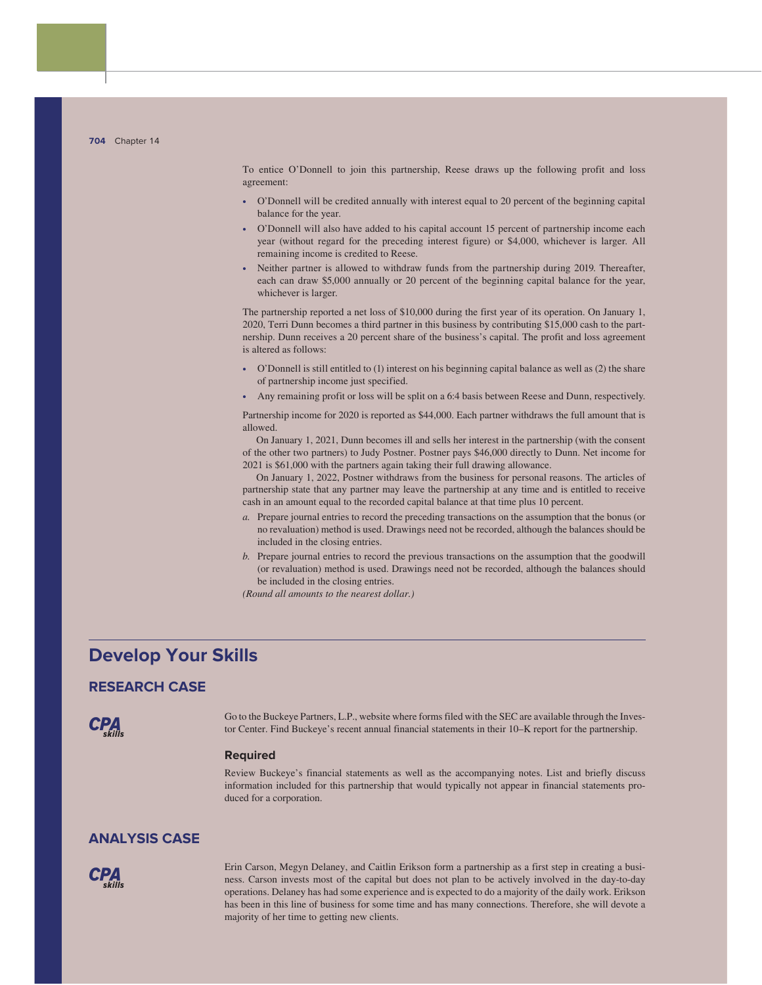To entice O'Donnell to join this partnership, Reese draws up the following profit and loss agreement:

- ∙ O'Donnell will be credited annually with interest equal to 20 percent of the beginning capital balance for the year.
- ∙ O'Donnell will also have added to his capital account 15 percent of partnership income each year (without regard for the preceding interest figure) or \$4,000, whichever is larger. All remaining income is credited to Reese.
- ∙ Neither partner is allowed to withdraw funds from the partnership during 2019. Thereafter, each can draw \$5,000 annually or 20 percent of the beginning capital balance for the year, whichever is larger.

The partnership reported a net loss of \$10,000 during the first year of its operation. On January 1, 2020, Terri Dunn becomes a third partner in this business by contributing \$15,000 cash to the partnership. Dunn receives a 20 percent share of the business's capital. The profit and loss agreement is altered as follows:

- ∙ O'Donnell is still entitled to (1) interest on his beginning capital balance as well as (2) the share of partnership income just specified.
- ∙ Any remaining profit or loss will be split on a 6:4 basis between Reese and Dunn, respectively.

Partnership income for 2020 is reported as \$44,000. Each partner withdraws the full amount that is allowed.

On January 1, 2021, Dunn becomes ill and sells her interest in the partnership (with the consent of the other two partners) to Judy Postner. Postner pays \$46,000 directly to Dunn. Net income for 2021 is \$61,000 with the partners again taking their full drawing allowance.

On January 1, 2022, Postner withdraws from the business for personal reasons. The articles of partnership state that any partner may leave the partnership at any time and is entitled to receive cash in an amount equal to the recorded capital balance at that time plus 10 percent.

- *a.* Prepare journal entries to record the preceding transactions on the assumption that the bonus (or no revaluation) method is used. Drawings need not be recorded, although the balances should be included in the closing entries.
- *b.* Prepare journal entries to record the previous transactions on the assumption that the goodwill (or revaluation) method is used. Drawings need not be recorded, although the balances should be included in the closing entries.

*(Round all amounts to the nearest dollar.)*

## **Develop Your Skills**

## **RESEARCH CASE**



Go to the Buckeye Partners, L.P., website where forms filed with the SEC are available through the Investor Center. Find Buckeye's recent annual financial statements in their 10–K report for the partnership.

## **Required**

Review Buckeye's financial statements as well as the accompanying notes. List and briefly discuss information included for this partnership that would typically not appear in financial statements produced for a corporation.

## **ANALYSIS CASE**



Erin Carson, Megyn Delaney, and Caitlin Erikson form a partnership as a first step in creating a business. Carson invests most of the capital but does not plan to be actively involved in the day-to-day operations. Delaney has had some experience and is expected to do a majority of the daily work. Erikson has been in this line of business for some time and has many connections. Therefore, she will devote a majority of her time to getting new clients.